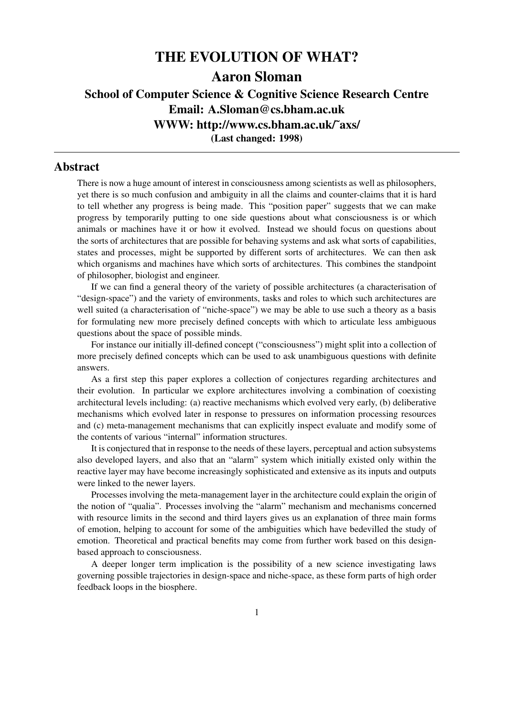# THE EVOLUTION OF WHAT? Aaron Sloman School of Computer Science & Cognitive Science Research Centre Email: A.Sloman@cs.bham.ac.uk WWW: http://www.cs.bham.ac.uk/˜axs/ (Last changed: 1998)

### Abstract

There is now a huge amount of interest in consciousness among scientists as well as philosophers, yet there is so much confusion and ambiguity in all the claims and counter-claims that it is hard to tell whether any progress is being made. This "position paper" suggests that we can make progress by temporarily putting to one side questions about what consciousness is or which animals or machines have it or how it evolved. Instead we should focus on questions about the sorts of architectures that are possible for behaving systems and ask what sorts of capabilities, states and processes, might be supported by different sorts of architectures. We can then ask which organisms and machines have which sorts of architectures. This combines the standpoint of philosopher, biologist and engineer.

If we can find a general theory of the variety of possible architectures (a characterisation of "design-space") and the variety of environments, tasks and roles to which such architectures are well suited (a characterisation of "niche-space") we may be able to use such a theory as a basis for formulating new more precisely defined concepts with which to articulate less ambiguous questions about the space of possible minds.

For instance our initially ill-defined concept ("consciousness") might split into a collection of more precisely defined concepts which can be used to ask unambiguous questions with definite answers.

As a first step this paper explores a collection of conjectures regarding architectures and their evolution. In particular we explore architectures involving a combination of coexisting architectural levels including: (a) reactive mechanisms which evolved very early, (b) deliberative mechanisms which evolved later in response to pressures on information processing resources and (c) meta-management mechanisms that can explicitly inspect evaluate and modify some of the contents of various "internal" information structures.

It is conjectured that in response to the needs of these layers, perceptual and action subsystems also developed layers, and also that an "alarm" system which initially existed only within the reactive layer may have become increasingly sophisticated and extensive as its inputs and outputs were linked to the newer layers.

Processes involving the meta-management layer in the architecture could explain the origin of the notion of "qualia". Processes involving the "alarm" mechanism and mechanisms concerned with resource limits in the second and third layers gives us an explanation of three main forms of emotion, helping to account for some of the ambiguities which have bedevilled the study of emotion. Theoretical and practical benefits may come from further work based on this designbased approach to consciousness.

A deeper longer term implication is the possibility of a new science investigating laws governing possible trajectories in design-space and niche-space, as these form parts of high order feedback loops in the biosphere.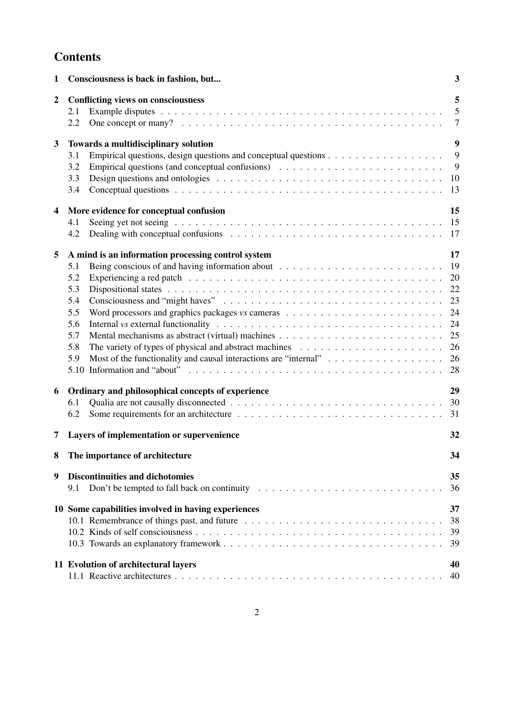# **Contents**

| 1              | Consciousness is back in fashion, but                                                                                                                                                                                                                                                                                                                                                                                  | 3                                                              |
|----------------|------------------------------------------------------------------------------------------------------------------------------------------------------------------------------------------------------------------------------------------------------------------------------------------------------------------------------------------------------------------------------------------------------------------------|----------------------------------------------------------------|
| $\overline{2}$ | <b>Conflicting views on consciousness</b><br>2.1<br>2.2                                                                                                                                                                                                                                                                                                                                                                | 5<br>5<br>$\overline{7}$                                       |
| 3              | Towards a multidisciplinary solution<br>Empirical questions, design questions and conceptual questions $\dots \dots \dots \dots \dots \dots$<br>3.1<br>Empirical questions (and conceptual confusions) $\dots \dots \dots \dots \dots \dots \dots \dots \dots$<br>3.2<br>Design questions and ontologies $\ldots \ldots \ldots \ldots \ldots \ldots \ldots \ldots \ldots \ldots \ldots \ldots \ldots 10$<br>3.3<br>3.4 | 9<br>9<br>9<br>13                                              |
| $\overline{4}$ | More evidence for conceptual confusion<br>Seeing yet not seeing $\ldots \ldots \ldots \ldots \ldots \ldots \ldots \ldots \ldots \ldots \ldots \ldots \ldots$<br>4.1<br>Dealing with conceptual confusions $\ldots \ldots \ldots \ldots \ldots \ldots \ldots \ldots \ldots \ldots \ldots$<br>4.2                                                                                                                        | 15<br>-17                                                      |
| 5              | A mind is an information processing control system<br>5.1<br>5.2<br>5.3<br>5.4<br>5.5<br>Word processors and graphics packages <i>vs</i> cameras $\ldots \ldots \ldots \ldots \ldots \ldots \ldots \ldots$<br>5.6<br>5.7<br>5.8<br>5.9<br>5.10                                                                                                                                                                         | 17<br>19<br>20<br>22<br>23<br>24<br>24<br>25<br>26<br>26<br>28 |
| 6              | Ordinary and philosophical concepts of experience<br>6.1<br>6.2                                                                                                                                                                                                                                                                                                                                                        | 29<br>30<br>31                                                 |
| 7              | Layers of implementation or supervenience                                                                                                                                                                                                                                                                                                                                                                              | 32                                                             |
|                | The importance of architecture                                                                                                                                                                                                                                                                                                                                                                                         | 34                                                             |
| 9              | <b>Discontinuities and dichotomies</b><br>9.1                                                                                                                                                                                                                                                                                                                                                                          | 35<br>36                                                       |
|                | 10 Some capabilities involved in having experiences                                                                                                                                                                                                                                                                                                                                                                    | 37<br>38<br>39<br>39                                           |
|                | 11 Evolution of architectural layers                                                                                                                                                                                                                                                                                                                                                                                   | 40<br>40                                                       |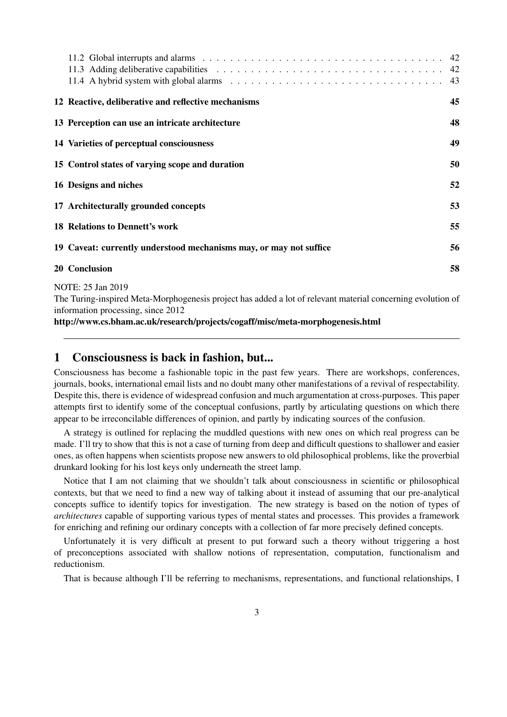|                                                                    | 43 |
|--------------------------------------------------------------------|----|
| 12 Reactive, deliberative and reflective mechanisms                | 45 |
| 13 Perception can use an intricate architecture                    | 48 |
| 14 Varieties of perceptual consciousness                           | 49 |
| 15 Control states of varying scope and duration                    | 50 |
| 16 Designs and niches                                              | 52 |
| 17 Architecturally grounded concepts                               | 53 |
| <b>18 Relations to Dennett's work</b>                              | 55 |
| 19 Caveat: currently understood mechanisms may, or may not suffice | 56 |
| 20 Conclusion                                                      | 58 |
| NOTE: 25 Jan 2019                                                  |    |

The Turing-inspired Meta-Morphogenesis project has added a lot of relevant material concerning evolution of information processing, since 2012

http://www.cs.bham.ac.uk/research/projects/cogaff/misc/meta-morphogenesis.html

### 1 Consciousness is back in fashion, but...

Consciousness has become a fashionable topic in the past few years. There are workshops, conferences, journals, books, international email lists and no doubt many other manifestations of a revival of respectability. Despite this, there is evidence of widespread confusion and much argumentation at cross-purposes. This paper attempts first to identify some of the conceptual confusions, partly by articulating questions on which there appear to be irreconcilable differences of opinion, and partly by indicating sources of the confusion.

A strategy is outlined for replacing the muddled questions with new ones on which real progress can be made. I'll try to show that this is not a case of turning from deep and difficult questions to shallower and easier ones, as often happens when scientists propose new answers to old philosophical problems, like the proverbial drunkard looking for his lost keys only underneath the street lamp.

Notice that I am not claiming that we shouldn't talk about consciousness in scientific or philosophical contexts, but that we need to find a new way of talking about it instead of assuming that our pre-analytical concepts suffice to identify topics for investigation. The new strategy is based on the notion of types of *architectures* capable of supporting various types of mental states and processes. This provides a framework for enriching and refining our ordinary concepts with a collection of far more precisely defined concepts.

Unfortunately it is very difficult at present to put forward such a theory without triggering a host of preconceptions associated with shallow notions of representation, computation, functionalism and reductionism.

That is because although I'll be referring to mechanisms, representations, and functional relationships, I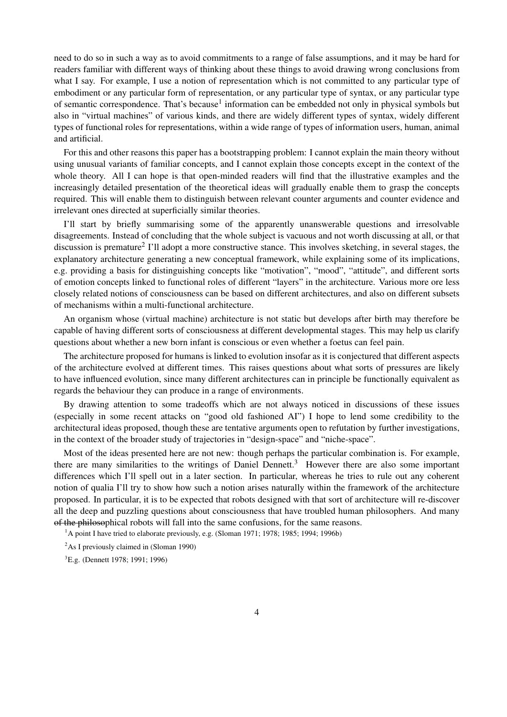need to do so in such a way as to avoid commitments to a range of false assumptions, and it may be hard for readers familiar with different ways of thinking about these things to avoid drawing wrong conclusions from what I say. For example, I use a notion of representation which is not committed to any particular type of embodiment or any particular form of representation, or any particular type of syntax, or any particular type of semantic correspondence. That's because<sup>1</sup> information can be embedded not only in physical symbols but also in "virtual machines" of various kinds, and there are widely different types of syntax, widely different types of functional roles for representations, within a wide range of types of information users, human, animal and artificial.

For this and other reasons this paper has a bootstrapping problem: I cannot explain the main theory without using unusual variants of familiar concepts, and I cannot explain those concepts except in the context of the whole theory. All I can hope is that open-minded readers will find that the illustrative examples and the increasingly detailed presentation of the theoretical ideas will gradually enable them to grasp the concepts required. This will enable them to distinguish between relevant counter arguments and counter evidence and irrelevant ones directed at superficially similar theories.

I'll start by briefly summarising some of the apparently unanswerable questions and irresolvable disagreements. Instead of concluding that the whole subject is vacuous and not worth discussing at all, or that discussion is premature<sup>2</sup> I'll adopt a more constructive stance. This involves sketching, in several stages, the explanatory architecture generating a new conceptual framework, while explaining some of its implications, e.g. providing a basis for distinguishing concepts like "motivation", "mood", "attitude", and different sorts of emotion concepts linked to functional roles of different "layers" in the architecture. Various more ore less closely related notions of consciousness can be based on different architectures, and also on different subsets of mechanisms within a multi-functional architecture.

An organism whose (virtual machine) architecture is not static but develops after birth may therefore be capable of having different sorts of consciousness at different developmental stages. This may help us clarify questions about whether a new born infant is conscious or even whether a foetus can feel pain.

The architecture proposed for humans is linked to evolution insofar as it is conjectured that different aspects of the architecture evolved at different times. This raises questions about what sorts of pressures are likely to have influenced evolution, since many different architectures can in principle be functionally equivalent as regards the behaviour they can produce in a range of environments.

By drawing attention to some tradeoffs which are not always noticed in discussions of these issues (especially in some recent attacks on "good old fashioned AI") I hope to lend some credibility to the architectural ideas proposed, though these are tentative arguments open to refutation by further investigations, in the context of the broader study of trajectories in "design-space" and "niche-space".

Most of the ideas presented here are not new: though perhaps the particular combination is. For example, there are many similarities to the writings of Daniel Dennett.<sup>3</sup> However there are also some important differences which I'll spell out in a later section. In particular, whereas he tries to rule out any coherent notion of qualia I'll try to show how such a notion arises naturally within the framework of the architecture proposed. In particular, it is to be expected that robots designed with that sort of architecture will re-discover all the deep and puzzling questions about consciousness that have troubled human philosophers. And many of the philosophical robots will fall into the same confusions, for the same reasons.

<sup>1</sup>A point I have tried to elaborate previously, e.g. (Sloman 1971; 1978; 1985; 1994; 1996b)

 $^{2}$ As I previously claimed in (Sloman 1990)

<sup>3</sup>E.g. (Dennett 1978; 1991; 1996)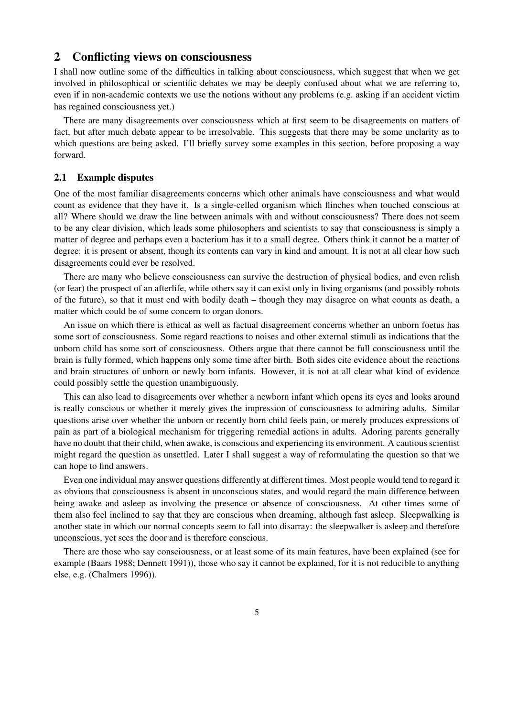## 2 Conflicting views on consciousness

I shall now outline some of the difficulties in talking about consciousness, which suggest that when we get involved in philosophical or scientific debates we may be deeply confused about what we are referring to, even if in non-academic contexts we use the notions without any problems (e.g. asking if an accident victim has regained consciousness yet.)

There are many disagreements over consciousness which at first seem to be disagreements on matters of fact, but after much debate appear to be irresolvable. This suggests that there may be some unclarity as to which questions are being asked. I'll briefly survey some examples in this section, before proposing a way forward.

#### 2.1 Example disputes

One of the most familiar disagreements concerns which other animals have consciousness and what would count as evidence that they have it. Is a single-celled organism which flinches when touched conscious at all? Where should we draw the line between animals with and without consciousness? There does not seem to be any clear division, which leads some philosophers and scientists to say that consciousness is simply a matter of degree and perhaps even a bacterium has it to a small degree. Others think it cannot be a matter of degree: it is present or absent, though its contents can vary in kind and amount. It is not at all clear how such disagreements could ever be resolved.

There are many who believe consciousness can survive the destruction of physical bodies, and even relish (or fear) the prospect of an afterlife, while others say it can exist only in living organisms (and possibly robots of the future), so that it must end with bodily death – though they may disagree on what counts as death, a matter which could be of some concern to organ donors.

An issue on which there is ethical as well as factual disagreement concerns whether an unborn foetus has some sort of consciousness. Some regard reactions to noises and other external stimuli as indications that the unborn child has some sort of consciousness. Others argue that there cannot be full consciousness until the brain is fully formed, which happens only some time after birth. Both sides cite evidence about the reactions and brain structures of unborn or newly born infants. However, it is not at all clear what kind of evidence could possibly settle the question unambiguously.

This can also lead to disagreements over whether a newborn infant which opens its eyes and looks around is really conscious or whether it merely gives the impression of consciousness to admiring adults. Similar questions arise over whether the unborn or recently born child feels pain, or merely produces expressions of pain as part of a biological mechanism for triggering remedial actions in adults. Adoring parents generally have no doubt that their child, when awake, is conscious and experiencing its environment. A cautious scientist might regard the question as unsettled. Later I shall suggest a way of reformulating the question so that we can hope to find answers.

Even one individual may answer questions differently at different times. Most people would tend to regard it as obvious that consciousness is absent in unconscious states, and would regard the main difference between being awake and asleep as involving the presence or absence of consciousness. At other times some of them also feel inclined to say that they are conscious when dreaming, although fast asleep. Sleepwalking is another state in which our normal concepts seem to fall into disarray: the sleepwalker is asleep and therefore unconscious, yet sees the door and is therefore conscious.

There are those who say consciousness, or at least some of its main features, have been explained (see for example (Baars 1988; Dennett 1991)), those who say it cannot be explained, for it is not reducible to anything else, e.g. (Chalmers 1996)).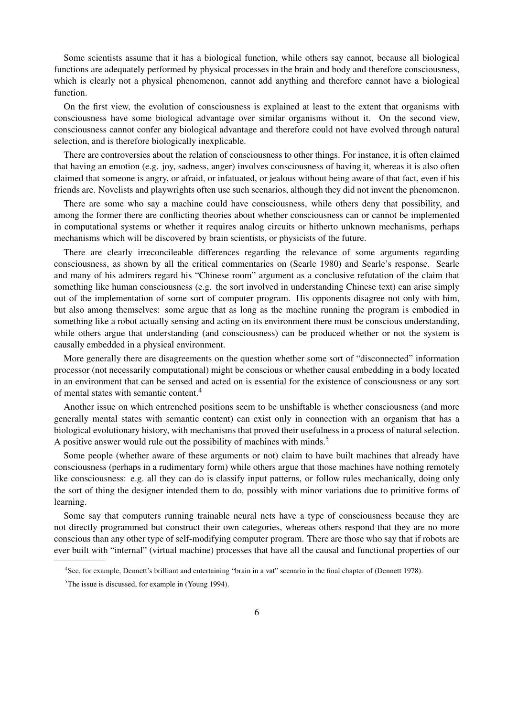Some scientists assume that it has a biological function, while others say cannot, because all biological functions are adequately performed by physical processes in the brain and body and therefore consciousness, which is clearly not a physical phenomenon, cannot add anything and therefore cannot have a biological function.

On the first view, the evolution of consciousness is explained at least to the extent that organisms with consciousness have some biological advantage over similar organisms without it. On the second view, consciousness cannot confer any biological advantage and therefore could not have evolved through natural selection, and is therefore biologically inexplicable.

There are controversies about the relation of consciousness to other things. For instance, it is often claimed that having an emotion (e.g. joy, sadness, anger) involves consciousness of having it, whereas it is also often claimed that someone is angry, or afraid, or infatuated, or jealous without being aware of that fact, even if his friends are. Novelists and playwrights often use such scenarios, although they did not invent the phenomenon.

There are some who say a machine could have consciousness, while others deny that possibility, and among the former there are conflicting theories about whether consciousness can or cannot be implemented in computational systems or whether it requires analog circuits or hitherto unknown mechanisms, perhaps mechanisms which will be discovered by brain scientists, or physicists of the future.

There are clearly irreconcileable differences regarding the relevance of some arguments regarding consciousness, as shown by all the critical commentaries on (Searle 1980) and Searle's response. Searle and many of his admirers regard his "Chinese room" argument as a conclusive refutation of the claim that something like human consciousness (e.g. the sort involved in understanding Chinese text) can arise simply out of the implementation of some sort of computer program. His opponents disagree not only with him, but also among themselves: some argue that as long as the machine running the program is embodied in something like a robot actually sensing and acting on its environment there must be conscious understanding, while others argue that understanding (and consciousness) can be produced whether or not the system is causally embedded in a physical environment.

More generally there are disagreements on the question whether some sort of "disconnected" information processor (not necessarily computational) might be conscious or whether causal embedding in a body located in an environment that can be sensed and acted on is essential for the existence of consciousness or any sort of mental states with semantic content.<sup>4</sup>

Another issue on which entrenched positions seem to be unshiftable is whether consciousness (and more generally mental states with semantic content) can exist only in connection with an organism that has a biological evolutionary history, with mechanisms that proved their usefulness in a process of natural selection. A positive answer would rule out the possibility of machines with minds.<sup>5</sup>

Some people (whether aware of these arguments or not) claim to have built machines that already have consciousness (perhaps in a rudimentary form) while others argue that those machines have nothing remotely like consciousness: e.g. all they can do is classify input patterns, or follow rules mechanically, doing only the sort of thing the designer intended them to do, possibly with minor variations due to primitive forms of learning.

Some say that computers running trainable neural nets have a type of consciousness because they are not directly programmed but construct their own categories, whereas others respond that they are no more conscious than any other type of self-modifying computer program. There are those who say that if robots are ever built with "internal" (virtual machine) processes that have all the causal and functional properties of our

<sup>4</sup> See, for example, Dennett's brilliant and entertaining "brain in a vat" scenario in the final chapter of (Dennett 1978).

 $5$ The issue is discussed, for example in (Young 1994).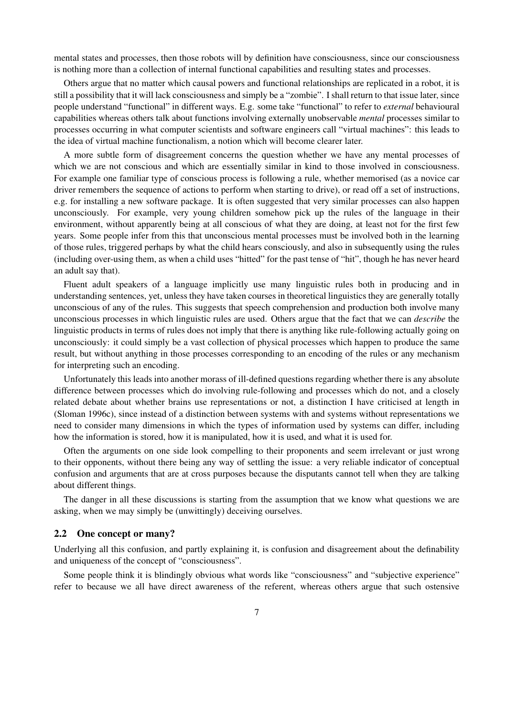mental states and processes, then those robots will by definition have consciousness, since our consciousness is nothing more than a collection of internal functional capabilities and resulting states and processes.

Others argue that no matter which causal powers and functional relationships are replicated in a robot, it is still a possibility that it will lack consciousness and simply be a "zombie". I shall return to that issue later, since people understand "functional" in different ways. E.g. some take "functional" to refer to *external* behavioural capabilities whereas others talk about functions involving externally unobservable *mental* processes similar to processes occurring in what computer scientists and software engineers call "virtual machines": this leads to the idea of virtual machine functionalism, a notion which will become clearer later.

A more subtle form of disagreement concerns the question whether we have any mental processes of which we are not conscious and which are essentially similar in kind to those involved in consciousness. For example one familiar type of conscious process is following a rule, whether memorised (as a novice car driver remembers the sequence of actions to perform when starting to drive), or read off a set of instructions, e.g. for installing a new software package. It is often suggested that very similar processes can also happen unconsciously. For example, very young children somehow pick up the rules of the language in their environment, without apparently being at all conscious of what they are doing, at least not for the first few years. Some people infer from this that unconscious mental processes must be involved both in the learning of those rules, triggered perhaps by what the child hears consciously, and also in subsequently using the rules (including over-using them, as when a child uses "hitted" for the past tense of "hit", though he has never heard an adult say that).

Fluent adult speakers of a language implicitly use many linguistic rules both in producing and in understanding sentences, yet, unless they have taken courses in theoretical linguistics they are generally totally unconscious of any of the rules. This suggests that speech comprehension and production both involve many unconscious processes in which linguistic rules are used. Others argue that the fact that we can *describe* the linguistic products in terms of rules does not imply that there is anything like rule-following actually going on unconsciously: it could simply be a vast collection of physical processes which happen to produce the same result, but without anything in those processes corresponding to an encoding of the rules or any mechanism for interpreting such an encoding.

Unfortunately this leads into another morass of ill-defined questions regarding whether there is any absolute difference between processes which do involving rule-following and processes which do not, and a closely related debate about whether brains use representations or not, a distinction I have criticised at length in (Sloman 1996c), since instead of a distinction between systems with and systems without representations we need to consider many dimensions in which the types of information used by systems can differ, including how the information is stored, how it is manipulated, how it is used, and what it is used for.

Often the arguments on one side look compelling to their proponents and seem irrelevant or just wrong to their opponents, without there being any way of settling the issue: a very reliable indicator of conceptual confusion and arguments that are at cross purposes because the disputants cannot tell when they are talking about different things.

The danger in all these discussions is starting from the assumption that we know what questions we are asking, when we may simply be (unwittingly) deceiving ourselves.

#### 2.2 One concept or many?

Underlying all this confusion, and partly explaining it, is confusion and disagreement about the definability and uniqueness of the concept of "consciousness".

Some people think it is blindingly obvious what words like "consciousness" and "subjective experience" refer to because we all have direct awareness of the referent, whereas others argue that such ostensive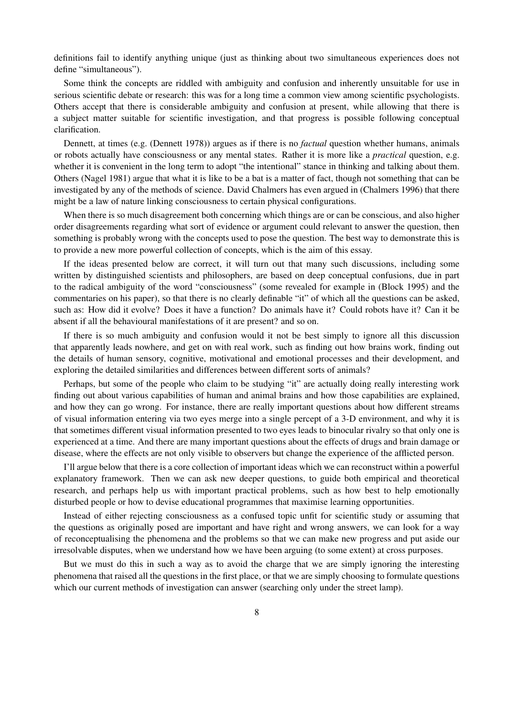definitions fail to identify anything unique (just as thinking about two simultaneous experiences does not define "simultaneous").

Some think the concepts are riddled with ambiguity and confusion and inherently unsuitable for use in serious scientific debate or research: this was for a long time a common view among scientific psychologists. Others accept that there is considerable ambiguity and confusion at present, while allowing that there is a subject matter suitable for scientific investigation, and that progress is possible following conceptual clarification.

Dennett, at times (e.g. (Dennett 1978)) argues as if there is no *factual* question whether humans, animals or robots actually have consciousness or any mental states. Rather it is more like a *practical* question, e.g. whether it is convenient in the long term to adopt "the intentional" stance in thinking and talking about them. Others (Nagel 1981) argue that what it is like to be a bat is a matter of fact, though not something that can be investigated by any of the methods of science. David Chalmers has even argued in (Chalmers 1996) that there might be a law of nature linking consciousness to certain physical configurations.

When there is so much disagreement both concerning which things are or can be conscious, and also higher order disagreements regarding what sort of evidence or argument could relevant to answer the question, then something is probably wrong with the concepts used to pose the question. The best way to demonstrate this is to provide a new more powerful collection of concepts, which is the aim of this essay.

If the ideas presented below are correct, it will turn out that many such discussions, including some written by distinguished scientists and philosophers, are based on deep conceptual confusions, due in part to the radical ambiguity of the word "consciousness" (some revealed for example in (Block 1995) and the commentaries on his paper), so that there is no clearly definable "it" of which all the questions can be asked, such as: How did it evolve? Does it have a function? Do animals have it? Could robots have it? Can it be absent if all the behavioural manifestations of it are present? and so on.

If there is so much ambiguity and confusion would it not be best simply to ignore all this discussion that apparently leads nowhere, and get on with real work, such as finding out how brains work, finding out the details of human sensory, cognitive, motivational and emotional processes and their development, and exploring the detailed similarities and differences between different sorts of animals?

Perhaps, but some of the people who claim to be studying "it" are actually doing really interesting work finding out about various capabilities of human and animal brains and how those capabilities are explained, and how they can go wrong. For instance, there are really important questions about how different streams of visual information entering via two eyes merge into a single percept of a 3-D environment, and why it is that sometimes different visual information presented to two eyes leads to binocular rivalry so that only one is experienced at a time. And there are many important questions about the effects of drugs and brain damage or disease, where the effects are not only visible to observers but change the experience of the afflicted person.

I'll argue below that there is a core collection of important ideas which we can reconstruct within a powerful explanatory framework. Then we can ask new deeper questions, to guide both empirical and theoretical research, and perhaps help us with important practical problems, such as how best to help emotionally disturbed people or how to devise educational programmes that maximise learning opportunities.

Instead of either rejecting consciousness as a confused topic unfit for scientific study or assuming that the questions as originally posed are important and have right and wrong answers, we can look for a way of reconceptualising the phenomena and the problems so that we can make new progress and put aside our irresolvable disputes, when we understand how we have been arguing (to some extent) at cross purposes.

But we must do this in such a way as to avoid the charge that we are simply ignoring the interesting phenomena that raised all the questions in the first place, or that we are simply choosing to formulate questions which our current methods of investigation can answer (searching only under the street lamp).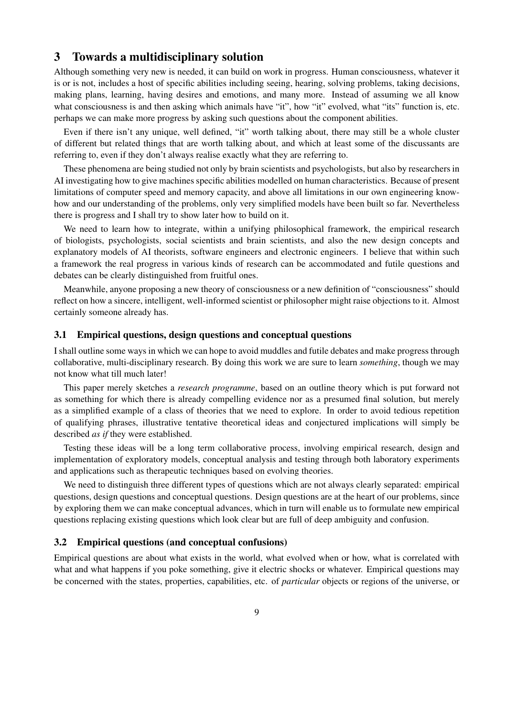# 3 Towards a multidisciplinary solution

Although something very new is needed, it can build on work in progress. Human consciousness, whatever it is or is not, includes a host of specific abilities including seeing, hearing, solving problems, taking decisions, making plans, learning, having desires and emotions, and many more. Instead of assuming we all know what consciousness is and then asking which animals have "it", how "it" evolved, what "its" function is, etc. perhaps we can make more progress by asking such questions about the component abilities.

Even if there isn't any unique, well defined, "it" worth talking about, there may still be a whole cluster of different but related things that are worth talking about, and which at least some of the discussants are referring to, even if they don't always realise exactly what they are referring to.

These phenomena are being studied not only by brain scientists and psychologists, but also by researchers in AI investigating how to give machines specific abilities modelled on human characteristics. Because of present limitations of computer speed and memory capacity, and above all limitations in our own engineering knowhow and our understanding of the problems, only very simplified models have been built so far. Nevertheless there is progress and I shall try to show later how to build on it.

We need to learn how to integrate, within a unifying philosophical framework, the empirical research of biologists, psychologists, social scientists and brain scientists, and also the new design concepts and explanatory models of AI theorists, software engineers and electronic engineers. I believe that within such a framework the real progress in various kinds of research can be accommodated and futile questions and debates can be clearly distinguished from fruitful ones.

Meanwhile, anyone proposing a new theory of consciousness or a new definition of "consciousness" should reflect on how a sincere, intelligent, well-informed scientist or philosopher might raise objections to it. Almost certainly someone already has.

### 3.1 Empirical questions, design questions and conceptual questions

I shall outline some ways in which we can hope to avoid muddles and futile debates and make progress through collaborative, multi-disciplinary research. By doing this work we are sure to learn *something*, though we may not know what till much later!

This paper merely sketches a *research programme*, based on an outline theory which is put forward not as something for which there is already compelling evidence nor as a presumed final solution, but merely as a simplified example of a class of theories that we need to explore. In order to avoid tedious repetition of qualifying phrases, illustrative tentative theoretical ideas and conjectured implications will simply be described *as if* they were established.

Testing these ideas will be a long term collaborative process, involving empirical research, design and implementation of exploratory models, conceptual analysis and testing through both laboratory experiments and applications such as therapeutic techniques based on evolving theories.

We need to distinguish three different types of questions which are not always clearly separated: empirical questions, design questions and conceptual questions. Design questions are at the heart of our problems, since by exploring them we can make conceptual advances, which in turn will enable us to formulate new empirical questions replacing existing questions which look clear but are full of deep ambiguity and confusion.

#### 3.2 Empirical questions (and conceptual confusions)

Empirical questions are about what exists in the world, what evolved when or how, what is correlated with what and what happens if you poke something, give it electric shocks or whatever. Empirical questions may be concerned with the states, properties, capabilities, etc. of *particular* objects or regions of the universe, or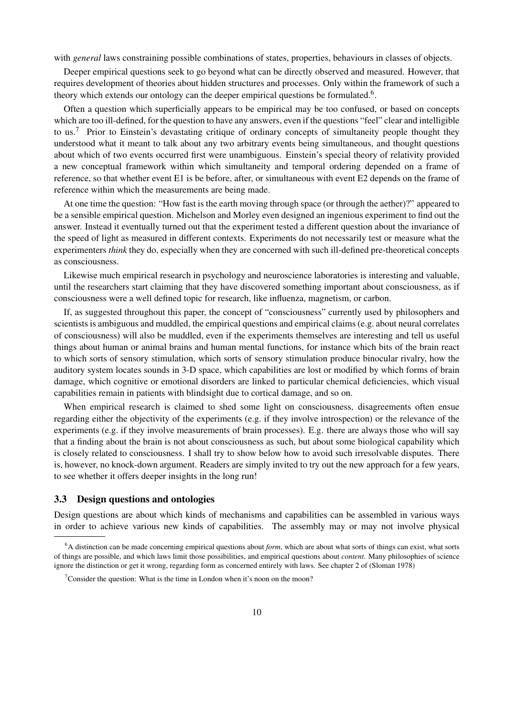with *general* laws constraining possible combinations of states, properties, behaviours in classes of objects.

Deeper empirical questions seek to go beyond what can be directly observed and measured. However, that requires development of theories about hidden structures and processes. Only within the framework of such a theory which extends our ontology can the deeper empirical questions be formulated.<sup>6</sup>.

Often a question which superficially appears to be empirical may be too confused, or based on concepts which are too ill-defined, for the question to have any answers, even if the questions "feel" clear and intelligible to us.<sup>7</sup> Prior to Einstein's devastating critique of ordinary concepts of simultaneity people thought they understood what it meant to talk about any two arbitrary events being simultaneous, and thought questions about which of two events occurred first were unambiguous. Einstein's special theory of relativity provided a new conceptual framework within which simultaneity and temporal ordering depended on a frame of reference, so that whether event E1 is be before, after, or simultaneous with event E2 depends on the frame of reference within which the measurements are being made.

At one time the question: "How fast is the earth moving through space (or through the aether)?" appeared to be a sensible empirical question. Michelson and Morley even designed an ingenious experiment to find out the answer. Instead it eventually turned out that the experiment tested a different question about the invariance of the speed of light as measured in different contexts. Experiments do not necessarily test or measure what the experimenters *think* they do, especially when they are concerned with such ill-defined pre-theoretical concepts as consciousness.

Likewise much empirical research in psychology and neuroscience laboratories is interesting and valuable, until the researchers start claiming that they have discovered something important about consciousness, as if consciousness were a well defined topic for research, like influenza, magnetism, or carbon.

If, as suggested throughout this paper, the concept of "consciousness" currently used by philosophers and scientists is ambiguous and muddled, the empirical questions and empirical claims (e.g. about neural correlates of consciousness) will also be muddled, even if the experiments themselves are interesting and tell us useful things about human or animal brains and human mental functions, for instance which bits of the brain react to which sorts of sensory stimulation, which sorts of sensory stimulation produce binocular rivalry, how the auditory system locates sounds in 3-D space, which capabilities are lost or modified by which forms of brain damage, which cognitive or emotional disorders are linked to particular chemical deficiencies, which visual capabilities remain in patients with blindsight due to cortical damage, and so on.

When empirical research is claimed to shed some light on consciousness, disagreements often ensue regarding either the objectivity of the experiments (e.g. if they involve introspection) or the relevance of the experiments (e.g. if they involve measurements of brain processes). E.g. there are always those who will say that a finding about the brain is not about consciousness as such, but about some biological capability which is closely related to consciousness. I shall try to show below how to avoid such irresolvable disputes. There is, however, no knock-down argument. Readers are simply invited to try out the new approach for a few years, to see whether it offers deeper insights in the long run!

### 3.3 Design questions and ontologies

Design questions are about which kinds of mechanisms and capabilities can be assembled in various ways in order to achieve various new kinds of capabilities. The assembly may or may not involve physical

<sup>6</sup>A distinction can be made concerning empirical questions about *form*, which are about what sorts of things can exist, what sorts of things are possible, and which laws limit those possibilities, and empirical questions about *content*. Many philosophies of science ignore the distinction or get it wrong, regarding form as concerned entirely with laws. See chapter 2 of (Sloman 1978)

<sup>&</sup>lt;sup>7</sup>Consider the question: What is the time in London when it's noon on the moon?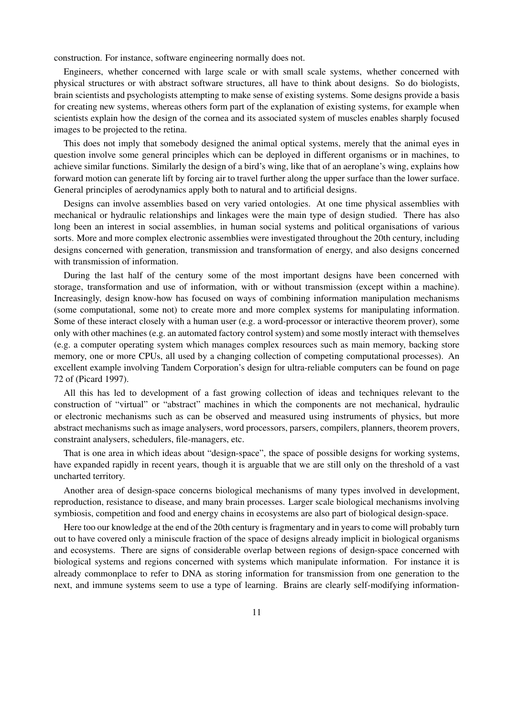construction. For instance, software engineering normally does not.

Engineers, whether concerned with large scale or with small scale systems, whether concerned with physical structures or with abstract software structures, all have to think about designs. So do biologists, brain scientists and psychologists attempting to make sense of existing systems. Some designs provide a basis for creating new systems, whereas others form part of the explanation of existing systems, for example when scientists explain how the design of the cornea and its associated system of muscles enables sharply focused images to be projected to the retina.

This does not imply that somebody designed the animal optical systems, merely that the animal eyes in question involve some general principles which can be deployed in different organisms or in machines, to achieve similar functions. Similarly the design of a bird's wing, like that of an aeroplane's wing, explains how forward motion can generate lift by forcing air to travel further along the upper surface than the lower surface. General principles of aerodynamics apply both to natural and to artificial designs.

Designs can involve assemblies based on very varied ontologies. At one time physical assemblies with mechanical or hydraulic relationships and linkages were the main type of design studied. There has also long been an interest in social assemblies, in human social systems and political organisations of various sorts. More and more complex electronic assemblies were investigated throughout the 20th century, including designs concerned with generation, transmission and transformation of energy, and also designs concerned with transmission of information.

During the last half of the century some of the most important designs have been concerned with storage, transformation and use of information, with or without transmission (except within a machine). Increasingly, design know-how has focused on ways of combining information manipulation mechanisms (some computational, some not) to create more and more complex systems for manipulating information. Some of these interact closely with a human user (e.g. a word-processor or interactive theorem prover), some only with other machines (e.g. an automated factory control system) and some mostly interact with themselves (e.g. a computer operating system which manages complex resources such as main memory, backing store memory, one or more CPUs, all used by a changing collection of competing computational processes). An excellent example involving Tandem Corporation's design for ultra-reliable computers can be found on page 72 of (Picard 1997).

All this has led to development of a fast growing collection of ideas and techniques relevant to the construction of "virtual" or "abstract" machines in which the components are not mechanical, hydraulic or electronic mechanisms such as can be observed and measured using instruments of physics, but more abstract mechanisms such as image analysers, word processors, parsers, compilers, planners, theorem provers, constraint analysers, schedulers, file-managers, etc.

That is one area in which ideas about "design-space", the space of possible designs for working systems, have expanded rapidly in recent years, though it is arguable that we are still only on the threshold of a vast uncharted territory.

Another area of design-space concerns biological mechanisms of many types involved in development, reproduction, resistance to disease, and many brain processes. Larger scale biological mechanisms involving symbiosis, competition and food and energy chains in ecosystems are also part of biological design-space.

Here too our knowledge at the end of the 20th century is fragmentary and in years to come will probably turn out to have covered only a miniscule fraction of the space of designs already implicit in biological organisms and ecosystems. There are signs of considerable overlap between regions of design-space concerned with biological systems and regions concerned with systems which manipulate information. For instance it is already commonplace to refer to DNA as storing information for transmission from one generation to the next, and immune systems seem to use a type of learning. Brains are clearly self-modifying information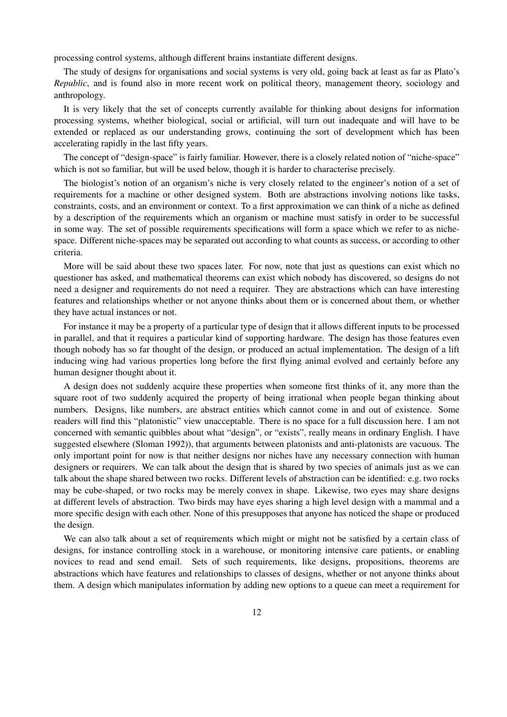processing control systems, although different brains instantiate different designs.

The study of designs for organisations and social systems is very old, going back at least as far as Plato's *Republic*, and is found also in more recent work on political theory, management theory, sociology and anthropology.

It is very likely that the set of concepts currently available for thinking about designs for information processing systems, whether biological, social or artificial, will turn out inadequate and will have to be extended or replaced as our understanding grows, continuing the sort of development which has been accelerating rapidly in the last fifty years.

The concept of "design-space" is fairly familiar. However, there is a closely related notion of "niche-space" which is not so familiar, but will be used below, though it is harder to characterise precisely.

The biologist's notion of an organism's niche is very closely related to the engineer's notion of a set of requirements for a machine or other designed system. Both are abstractions involving notions like tasks, constraints, costs, and an environment or context. To a first approximation we can think of a niche as defined by a description of the requirements which an organism or machine must satisfy in order to be successful in some way. The set of possible requirements specifications will form a space which we refer to as nichespace. Different niche-spaces may be separated out according to what counts as success, or according to other criteria.

More will be said about these two spaces later. For now, note that just as questions can exist which no questioner has asked, and mathematical theorems can exist which nobody has discovered, so designs do not need a designer and requirements do not need a requirer. They are abstractions which can have interesting features and relationships whether or not anyone thinks about them or is concerned about them, or whether they have actual instances or not.

For instance it may be a property of a particular type of design that it allows different inputs to be processed in parallel, and that it requires a particular kind of supporting hardware. The design has those features even though nobody has so far thought of the design, or produced an actual implementation. The design of a lift inducing wing had various properties long before the first flying animal evolved and certainly before any human designer thought about it.

A design does not suddenly acquire these properties when someone first thinks of it, any more than the square root of two suddenly acquired the property of being irrational when people began thinking about numbers. Designs, like numbers, are abstract entities which cannot come in and out of existence. Some readers will find this "platonistic" view unacceptable. There is no space for a full discussion here. I am not concerned with semantic quibbles about what "design", or "exists", really means in ordinary English. I have suggested elsewhere (Sloman 1992)), that arguments between platonists and anti-platonists are vacuous. The only important point for now is that neither designs nor niches have any necessary connection with human designers or requirers. We can talk about the design that is shared by two species of animals just as we can talk about the shape shared between two rocks. Different levels of abstraction can be identified: e.g. two rocks may be cube-shaped, or two rocks may be merely convex in shape. Likewise, two eyes may share designs at different levels of abstraction. Two birds may have eyes sharing a high level design with a mammal and a more specific design with each other. None of this presupposes that anyone has noticed the shape or produced the design.

We can also talk about a set of requirements which might or might not be satisfied by a certain class of designs, for instance controlling stock in a warehouse, or monitoring intensive care patients, or enabling novices to read and send email. Sets of such requirements, like designs, propositions, theorems are abstractions which have features and relationships to classes of designs, whether or not anyone thinks about them. A design which manipulates information by adding new options to a queue can meet a requirement for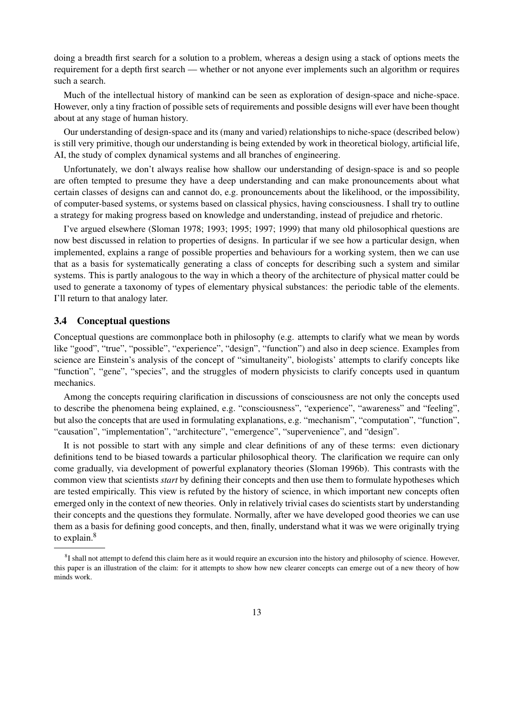doing a breadth first search for a solution to a problem, whereas a design using a stack of options meets the requirement for a depth first search — whether or not anyone ever implements such an algorithm or requires such a search.

Much of the intellectual history of mankind can be seen as exploration of design-space and niche-space. However, only a tiny fraction of possible sets of requirements and possible designs will ever have been thought about at any stage of human history.

Our understanding of design-space and its (many and varied) relationships to niche-space (described below) is still very primitive, though our understanding is being extended by work in theoretical biology, artificial life, AI, the study of complex dynamical systems and all branches of engineering.

Unfortunately, we don't always realise how shallow our understanding of design-space is and so people are often tempted to presume they have a deep understanding and can make pronouncements about what certain classes of designs can and cannot do, e.g. pronouncements about the likelihood, or the impossibility, of computer-based systems, or systems based on classical physics, having consciousness. I shall try to outline a strategy for making progress based on knowledge and understanding, instead of prejudice and rhetoric.

I've argued elsewhere (Sloman 1978; 1993; 1995; 1997; 1999) that many old philosophical questions are now best discussed in relation to properties of designs. In particular if we see how a particular design, when implemented, explains a range of possible properties and behaviours for a working system, then we can use that as a basis for systematically generating a class of concepts for describing such a system and similar systems. This is partly analogous to the way in which a theory of the architecture of physical matter could be used to generate a taxonomy of types of elementary physical substances: the periodic table of the elements. I'll return to that analogy later.

### 3.4 Conceptual questions

Conceptual questions are commonplace both in philosophy (e.g. attempts to clarify what we mean by words like "good", "true", "possible", "experience", "design", "function") and also in deep science. Examples from science are Einstein's analysis of the concept of "simultaneity", biologists' attempts to clarify concepts like "function", "gene", "species", and the struggles of modern physicists to clarify concepts used in quantum mechanics.

Among the concepts requiring clarification in discussions of consciousness are not only the concepts used to describe the phenomena being explained, e.g. "consciousness", "experience", "awareness" and "feeling", but also the concepts that are used in formulating explanations, e.g. "mechanism", "computation", "function", "causation", "implementation", "architecture", "emergence", "supervenience", and "design".

It is not possible to start with any simple and clear definitions of any of these terms: even dictionary definitions tend to be biased towards a particular philosophical theory. The clarification we require can only come gradually, via development of powerful explanatory theories (Sloman 1996b). This contrasts with the common view that scientists *start* by defining their concepts and then use them to formulate hypotheses which are tested empirically. This view is refuted by the history of science, in which important new concepts often emerged only in the context of new theories. Only in relatively trivial cases do scientists start by understanding their concepts and the questions they formulate. Normally, after we have developed good theories we can use them as a basis for defining good concepts, and then, finally, understand what it was we were originally trying to explain.<sup>8</sup>

 ${}^{8}I$  shall not attempt to defend this claim here as it would require an excursion into the history and philosophy of science. However, this paper is an illustration of the claim: for it attempts to show how new clearer concepts can emerge out of a new theory of how minds work.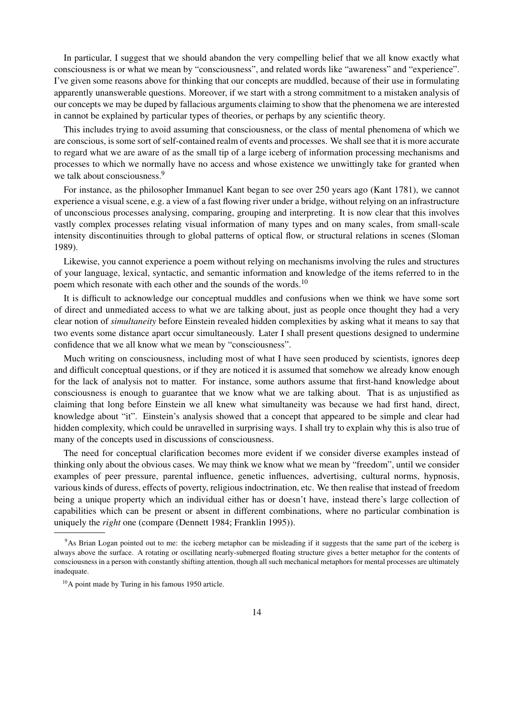In particular, I suggest that we should abandon the very compelling belief that we all know exactly what consciousness is or what we mean by "consciousness", and related words like "awareness" and "experience". I've given some reasons above for thinking that our concepts are muddled, because of their use in formulating apparently unanswerable questions. Moreover, if we start with a strong commitment to a mistaken analysis of our concepts we may be duped by fallacious arguments claiming to show that the phenomena we are interested in cannot be explained by particular types of theories, or perhaps by any scientific theory.

This includes trying to avoid assuming that consciousness, or the class of mental phenomena of which we are conscious, is some sort of self-contained realm of events and processes. We shall see that it is more accurate to regard what we are aware of as the small tip of a large iceberg of information processing mechanisms and processes to which we normally have no access and whose existence we unwittingly take for granted when we talk about consciousness.<sup>9</sup>

For instance, as the philosopher Immanuel Kant began to see over 250 years ago (Kant 1781), we cannot experience a visual scene, e.g. a view of a fast flowing river under a bridge, without relying on an infrastructure of unconscious processes analysing, comparing, grouping and interpreting. It is now clear that this involves vastly complex processes relating visual information of many types and on many scales, from small-scale intensity discontinuities through to global patterns of optical flow, or structural relations in scenes (Sloman 1989).

Likewise, you cannot experience a poem without relying on mechanisms involving the rules and structures of your language, lexical, syntactic, and semantic information and knowledge of the items referred to in the poem which resonate with each other and the sounds of the words.<sup>10</sup>

It is difficult to acknowledge our conceptual muddles and confusions when we think we have some sort of direct and unmediated access to what we are talking about, just as people once thought they had a very clear notion of *simultaneity* before Einstein revealed hidden complexities by asking what it means to say that two events some distance apart occur simultaneously. Later I shall present questions designed to undermine confidence that we all know what we mean by "consciousness".

Much writing on consciousness, including most of what I have seen produced by scientists, ignores deep and difficult conceptual questions, or if they are noticed it is assumed that somehow we already know enough for the lack of analysis not to matter. For instance, some authors assume that first-hand knowledge about consciousness is enough to guarantee that we know what we are talking about. That is as unjustified as claiming that long before Einstein we all knew what simultaneity was because we had first hand, direct, knowledge about "it". Einstein's analysis showed that a concept that appeared to be simple and clear had hidden complexity, which could be unravelled in surprising ways. I shall try to explain why this is also true of many of the concepts used in discussions of consciousness.

The need for conceptual clarification becomes more evident if we consider diverse examples instead of thinking only about the obvious cases. We may think we know what we mean by "freedom", until we consider examples of peer pressure, parental influence, genetic influences, advertising, cultural norms, hypnosis, various kinds of duress, effects of poverty, religious indoctrination, etc. We then realise that instead of freedom being a unique property which an individual either has or doesn't have, instead there's large collection of capabilities which can be present or absent in different combinations, where no particular combination is uniquely the *right* one (compare (Dennett 1984; Franklin 1995)).

<sup>9</sup>As Brian Logan pointed out to me: the iceberg metaphor can be misleading if it suggests that the same part of the iceberg is always above the surface. A rotating or oscillating nearly-submerged floating structure gives a better metaphor for the contents of consciousness in a person with constantly shifting attention, though all such mechanical metaphors for mental processes are ultimately inadequate.

<sup>&</sup>lt;sup>10</sup>A point made by Turing in his famous 1950 article.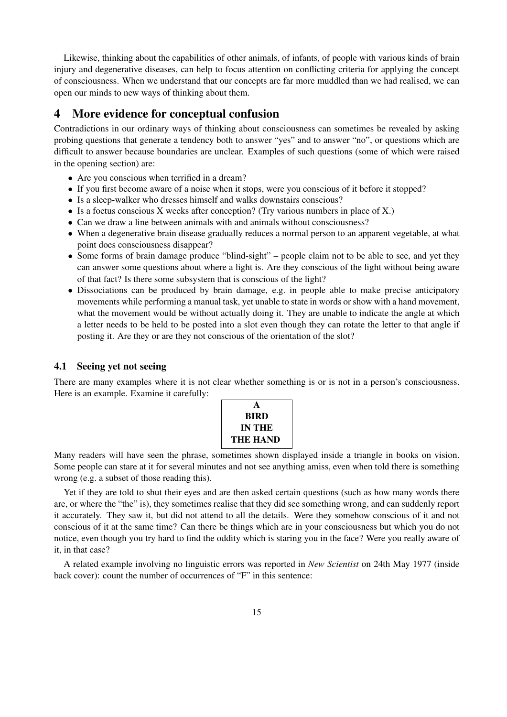Likewise, thinking about the capabilities of other animals, of infants, of people with various kinds of brain injury and degenerative diseases, can help to focus attention on conflicting criteria for applying the concept of consciousness. When we understand that our concepts are far more muddled than we had realised, we can open our minds to new ways of thinking about them.

# 4 More evidence for conceptual confusion

Contradictions in our ordinary ways of thinking about consciousness can sometimes be revealed by asking probing questions that generate a tendency both to answer "yes" and to answer "no", or questions which are difficult to answer because boundaries are unclear. Examples of such questions (some of which were raised in the opening section) are:

- Are you conscious when terrified in a dream?
- If you first become aware of a noise when it stops, were you conscious of it before it stopped?
- Is a sleep-walker who dresses himself and walks downstairs conscious?
- Is a foetus conscious X weeks after conception? (Try various numbers in place of X.)
- Can we draw a line between animals with and animals without consciousness?
- When a degenerative brain disease gradually reduces a normal person to an apparent vegetable, at what point does consciousness disappear?
- Some forms of brain damage produce "blind-sight" people claim not to be able to see, and yet they can answer some questions about where a light is. Are they conscious of the light without being aware of that fact? Is there some subsystem that is conscious of the light?
- Dissociations can be produced by brain damage, e.g. in people able to make precise anticipatory movements while performing a manual task, yet unable to state in words or show with a hand movement, what the movement would be without actually doing it. They are unable to indicate the angle at which a letter needs to be held to be posted into a slot even though they can rotate the letter to that angle if posting it. Are they or are they not conscious of the orientation of the slot?

#### 4.1 Seeing yet not seeing

There are many examples where it is not clear whether something is or is not in a person's consciousness. Here is an example. Examine it carefully:

Many readers will have seen the phrase, sometimes shown displayed inside a triangle in books on vision. Some people can stare at it for several minutes and not see anything amiss, even when told there is something wrong (e.g. a subset of those reading this).

Yet if they are told to shut their eyes and are then asked certain questions (such as how many words there are, or where the "the" is), they sometimes realise that they did see something wrong, and can suddenly report it accurately. They saw it, but did not attend to all the details. Were they somehow conscious of it and not conscious of it at the same time? Can there be things which are in your consciousness but which you do not notice, even though you try hard to find the oddity which is staring you in the face? Were you really aware of it, in that case?

A related example involving no linguistic errors was reported in *New Scientist* on 24th May 1977 (inside back cover): count the number of occurrences of "F" in this sentence: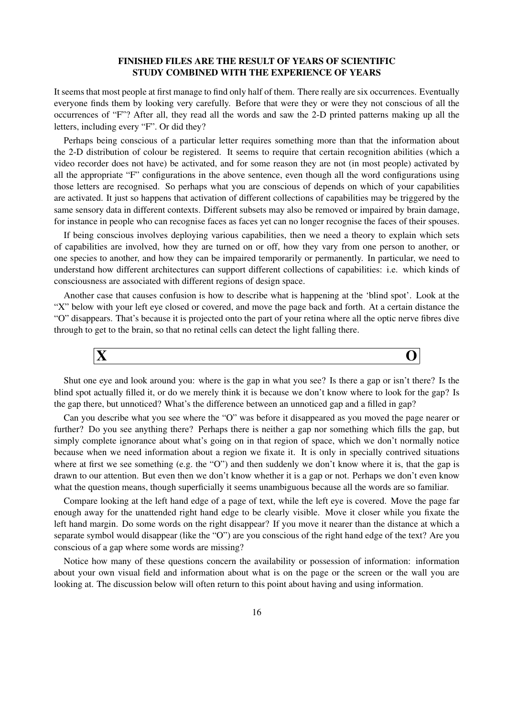### FINISHED FILES ARE THE RESULT OF YEARS OF SCIENTIFIC STUDY COMBINED WITH THE EXPERIENCE OF YEARS

It seems that most people at first manage to find only half of them. There really are six occurrences. Eventually everyone finds them by looking very carefully. Before that were they or were they not conscious of all the occurrences of "F"? After all, they read all the words and saw the 2-D printed patterns making up all the letters, including every "F". Or did they?

Perhaps being conscious of a particular letter requires something more than that the information about the 2-D distribution of colour be registered. It seems to require that certain recognition abilities (which a video recorder does not have) be activated, and for some reason they are not (in most people) activated by all the appropriate "F" configurations in the above sentence, even though all the word configurations using those letters are recognised. So perhaps what you are conscious of depends on which of your capabilities are activated. It just so happens that activation of different collections of capabilities may be triggered by the same sensory data in different contexts. Different subsets may also be removed or impaired by brain damage, for instance in people who can recognise faces as faces yet can no longer recognise the faces of their spouses.

If being conscious involves deploying various capabilities, then we need a theory to explain which sets of capabilities are involved, how they are turned on or off, how they vary from one person to another, or one species to another, and how they can be impaired temporarily or permanently. In particular, we need to understand how different architectures can support different collections of capabilities: i.e. which kinds of consciousness are associated with different regions of design space.

Another case that causes confusion is how to describe what is happening at the 'blind spot'. Look at the "X" below with your left eye closed or covered, and move the page back and forth. At a certain distance the "O" disappears. That's because it is projected onto the part of your retina where all the optic nerve fibres dive through to get to the brain, so that no retinal cells can detect the light falling there.



Shut one eye and look around you: where is the gap in what you see? Is there a gap or isn't there? Is the blind spot actually filled it, or do we merely think it is because we don't know where to look for the gap? Is the gap there, but unnoticed? What's the difference between an unnoticed gap and a filled in gap?

Can you describe what you see where the "O" was before it disappeared as you moved the page nearer or further? Do you see anything there? Perhaps there is neither a gap nor something which fills the gap, but simply complete ignorance about what's going on in that region of space, which we don't normally notice because when we need information about a region we fixate it. It is only in specially contrived situations where at first we see something (e.g. the "O") and then suddenly we don't know where it is, that the gap is drawn to our attention. But even then we don't know whether it is a gap or not. Perhaps we don't even know what the question means, though superficially it seems unambiguous because all the words are so familiar.

Compare looking at the left hand edge of a page of text, while the left eye is covered. Move the page far enough away for the unattended right hand edge to be clearly visible. Move it closer while you fixate the left hand margin. Do some words on the right disappear? If you move it nearer than the distance at which a separate symbol would disappear (like the "O") are you conscious of the right hand edge of the text? Are you conscious of a gap where some words are missing?

Notice how many of these questions concern the availability or possession of information: information about your own visual field and information about what is on the page or the screen or the wall you are looking at. The discussion below will often return to this point about having and using information.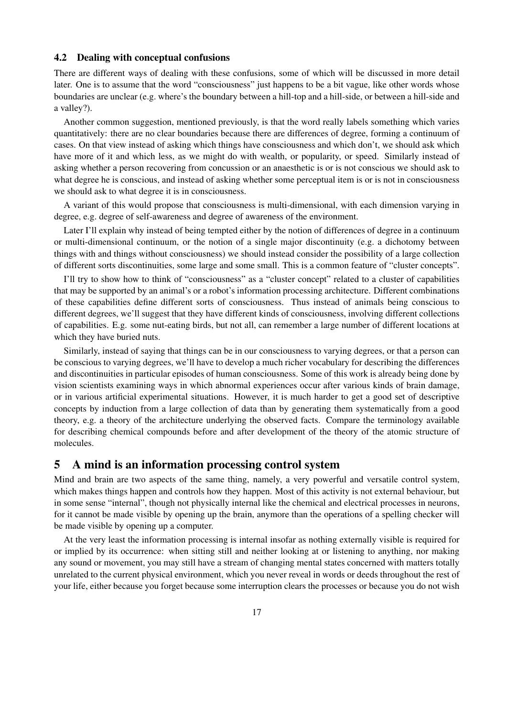#### 4.2 Dealing with conceptual confusions

There are different ways of dealing with these confusions, some of which will be discussed in more detail later. One is to assume that the word "consciousness" just happens to be a bit vague, like other words whose boundaries are unclear (e.g. where's the boundary between a hill-top and a hill-side, or between a hill-side and a valley?).

Another common suggestion, mentioned previously, is that the word really labels something which varies quantitatively: there are no clear boundaries because there are differences of degree, forming a continuum of cases. On that view instead of asking which things have consciousness and which don't, we should ask which have more of it and which less, as we might do with wealth, or popularity, or speed. Similarly instead of asking whether a person recovering from concussion or an anaesthetic is or is not conscious we should ask to what degree he is conscious, and instead of asking whether some perceptual item is or is not in consciousness we should ask to what degree it is in consciousness.

A variant of this would propose that consciousness is multi-dimensional, with each dimension varying in degree, e.g. degree of self-awareness and degree of awareness of the environment.

Later I'll explain why instead of being tempted either by the notion of differences of degree in a continuum or multi-dimensional continuum, or the notion of a single major discontinuity (e.g. a dichotomy between things with and things without consciousness) we should instead consider the possibility of a large collection of different sorts discontinuities, some large and some small. This is a common feature of "cluster concepts".

I'll try to show how to think of "consciousness" as a "cluster concept" related to a cluster of capabilities that may be supported by an animal's or a robot's information processing architecture. Different combinations of these capabilities define different sorts of consciousness. Thus instead of animals being conscious to different degrees, we'll suggest that they have different kinds of consciousness, involving different collections of capabilities. E.g. some nut-eating birds, but not all, can remember a large number of different locations at which they have buried nuts.

Similarly, instead of saying that things can be in our consciousness to varying degrees, or that a person can be conscious to varying degrees, we'll have to develop a much richer vocabulary for describing the differences and discontinuities in particular episodes of human consciousness. Some of this work is already being done by vision scientists examining ways in which abnormal experiences occur after various kinds of brain damage, or in various artificial experimental situations. However, it is much harder to get a good set of descriptive concepts by induction from a large collection of data than by generating them systematically from a good theory, e.g. a theory of the architecture underlying the observed facts. Compare the terminology available for describing chemical compounds before and after development of the theory of the atomic structure of molecules.

## 5 A mind is an information processing control system

Mind and brain are two aspects of the same thing, namely, a very powerful and versatile control system, which makes things happen and controls how they happen. Most of this activity is not external behaviour, but in some sense "internal", though not physically internal like the chemical and electrical processes in neurons, for it cannot be made visible by opening up the brain, anymore than the operations of a spelling checker will be made visible by opening up a computer.

At the very least the information processing is internal insofar as nothing externally visible is required for or implied by its occurrence: when sitting still and neither looking at or listening to anything, nor making any sound or movement, you may still have a stream of changing mental states concerned with matters totally unrelated to the current physical environment, which you never reveal in words or deeds throughout the rest of your life, either because you forget because some interruption clears the processes or because you do not wish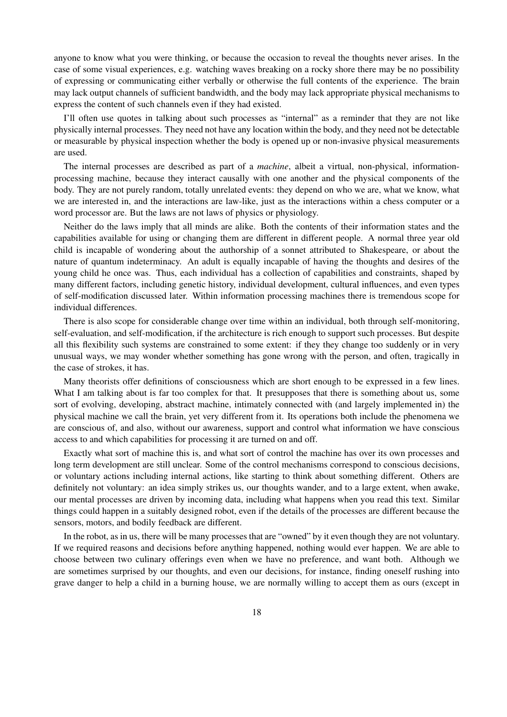anyone to know what you were thinking, or because the occasion to reveal the thoughts never arises. In the case of some visual experiences, e.g. watching waves breaking on a rocky shore there may be no possibility of expressing or communicating either verbally or otherwise the full contents of the experience. The brain may lack output channels of sufficient bandwidth, and the body may lack appropriate physical mechanisms to express the content of such channels even if they had existed.

I'll often use quotes in talking about such processes as "internal" as a reminder that they are not like physically internal processes. They need not have any location within the body, and they need not be detectable or measurable by physical inspection whether the body is opened up or non-invasive physical measurements are used.

The internal processes are described as part of a *machine*, albeit a virtual, non-physical, informationprocessing machine, because they interact causally with one another and the physical components of the body. They are not purely random, totally unrelated events: they depend on who we are, what we know, what we are interested in, and the interactions are law-like, just as the interactions within a chess computer or a word processor are. But the laws are not laws of physics or physiology.

Neither do the laws imply that all minds are alike. Both the contents of their information states and the capabilities available for using or changing them are different in different people. A normal three year old child is incapable of wondering about the authorship of a sonnet attributed to Shakespeare, or about the nature of quantum indeterminacy. An adult is equally incapable of having the thoughts and desires of the young child he once was. Thus, each individual has a collection of capabilities and constraints, shaped by many different factors, including genetic history, individual development, cultural influences, and even types of self-modification discussed later. Within information processing machines there is tremendous scope for individual differences.

There is also scope for considerable change over time within an individual, both through self-monitoring, self-evaluation, and self-modification, if the architecture is rich enough to support such processes. But despite all this flexibility such systems are constrained to some extent: if they they change too suddenly or in very unusual ways, we may wonder whether something has gone wrong with the person, and often, tragically in the case of strokes, it has.

Many theorists offer definitions of consciousness which are short enough to be expressed in a few lines. What I am talking about is far too complex for that. It presupposes that there is something about us, some sort of evolving, developing, abstract machine, intimately connected with (and largely implemented in) the physical machine we call the brain, yet very different from it. Its operations both include the phenomena we are conscious of, and also, without our awareness, support and control what information we have conscious access to and which capabilities for processing it are turned on and off.

Exactly what sort of machine this is, and what sort of control the machine has over its own processes and long term development are still unclear. Some of the control mechanisms correspond to conscious decisions, or voluntary actions including internal actions, like starting to think about something different. Others are definitely not voluntary: an idea simply strikes us, our thoughts wander, and to a large extent, when awake, our mental processes are driven by incoming data, including what happens when you read this text. Similar things could happen in a suitably designed robot, even if the details of the processes are different because the sensors, motors, and bodily feedback are different.

In the robot, as in us, there will be many processes that are "owned" by it even though they are not voluntary. If we required reasons and decisions before anything happened, nothing would ever happen. We are able to choose between two culinary offerings even when we have no preference, and want both. Although we are sometimes surprised by our thoughts, and even our decisions, for instance, finding oneself rushing into grave danger to help a child in a burning house, we are normally willing to accept them as ours (except in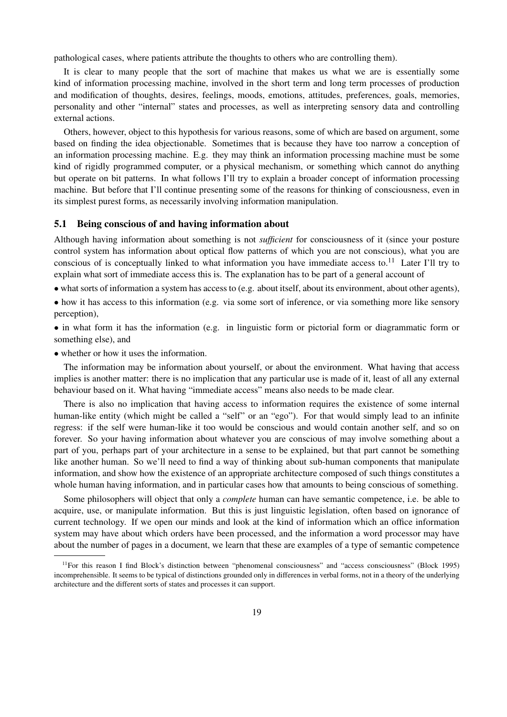pathological cases, where patients attribute the thoughts to others who are controlling them).

It is clear to many people that the sort of machine that makes us what we are is essentially some kind of information processing machine, involved in the short term and long term processes of production and modification of thoughts, desires, feelings, moods, emotions, attitudes, preferences, goals, memories, personality and other "internal" states and processes, as well as interpreting sensory data and controlling external actions.

Others, however, object to this hypothesis for various reasons, some of which are based on argument, some based on finding the idea objectionable. Sometimes that is because they have too narrow a conception of an information processing machine. E.g. they may think an information processing machine must be some kind of rigidly programmed computer, or a physical mechanism, or something which cannot do anything but operate on bit patterns. In what follows I'll try to explain a broader concept of information processing machine. But before that I'll continue presenting some of the reasons for thinking of consciousness, even in its simplest purest forms, as necessarily involving information manipulation.

#### 5.1 Being conscious of and having information about

Although having information about something is not *sufficient* for consciousness of it (since your posture control system has information about optical flow patterns of which you are not conscious), what you are conscious of is conceptually linked to what information you have immediate access to. $^{11}$  Later I'll try to explain what sort of immediate access this is. The explanation has to be part of a general account of

• what sorts of information a system has access to (e.g. about itself, about its environment, about other agents),

• how it has access to this information (e.g. via some sort of inference, or via something more like sensory perception),

• in what form it has the information (e.g. in linguistic form or pictorial form or diagrammatic form or something else), and

• whether or how it uses the information.

The information may be information about yourself, or about the environment. What having that access implies is another matter: there is no implication that any particular use is made of it, least of all any external behaviour based on it. What having "immediate access" means also needs to be made clear.

There is also no implication that having access to information requires the existence of some internal human-like entity (which might be called a "self" or an "ego"). For that would simply lead to an infinite regress: if the self were human-like it too would be conscious and would contain another self, and so on forever. So your having information about whatever you are conscious of may involve something about a part of you, perhaps part of your architecture in a sense to be explained, but that part cannot be something like another human. So we'll need to find a way of thinking about sub-human components that manipulate information, and show how the existence of an appropriate architecture composed of such things constitutes a whole human having information, and in particular cases how that amounts to being conscious of something.

Some philosophers will object that only a *complete* human can have semantic competence, i.e. be able to acquire, use, or manipulate information. But this is just linguistic legislation, often based on ignorance of current technology. If we open our minds and look at the kind of information which an office information system may have about which orders have been processed, and the information a word processor may have about the number of pages in a document, we learn that these are examples of a type of semantic competence

<sup>&</sup>lt;sup>11</sup>For this reason I find Block's distinction between "phenomenal consciousness" and "access consciousness" (Block 1995) incomprehensible. It seems to be typical of distinctions grounded only in differences in verbal forms, not in a theory of the underlying architecture and the different sorts of states and processes it can support.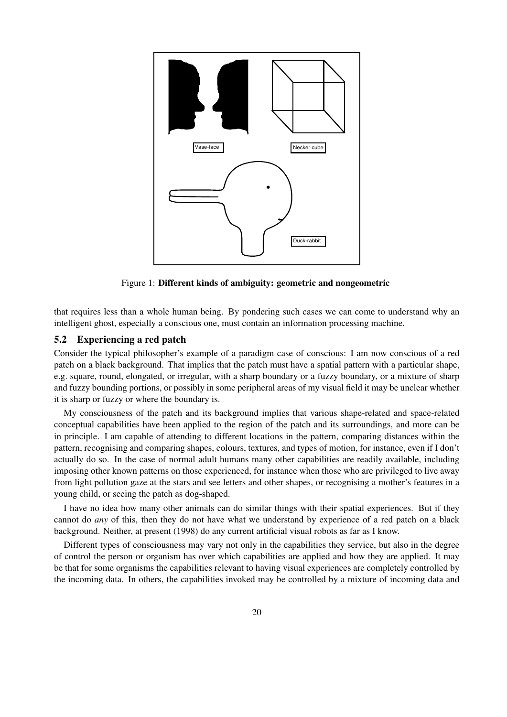

Figure 1: Different kinds of ambiguity: geometric and nongeometric

that requires less than a whole human being. By pondering such cases we can come to understand why an intelligent ghost, especially a conscious one, must contain an information processing machine.

### 5.2 Experiencing a red patch

Consider the typical philosopher's example of a paradigm case of conscious: I am now conscious of a red patch on a black background. That implies that the patch must have a spatial pattern with a particular shape, e.g. square, round, elongated, or irregular, with a sharp boundary or a fuzzy boundary, or a mixture of sharp and fuzzy bounding portions, or possibly in some peripheral areas of my visual field it may be unclear whether it is sharp or fuzzy or where the boundary is.

My consciousness of the patch and its background implies that various shape-related and space-related conceptual capabilities have been applied to the region of the patch and its surroundings, and more can be in principle. I am capable of attending to different locations in the pattern, comparing distances within the pattern, recognising and comparing shapes, colours, textures, and types of motion, for instance, even if I don't actually do so. In the case of normal adult humans many other capabilities are readily available, including imposing other known patterns on those experienced, for instance when those who are privileged to live away from light pollution gaze at the stars and see letters and other shapes, or recognising a mother's features in a young child, or seeing the patch as dog-shaped.

I have no idea how many other animals can do similar things with their spatial experiences. But if they cannot do *any* of this, then they do not have what we understand by experience of a red patch on a black background. Neither, at present (1998) do any current artificial visual robots as far as I know.

Different types of consciousness may vary not only in the capabilities they service, but also in the degree of control the person or organism has over which capabilities are applied and how they are applied. It may be that for some organisms the capabilities relevant to having visual experiences are completely controlled by the incoming data. In others, the capabilities invoked may be controlled by a mixture of incoming data and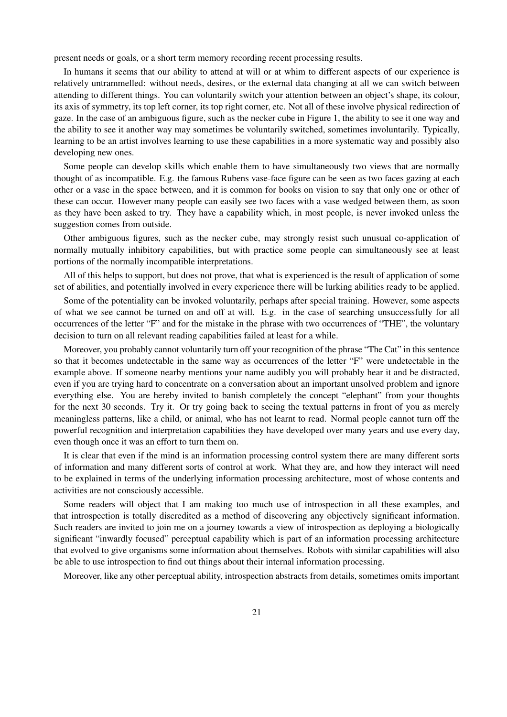present needs or goals, or a short term memory recording recent processing results.

In humans it seems that our ability to attend at will or at whim to different aspects of our experience is relatively untrammelled: without needs, desires, or the external data changing at all we can switch between attending to different things. You can voluntarily switch your attention between an object's shape, its colour, its axis of symmetry, its top left corner, its top right corner, etc. Not all of these involve physical redirection of gaze. In the case of an ambiguous figure, such as the necker cube in Figure 1, the ability to see it one way and the ability to see it another way may sometimes be voluntarily switched, sometimes involuntarily. Typically, learning to be an artist involves learning to use these capabilities in a more systematic way and possibly also developing new ones.

Some people can develop skills which enable them to have simultaneously two views that are normally thought of as incompatible. E.g. the famous Rubens vase-face figure can be seen as two faces gazing at each other or a vase in the space between, and it is common for books on vision to say that only one or other of these can occur. However many people can easily see two faces with a vase wedged between them, as soon as they have been asked to try. They have a capability which, in most people, is never invoked unless the suggestion comes from outside.

Other ambiguous figures, such as the necker cube, may strongly resist such unusual co-application of normally mutually inhibitory capabilities, but with practice some people can simultaneously see at least portions of the normally incompatible interpretations.

All of this helps to support, but does not prove, that what is experienced is the result of application of some set of abilities, and potentially involved in every experience there will be lurking abilities ready to be applied.

Some of the potentiality can be invoked voluntarily, perhaps after special training. However, some aspects of what we see cannot be turned on and off at will. E.g. in the case of searching unsuccessfully for all occurrences of the letter "F" and for the mistake in the phrase with two occurrences of "THE", the voluntary decision to turn on all relevant reading capabilities failed at least for a while.

Moreover, you probably cannot voluntarily turn off your recognition of the phrase "The Cat" in this sentence so that it becomes undetectable in the same way as occurrences of the letter "F" were undetectable in the example above. If someone nearby mentions your name audibly you will probably hear it and be distracted, even if you are trying hard to concentrate on a conversation about an important unsolved problem and ignore everything else. You are hereby invited to banish completely the concept "elephant" from your thoughts for the next 30 seconds. Try it. Or try going back to seeing the textual patterns in front of you as merely meaningless patterns, like a child, or animal, who has not learnt to read. Normal people cannot turn off the powerful recognition and interpretation capabilities they have developed over many years and use every day, even though once it was an effort to turn them on.

It is clear that even if the mind is an information processing control system there are many different sorts of information and many different sorts of control at work. What they are, and how they interact will need to be explained in terms of the underlying information processing architecture, most of whose contents and activities are not consciously accessible.

Some readers will object that I am making too much use of introspection in all these examples, and that introspection is totally discredited as a method of discovering any objectively significant information. Such readers are invited to join me on a journey towards a view of introspection as deploying a biologically significant "inwardly focused" perceptual capability which is part of an information processing architecture that evolved to give organisms some information about themselves. Robots with similar capabilities will also be able to use introspection to find out things about their internal information processing.

Moreover, like any other perceptual ability, introspection abstracts from details, sometimes omits important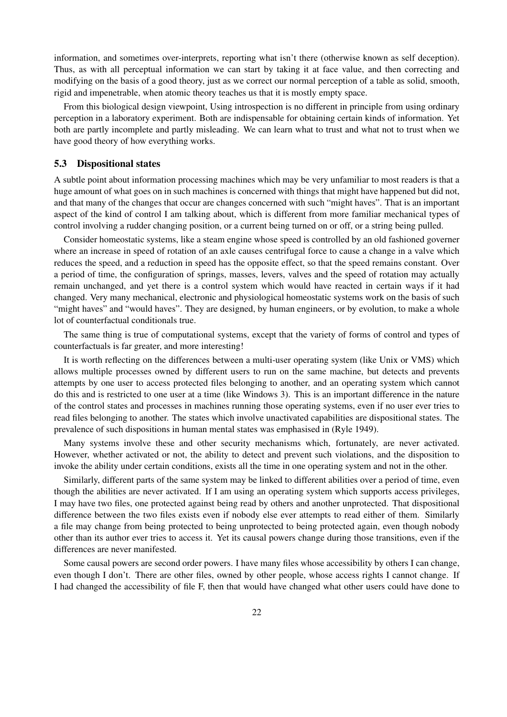information, and sometimes over-interprets, reporting what isn't there (otherwise known as self deception). Thus, as with all perceptual information we can start by taking it at face value, and then correcting and modifying on the basis of a good theory, just as we correct our normal perception of a table as solid, smooth, rigid and impenetrable, when atomic theory teaches us that it is mostly empty space.

From this biological design viewpoint, Using introspection is no different in principle from using ordinary perception in a laboratory experiment. Both are indispensable for obtaining certain kinds of information. Yet both are partly incomplete and partly misleading. We can learn what to trust and what not to trust when we have good theory of how everything works.

### 5.3 Dispositional states

A subtle point about information processing machines which may be very unfamiliar to most readers is that a huge amount of what goes on in such machines is concerned with things that might have happened but did not, and that many of the changes that occur are changes concerned with such "might haves". That is an important aspect of the kind of control I am talking about, which is different from more familiar mechanical types of control involving a rudder changing position, or a current being turned on or off, or a string being pulled.

Consider homeostatic systems, like a steam engine whose speed is controlled by an old fashioned governer where an increase in speed of rotation of an axle causes centrifugal force to cause a change in a valve which reduces the speed, and a reduction in speed has the opposite effect, so that the speed remains constant. Over a period of time, the configuration of springs, masses, levers, valves and the speed of rotation may actually remain unchanged, and yet there is a control system which would have reacted in certain ways if it had changed. Very many mechanical, electronic and physiological homeostatic systems work on the basis of such "might haves" and "would haves". They are designed, by human engineers, or by evolution, to make a whole lot of counterfactual conditionals true.

The same thing is true of computational systems, except that the variety of forms of control and types of counterfactuals is far greater, and more interesting!

It is worth reflecting on the differences between a multi-user operating system (like Unix or VMS) which allows multiple processes owned by different users to run on the same machine, but detects and prevents attempts by one user to access protected files belonging to another, and an operating system which cannot do this and is restricted to one user at a time (like Windows 3). This is an important difference in the nature of the control states and processes in machines running those operating systems, even if no user ever tries to read files belonging to another. The states which involve unactivated capabilities are dispositional states. The prevalence of such dispositions in human mental states was emphasised in (Ryle 1949).

Many systems involve these and other security mechanisms which, fortunately, are never activated. However, whether activated or not, the ability to detect and prevent such violations, and the disposition to invoke the ability under certain conditions, exists all the time in one operating system and not in the other.

Similarly, different parts of the same system may be linked to different abilities over a period of time, even though the abilities are never activated. If I am using an operating system which supports access privileges, I may have two files, one protected against being read by others and another unprotected. That dispositional difference between the two files exists even if nobody else ever attempts to read either of them. Similarly a file may change from being protected to being unprotected to being protected again, even though nobody other than its author ever tries to access it. Yet its causal powers change during those transitions, even if the differences are never manifested.

Some causal powers are second order powers. I have many files whose accessibility by others I can change, even though I don't. There are other files, owned by other people, whose access rights I cannot change. If I had changed the accessibility of file F, then that would have changed what other users could have done to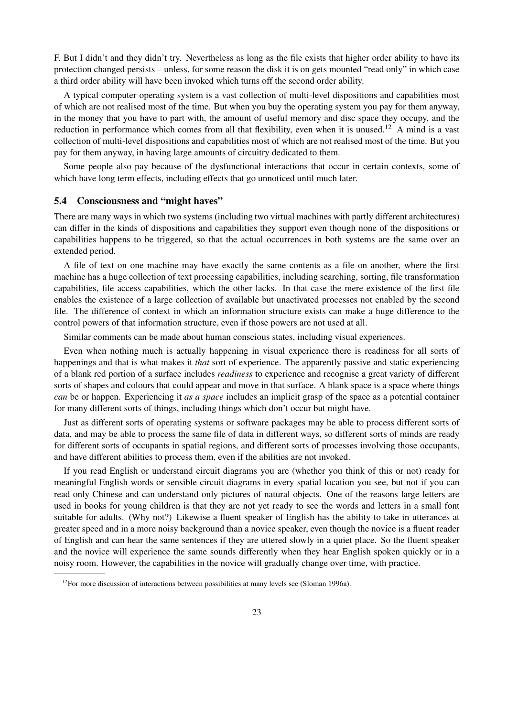F. But I didn't and they didn't try. Nevertheless as long as the file exists that higher order ability to have its protection changed persists – unless, for some reason the disk it is on gets mounted "read only" in which case a third order ability will have been invoked which turns off the second order ability.

A typical computer operating system is a vast collection of multi-level dispositions and capabilities most of which are not realised most of the time. But when you buy the operating system you pay for them anyway, in the money that you have to part with, the amount of useful memory and disc space they occupy, and the reduction in performance which comes from all that flexibility, even when it is unused.<sup>12</sup> A mind is a vast collection of multi-level dispositions and capabilities most of which are not realised most of the time. But you pay for them anyway, in having large amounts of circuitry dedicated to them.

Some people also pay because of the dysfunctional interactions that occur in certain contexts, some of which have long term effects, including effects that go unnoticed until much later.

#### 5.4 Consciousness and "might haves"

There are many ways in which two systems (including two virtual machines with partly different architectures) can differ in the kinds of dispositions and capabilities they support even though none of the dispositions or capabilities happens to be triggered, so that the actual occurrences in both systems are the same over an extended period.

A file of text on one machine may have exactly the same contents as a file on another, where the first machine has a huge collection of text processing capabilities, including searching, sorting, file transformation capabilities, file access capabilities, which the other lacks. In that case the mere existence of the first file enables the existence of a large collection of available but unactivated processes not enabled by the second file. The difference of context in which an information structure exists can make a huge difference to the control powers of that information structure, even if those powers are not used at all.

Similar comments can be made about human conscious states, including visual experiences.

Even when nothing much is actually happening in visual experience there is readiness for all sorts of happenings and that is what makes it *that* sort of experience. The apparently passive and static experiencing of a blank red portion of a surface includes *readiness* to experience and recognise a great variety of different sorts of shapes and colours that could appear and move in that surface. A blank space is a space where things *can* be or happen. Experiencing it *as a space* includes an implicit grasp of the space as a potential container for many different sorts of things, including things which don't occur but might have.

Just as different sorts of operating systems or software packages may be able to process different sorts of data, and may be able to process the same file of data in different ways, so different sorts of minds are ready for different sorts of occupants in spatial regions, and different sorts of processes involving those occupants, and have different abilities to process them, even if the abilities are not invoked.

If you read English or understand circuit diagrams you are (whether you think of this or not) ready for meaningful English words or sensible circuit diagrams in every spatial location you see, but not if you can read only Chinese and can understand only pictures of natural objects. One of the reasons large letters are used in books for young children is that they are not yet ready to see the words and letters in a small font suitable for adults. (Why not?) Likewise a fluent speaker of English has the ability to take in utterances at greater speed and in a more noisy background than a novice speaker, even though the novice is a fluent reader of English and can hear the same sentences if they are uttered slowly in a quiet place. So the fluent speaker and the novice will experience the same sounds differently when they hear English spoken quickly or in a noisy room. However, the capabilities in the novice will gradually change over time, with practice.

 $12$ For more discussion of interactions between possibilities at many levels see (Sloman 1996a).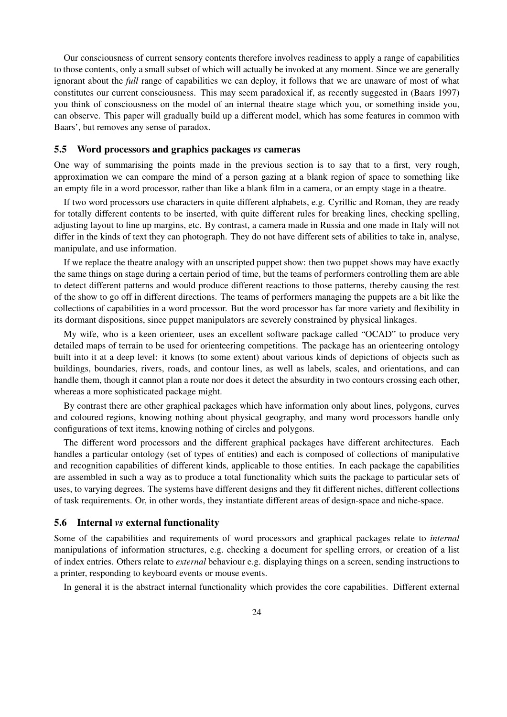Our consciousness of current sensory contents therefore involves readiness to apply a range of capabilities to those contents, only a small subset of which will actually be invoked at any moment. Since we are generally ignorant about the *full* range of capabilities we can deploy, it follows that we are unaware of most of what constitutes our current consciousness. This may seem paradoxical if, as recently suggested in (Baars 1997) you think of consciousness on the model of an internal theatre stage which you, or something inside you, can observe. This paper will gradually build up a different model, which has some features in common with Baars', but removes any sense of paradox.

#### 5.5 Word processors and graphics packages *vs* cameras

One way of summarising the points made in the previous section is to say that to a first, very rough, approximation we can compare the mind of a person gazing at a blank region of space to something like an empty file in a word processor, rather than like a blank film in a camera, or an empty stage in a theatre.

If two word processors use characters in quite different alphabets, e.g. Cyrillic and Roman, they are ready for totally different contents to be inserted, with quite different rules for breaking lines, checking spelling, adjusting layout to line up margins, etc. By contrast, a camera made in Russia and one made in Italy will not differ in the kinds of text they can photograph. They do not have different sets of abilities to take in, analyse, manipulate, and use information.

If we replace the theatre analogy with an unscripted puppet show: then two puppet shows may have exactly the same things on stage during a certain period of time, but the teams of performers controlling them are able to detect different patterns and would produce different reactions to those patterns, thereby causing the rest of the show to go off in different directions. The teams of performers managing the puppets are a bit like the collections of capabilities in a word processor. But the word processor has far more variety and flexibility in its dormant dispositions, since puppet manipulators are severely constrained by physical linkages.

My wife, who is a keen orienteer, uses an excellent software package called "OCAD" to produce very detailed maps of terrain to be used for orienteering competitions. The package has an orienteering ontology built into it at a deep level: it knows (to some extent) about various kinds of depictions of objects such as buildings, boundaries, rivers, roads, and contour lines, as well as labels, scales, and orientations, and can handle them, though it cannot plan a route nor does it detect the absurdity in two contours crossing each other, whereas a more sophisticated package might.

By contrast there are other graphical packages which have information only about lines, polygons, curves and coloured regions, knowing nothing about physical geography, and many word processors handle only configurations of text items, knowing nothing of circles and polygons.

The different word processors and the different graphical packages have different architectures. Each handles a particular ontology (set of types of entities) and each is composed of collections of manipulative and recognition capabilities of different kinds, applicable to those entities. In each package the capabilities are assembled in such a way as to produce a total functionality which suits the package to particular sets of uses, to varying degrees. The systems have different designs and they fit different niches, different collections of task requirements. Or, in other words, they instantiate different areas of design-space and niche-space.

### 5.6 Internal *vs* external functionality

Some of the capabilities and requirements of word processors and graphical packages relate to *internal* manipulations of information structures, e.g. checking a document for spelling errors, or creation of a list of index entries. Others relate to *external* behaviour e.g. displaying things on a screen, sending instructions to a printer, responding to keyboard events or mouse events.

In general it is the abstract internal functionality which provides the core capabilities. Different external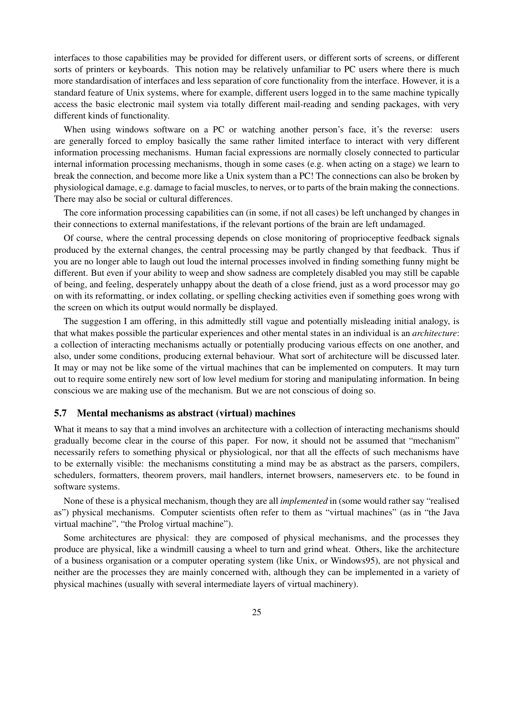interfaces to those capabilities may be provided for different users, or different sorts of screens, or different sorts of printers or keyboards. This notion may be relatively unfamiliar to PC users where there is much more standardisation of interfaces and less separation of core functionality from the interface. However, it is a standard feature of Unix systems, where for example, different users logged in to the same machine typically access the basic electronic mail system via totally different mail-reading and sending packages, with very different kinds of functionality.

When using windows software on a PC or watching another person's face, it's the reverse: users are generally forced to employ basically the same rather limited interface to interact with very different information processing mechanisms. Human facial expressions are normally closely connected to particular internal information processing mechanisms, though in some cases (e.g. when acting on a stage) we learn to break the connection, and become more like a Unix system than a PC! The connections can also be broken by physiological damage, e.g. damage to facial muscles, to nerves, or to parts of the brain making the connections. There may also be social or cultural differences.

The core information processing capabilities can (in some, if not all cases) be left unchanged by changes in their connections to external manifestations, if the relevant portions of the brain are left undamaged.

Of course, where the central processing depends on close monitoring of proprioceptive feedback signals produced by the external changes, the central processing may be partly changed by that feedback. Thus if you are no longer able to laugh out loud the internal processes involved in finding something funny might be different. But even if your ability to weep and show sadness are completely disabled you may still be capable of being, and feeling, desperately unhappy about the death of a close friend, just as a word processor may go on with its reformatting, or index collating, or spelling checking activities even if something goes wrong with the screen on which its output would normally be displayed.

The suggestion I am offering, in this admittedly still vague and potentially misleading initial analogy, is that what makes possible the particular experiences and other mental states in an individual is an *architecture*: a collection of interacting mechanisms actually or potentially producing various effects on one another, and also, under some conditions, producing external behaviour. What sort of architecture will be discussed later. It may or may not be like some of the virtual machines that can be implemented on computers. It may turn out to require some entirely new sort of low level medium for storing and manipulating information. In being conscious we are making use of the mechanism. But we are not conscious of doing so.

### 5.7 Mental mechanisms as abstract (virtual) machines

What it means to say that a mind involves an architecture with a collection of interacting mechanisms should gradually become clear in the course of this paper. For now, it should not be assumed that "mechanism" necessarily refers to something physical or physiological, nor that all the effects of such mechanisms have to be externally visible: the mechanisms constituting a mind may be as abstract as the parsers, compilers, schedulers, formatters, theorem provers, mail handlers, internet browsers, nameservers etc. to be found in software systems.

None of these is a physical mechanism, though they are all *implemented* in (some would rather say "realised as") physical mechanisms. Computer scientists often refer to them as "virtual machines" (as in "the Java virtual machine", "the Prolog virtual machine").

Some architectures are physical: they are composed of physical mechanisms, and the processes they produce are physical, like a windmill causing a wheel to turn and grind wheat. Others, like the architecture of a business organisation or a computer operating system (like Unix, or Windows95), are not physical and neither are the processes they are mainly concerned with, although they can be implemented in a variety of physical machines (usually with several intermediate layers of virtual machinery).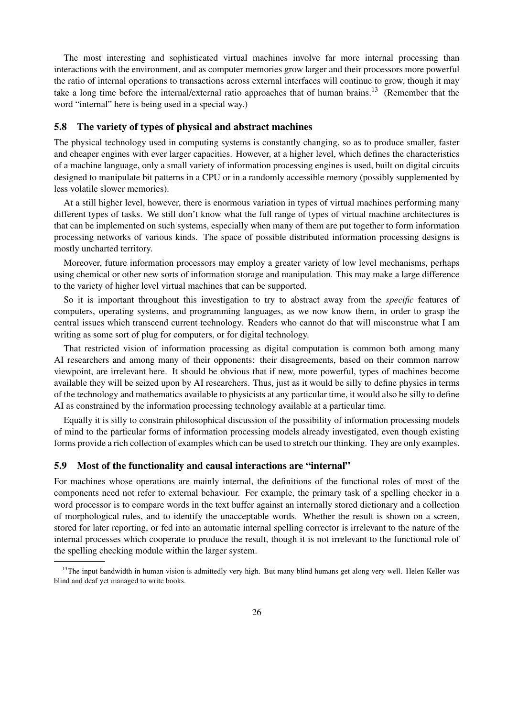The most interesting and sophisticated virtual machines involve far more internal processing than interactions with the environment, and as computer memories grow larger and their processors more powerful the ratio of internal operations to transactions across external interfaces will continue to grow, though it may take a long time before the internal/external ratio approaches that of human brains.<sup>13</sup> (Remember that the word "internal" here is being used in a special way.)

### 5.8 The variety of types of physical and abstract machines

The physical technology used in computing systems is constantly changing, so as to produce smaller, faster and cheaper engines with ever larger capacities. However, at a higher level, which defines the characteristics of a machine language, only a small variety of information processing engines is used, built on digital circuits designed to manipulate bit patterns in a CPU or in a randomly accessible memory (possibly supplemented by less volatile slower memories).

At a still higher level, however, there is enormous variation in types of virtual machines performing many different types of tasks. We still don't know what the full range of types of virtual machine architectures is that can be implemented on such systems, especially when many of them are put together to form information processing networks of various kinds. The space of possible distributed information processing designs is mostly uncharted territory.

Moreover, future information processors may employ a greater variety of low level mechanisms, perhaps using chemical or other new sorts of information storage and manipulation. This may make a large difference to the variety of higher level virtual machines that can be supported.

So it is important throughout this investigation to try to abstract away from the *specific* features of computers, operating systems, and programming languages, as we now know them, in order to grasp the central issues which transcend current technology. Readers who cannot do that will misconstrue what I am writing as some sort of plug for computers, or for digital technology.

That restricted vision of information processing as digital computation is common both among many AI researchers and among many of their opponents: their disagreements, based on their common narrow viewpoint, are irrelevant here. It should be obvious that if new, more powerful, types of machines become available they will be seized upon by AI researchers. Thus, just as it would be silly to define physics in terms of the technology and mathematics available to physicists at any particular time, it would also be silly to define AI as constrained by the information processing technology available at a particular time.

Equally it is silly to constrain philosophical discussion of the possibility of information processing models of mind to the particular forms of information processing models already investigated, even though existing forms provide a rich collection of examples which can be used to stretch our thinking. They are only examples.

#### 5.9 Most of the functionality and causal interactions are "internal"

For machines whose operations are mainly internal, the definitions of the functional roles of most of the components need not refer to external behaviour. For example, the primary task of a spelling checker in a word processor is to compare words in the text buffer against an internally stored dictionary and a collection of morphological rules, and to identify the unacceptable words. Whether the result is shown on a screen, stored for later reporting, or fed into an automatic internal spelling corrector is irrelevant to the nature of the internal processes which cooperate to produce the result, though it is not irrelevant to the functional role of the spelling checking module within the larger system.

 $13$ The input bandwidth in human vision is admittedly very high. But many blind humans get along very well. Helen Keller was blind and deaf yet managed to write books.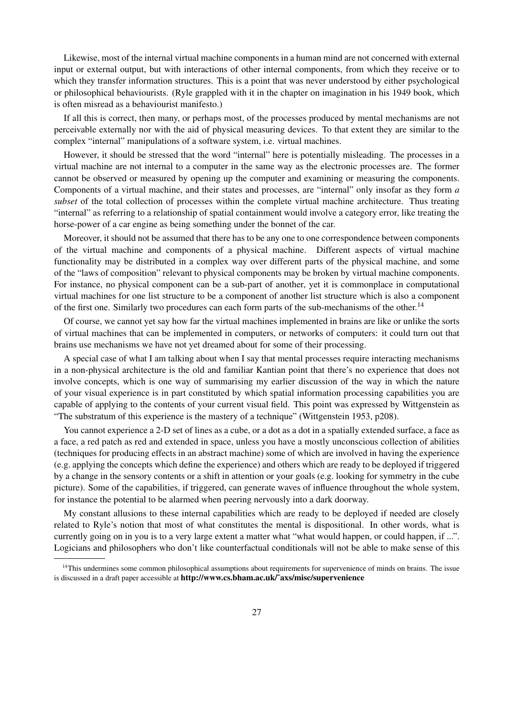Likewise, most of the internal virtual machine components in a human mind are not concerned with external input or external output, but with interactions of other internal components, from which they receive or to which they transfer information structures. This is a point that was never understood by either psychological or philosophical behaviourists. (Ryle grappled with it in the chapter on imagination in his 1949 book, which is often misread as a behaviourist manifesto.)

If all this is correct, then many, or perhaps most, of the processes produced by mental mechanisms are not perceivable externally nor with the aid of physical measuring devices. To that extent they are similar to the complex "internal" manipulations of a software system, i.e. virtual machines.

However, it should be stressed that the word "internal" here is potentially misleading. The processes in a virtual machine are not internal to a computer in the same way as the electronic processes are. The former cannot be observed or measured by opening up the computer and examining or measuring the components. Components of a virtual machine, and their states and processes, are "internal" only insofar as they form *a subset* of the total collection of processes within the complete virtual machine architecture. Thus treating "internal" as referring to a relationship of spatial containment would involve a category error, like treating the horse-power of a car engine as being something under the bonnet of the car.

Moreover, it should not be assumed that there has to be any one to one correspondence between components of the virtual machine and components of a physical machine. Different aspects of virtual machine functionality may be distributed in a complex way over different parts of the physical machine, and some of the "laws of composition" relevant to physical components may be broken by virtual machine components. For instance, no physical component can be a sub-part of another, yet it is commonplace in computational virtual machines for one list structure to be a component of another list structure which is also a component of the first one. Similarly two procedures can each form parts of the sub-mechanisms of the other.<sup>14</sup>

Of course, we cannot yet say how far the virtual machines implemented in brains are like or unlike the sorts of virtual machines that can be implemented in computers, or networks of computers: it could turn out that brains use mechanisms we have not yet dreamed about for some of their processing.

A special case of what I am talking about when I say that mental processes require interacting mechanisms in a non-physical architecture is the old and familiar Kantian point that there's no experience that does not involve concepts, which is one way of summarising my earlier discussion of the way in which the nature of your visual experience is in part constituted by which spatial information processing capabilities you are capable of applying to the contents of your current visual field. This point was expressed by Wittgenstein as "The substratum of this experience is the mastery of a technique" (Wittgenstein 1953, p208).

You cannot experience a 2-D set of lines as a cube, or a dot as a dot in a spatially extended surface, a face as a face, a red patch as red and extended in space, unless you have a mostly unconscious collection of abilities (techniques for producing effects in an abstract machine) some of which are involved in having the experience (e.g. applying the concepts which define the experience) and others which are ready to be deployed if triggered by a change in the sensory contents or a shift in attention or your goals (e.g. looking for symmetry in the cube picture). Some of the capabilities, if triggered, can generate waves of influence throughout the whole system, for instance the potential to be alarmed when peering nervously into a dark doorway.

My constant allusions to these internal capabilities which are ready to be deployed if needed are closely related to Ryle's notion that most of what constitutes the mental is dispositional. In other words, what is currently going on in you is to a very large extent a matter what "what would happen, or could happen, if ...". Logicians and philosophers who don't like counterfactual conditionals will not be able to make sense of this

<sup>&</sup>lt;sup>14</sup>This undermines some common philosophical assumptions about requirements for supervenience of minds on brains. The issue is discussed in a draft paper accessible at http://www.cs.bham.ac.uk/~axs/misc/supervenience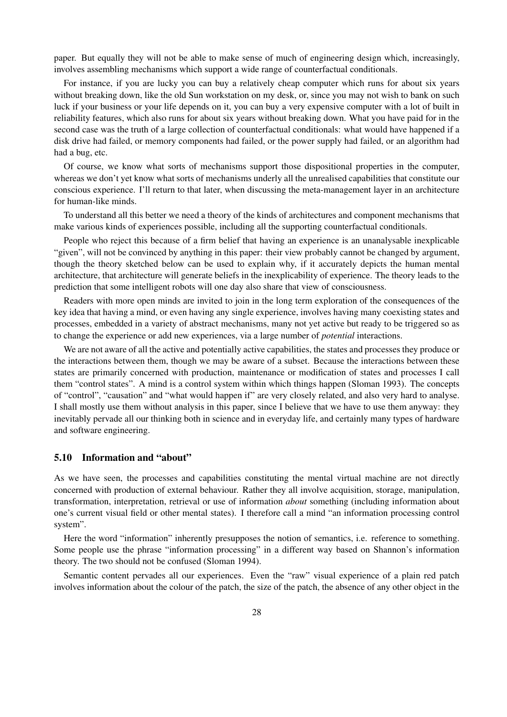paper. But equally they will not be able to make sense of much of engineering design which, increasingly, involves assembling mechanisms which support a wide range of counterfactual conditionals.

For instance, if you are lucky you can buy a relatively cheap computer which runs for about six years without breaking down, like the old Sun workstation on my desk, or, since you may not wish to bank on such luck if your business or your life depends on it, you can buy a very expensive computer with a lot of built in reliability features, which also runs for about six years without breaking down. What you have paid for in the second case was the truth of a large collection of counterfactual conditionals: what would have happened if a disk drive had failed, or memory components had failed, or the power supply had failed, or an algorithm had had a bug, etc.

Of course, we know what sorts of mechanisms support those dispositional properties in the computer, whereas we don't yet know what sorts of mechanisms underly all the unrealised capabilities that constitute our conscious experience. I'll return to that later, when discussing the meta-management layer in an architecture for human-like minds.

To understand all this better we need a theory of the kinds of architectures and component mechanisms that make various kinds of experiences possible, including all the supporting counterfactual conditionals.

People who reject this because of a firm belief that having an experience is an unanalysable inexplicable "given", will not be convinced by anything in this paper: their view probably cannot be changed by argument, though the theory sketched below can be used to explain why, if it accurately depicts the human mental architecture, that architecture will generate beliefs in the inexplicability of experience. The theory leads to the prediction that some intelligent robots will one day also share that view of consciousness.

Readers with more open minds are invited to join in the long term exploration of the consequences of the key idea that having a mind, or even having any single experience, involves having many coexisting states and processes, embedded in a variety of abstract mechanisms, many not yet active but ready to be triggered so as to change the experience or add new experiences, via a large number of *potential* interactions.

We are not aware of all the active and potentially active capabilities, the states and processes they produce or the interactions between them, though we may be aware of a subset. Because the interactions between these states are primarily concerned with production, maintenance or modification of states and processes I call them "control states". A mind is a control system within which things happen (Sloman 1993). The concepts of "control", "causation" and "what would happen if" are very closely related, and also very hard to analyse. I shall mostly use them without analysis in this paper, since I believe that we have to use them anyway: they inevitably pervade all our thinking both in science and in everyday life, and certainly many types of hardware and software engineering.

### 5.10 Information and "about"

As we have seen, the processes and capabilities constituting the mental virtual machine are not directly concerned with production of external behaviour. Rather they all involve acquisition, storage, manipulation, transformation, interpretation, retrieval or use of information *about* something (including information about one's current visual field or other mental states). I therefore call a mind "an information processing control system".

Here the word "information" inherently presupposes the notion of semantics, i.e. reference to something. Some people use the phrase "information processing" in a different way based on Shannon's information theory. The two should not be confused (Sloman 1994).

Semantic content pervades all our experiences. Even the "raw" visual experience of a plain red patch involves information about the colour of the patch, the size of the patch, the absence of any other object in the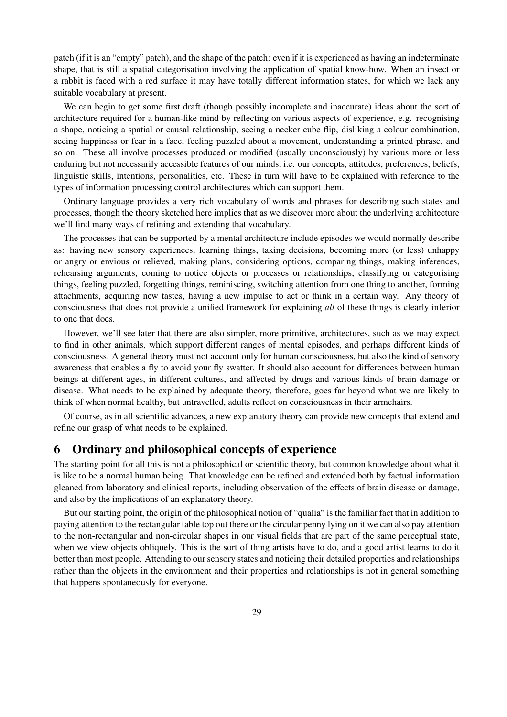patch (if it is an "empty" patch), and the shape of the patch: even if it is experienced as having an indeterminate shape, that is still a spatial categorisation involving the application of spatial know-how. When an insect or a rabbit is faced with a red surface it may have totally different information states, for which we lack any suitable vocabulary at present.

We can begin to get some first draft (though possibly incomplete and inaccurate) ideas about the sort of architecture required for a human-like mind by reflecting on various aspects of experience, e.g. recognising a shape, noticing a spatial or causal relationship, seeing a necker cube flip, disliking a colour combination, seeing happiness or fear in a face, feeling puzzled about a movement, understanding a printed phrase, and so on. These all involve processes produced or modified (usually unconsciously) by various more or less enduring but not necessarily accessible features of our minds, i.e. our concepts, attitudes, preferences, beliefs, linguistic skills, intentions, personalities, etc. These in turn will have to be explained with reference to the types of information processing control architectures which can support them.

Ordinary language provides a very rich vocabulary of words and phrases for describing such states and processes, though the theory sketched here implies that as we discover more about the underlying architecture we'll find many ways of refining and extending that vocabulary.

The processes that can be supported by a mental architecture include episodes we would normally describe as: having new sensory experiences, learning things, taking decisions, becoming more (or less) unhappy or angry or envious or relieved, making plans, considering options, comparing things, making inferences, rehearsing arguments, coming to notice objects or processes or relationships, classifying or categorising things, feeling puzzled, forgetting things, reminiscing, switching attention from one thing to another, forming attachments, acquiring new tastes, having a new impulse to act or think in a certain way. Any theory of consciousness that does not provide a unified framework for explaining *all* of these things is clearly inferior to one that does.

However, we'll see later that there are also simpler, more primitive, architectures, such as we may expect to find in other animals, which support different ranges of mental episodes, and perhaps different kinds of consciousness. A general theory must not account only for human consciousness, but also the kind of sensory awareness that enables a fly to avoid your fly swatter. It should also account for differences between human beings at different ages, in different cultures, and affected by drugs and various kinds of brain damage or disease. What needs to be explained by adequate theory, therefore, goes far beyond what we are likely to think of when normal healthy, but untravelled, adults reflect on consciousness in their armchairs.

Of course, as in all scientific advances, a new explanatory theory can provide new concepts that extend and refine our grasp of what needs to be explained.

## 6 Ordinary and philosophical concepts of experience

The starting point for all this is not a philosophical or scientific theory, but common knowledge about what it is like to be a normal human being. That knowledge can be refined and extended both by factual information gleaned from laboratory and clinical reports, including observation of the effects of brain disease or damage, and also by the implications of an explanatory theory.

But our starting point, the origin of the philosophical notion of "qualia" is the familiar fact that in addition to paying attention to the rectangular table top out there or the circular penny lying on it we can also pay attention to the non-rectangular and non-circular shapes in our visual fields that are part of the same perceptual state, when we view objects obliquely. This is the sort of thing artists have to do, and a good artist learns to do it better than most people. Attending to our sensory states and noticing their detailed properties and relationships rather than the objects in the environment and their properties and relationships is not in general something that happens spontaneously for everyone.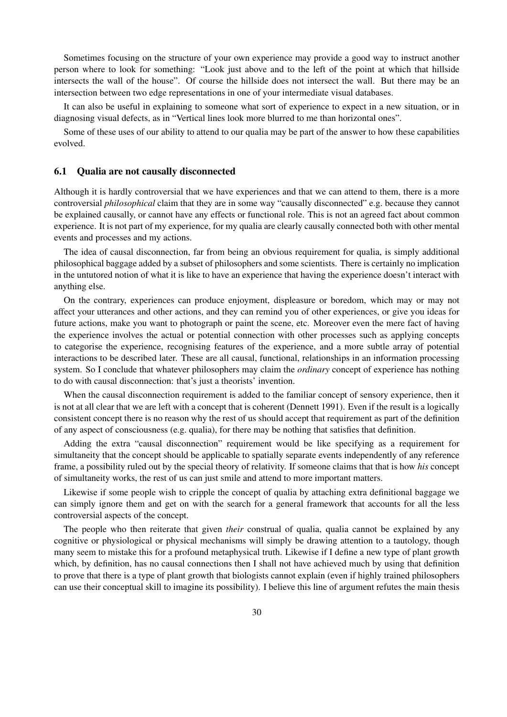Sometimes focusing on the structure of your own experience may provide a good way to instruct another person where to look for something: "Look just above and to the left of the point at which that hillside intersects the wall of the house". Of course the hillside does not intersect the wall. But there may be an intersection between two edge representations in one of your intermediate visual databases.

It can also be useful in explaining to someone what sort of experience to expect in a new situation, or in diagnosing visual defects, as in "Vertical lines look more blurred to me than horizontal ones".

Some of these uses of our ability to attend to our qualia may be part of the answer to how these capabilities evolved.

#### 6.1 Qualia are not causally disconnected

Although it is hardly controversial that we have experiences and that we can attend to them, there is a more controversial *philosophical* claim that they are in some way "causally disconnected" e.g. because they cannot be explained causally, or cannot have any effects or functional role. This is not an agreed fact about common experience. It is not part of my experience, for my qualia are clearly causally connected both with other mental events and processes and my actions.

The idea of causal disconnection, far from being an obvious requirement for qualia, is simply additional philosophical baggage added by a subset of philosophers and some scientists. There is certainly no implication in the untutored notion of what it is like to have an experience that having the experience doesn't interact with anything else.

On the contrary, experiences can produce enjoyment, displeasure or boredom, which may or may not affect your utterances and other actions, and they can remind you of other experiences, or give you ideas for future actions, make you want to photograph or paint the scene, etc. Moreover even the mere fact of having the experience involves the actual or potential connection with other processes such as applying concepts to categorise the experience, recognising features of the experience, and a more subtle array of potential interactions to be described later. These are all causal, functional, relationships in an information processing system. So I conclude that whatever philosophers may claim the *ordinary* concept of experience has nothing to do with causal disconnection: that's just a theorists' invention.

When the causal disconnection requirement is added to the familiar concept of sensory experience, then it is not at all clear that we are left with a concept that is coherent (Dennett 1991). Even if the result is a logically consistent concept there is no reason why the rest of us should accept that requirement as part of the definition of any aspect of consciousness (e.g. qualia), for there may be nothing that satisfies that definition.

Adding the extra "causal disconnection" requirement would be like specifying as a requirement for simultaneity that the concept should be applicable to spatially separate events independently of any reference frame, a possibility ruled out by the special theory of relativity. If someone claims that that is how *his* concept of simultaneity works, the rest of us can just smile and attend to more important matters.

Likewise if some people wish to cripple the concept of qualia by attaching extra definitional baggage we can simply ignore them and get on with the search for a general framework that accounts for all the less controversial aspects of the concept.

The people who then reiterate that given *their* construal of qualia, qualia cannot be explained by any cognitive or physiological or physical mechanisms will simply be drawing attention to a tautology, though many seem to mistake this for a profound metaphysical truth. Likewise if I define a new type of plant growth which, by definition, has no causal connections then I shall not have achieved much by using that definition to prove that there is a type of plant growth that biologists cannot explain (even if highly trained philosophers can use their conceptual skill to imagine its possibility). I believe this line of argument refutes the main thesis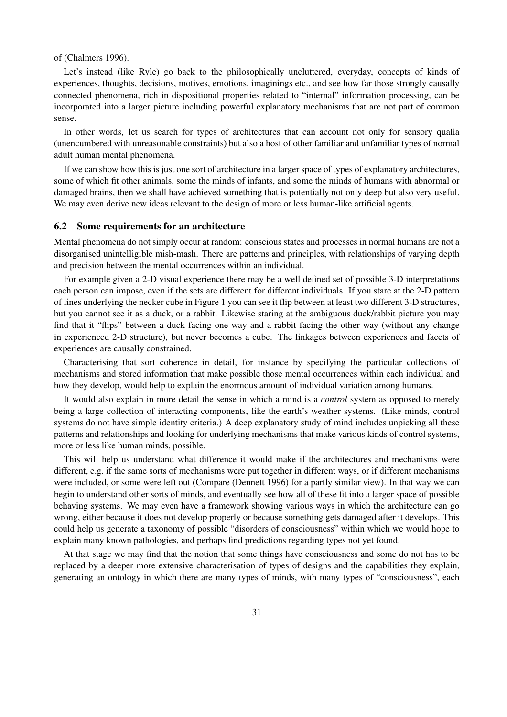#### of (Chalmers 1996).

Let's instead (like Ryle) go back to the philosophically uncluttered, everyday, concepts of kinds of experiences, thoughts, decisions, motives, emotions, imaginings etc., and see how far those strongly causally connected phenomena, rich in dispositional properties related to "internal" information processing, can be incorporated into a larger picture including powerful explanatory mechanisms that are not part of common sense.

In other words, let us search for types of architectures that can account not only for sensory qualia (unencumbered with unreasonable constraints) but also a host of other familiar and unfamiliar types of normal adult human mental phenomena.

If we can show how this is just one sort of architecture in a larger space of types of explanatory architectures, some of which fit other animals, some the minds of infants, and some the minds of humans with abnormal or damaged brains, then we shall have achieved something that is potentially not only deep but also very useful. We may even derive new ideas relevant to the design of more or less human-like artificial agents.

#### 6.2 Some requirements for an architecture

Mental phenomena do not simply occur at random: conscious states and processes in normal humans are not a disorganised unintelligible mish-mash. There are patterns and principles, with relationships of varying depth and precision between the mental occurrences within an individual.

For example given a 2-D visual experience there may be a well defined set of possible 3-D interpretations each person can impose, even if the sets are different for different individuals. If you stare at the 2-D pattern of lines underlying the necker cube in Figure 1 you can see it flip between at least two different 3-D structures, but you cannot see it as a duck, or a rabbit. Likewise staring at the ambiguous duck/rabbit picture you may find that it "flips" between a duck facing one way and a rabbit facing the other way (without any change in experienced 2-D structure), but never becomes a cube. The linkages between experiences and facets of experiences are causally constrained.

Characterising that sort coherence in detail, for instance by specifying the particular collections of mechanisms and stored information that make possible those mental occurrences within each individual and how they develop, would help to explain the enormous amount of individual variation among humans.

It would also explain in more detail the sense in which a mind is a *control* system as opposed to merely being a large collection of interacting components, like the earth's weather systems. (Like minds, control systems do not have simple identity criteria.) A deep explanatory study of mind includes unpicking all these patterns and relationships and looking for underlying mechanisms that make various kinds of control systems, more or less like human minds, possible.

This will help us understand what difference it would make if the architectures and mechanisms were different, e.g. if the same sorts of mechanisms were put together in different ways, or if different mechanisms were included, or some were left out (Compare (Dennett 1996) for a partly similar view). In that way we can begin to understand other sorts of minds, and eventually see how all of these fit into a larger space of possible behaving systems. We may even have a framework showing various ways in which the architecture can go wrong, either because it does not develop properly or because something gets damaged after it develops. This could help us generate a taxonomy of possible "disorders of consciousness" within which we would hope to explain many known pathologies, and perhaps find predictions regarding types not yet found.

At that stage we may find that the notion that some things have consciousness and some do not has to be replaced by a deeper more extensive characterisation of types of designs and the capabilities they explain, generating an ontology in which there are many types of minds, with many types of "consciousness", each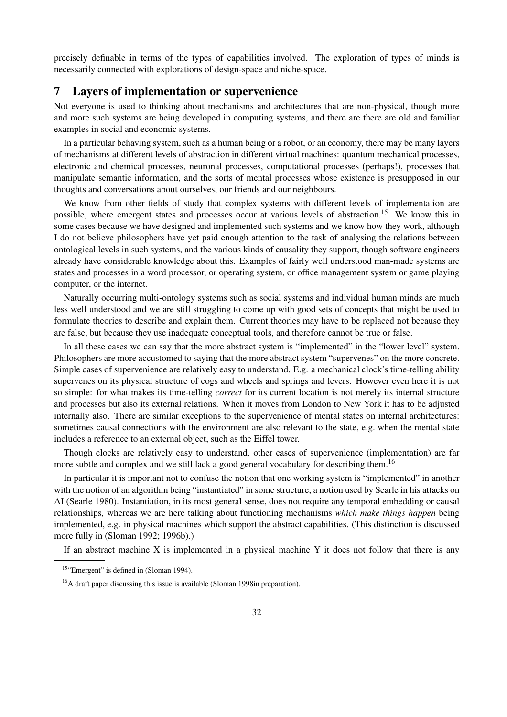precisely definable in terms of the types of capabilities involved. The exploration of types of minds is necessarily connected with explorations of design-space and niche-space.

# 7 Layers of implementation or supervenience

Not everyone is used to thinking about mechanisms and architectures that are non-physical, though more and more such systems are being developed in computing systems, and there are there are old and familiar examples in social and economic systems.

In a particular behaving system, such as a human being or a robot, or an economy, there may be many layers of mechanisms at different levels of abstraction in different virtual machines: quantum mechanical processes, electronic and chemical processes, neuronal processes, computational processes (perhaps!), processes that manipulate semantic information, and the sorts of mental processes whose existence is presupposed in our thoughts and conversations about ourselves, our friends and our neighbours.

We know from other fields of study that complex systems with different levels of implementation are possible, where emergent states and processes occur at various levels of abstraction.<sup>15</sup> We know this in some cases because we have designed and implemented such systems and we know how they work, although I do not believe philosophers have yet paid enough attention to the task of analysing the relations between ontological levels in such systems, and the various kinds of causality they support, though software engineers already have considerable knowledge about this. Examples of fairly well understood man-made systems are states and processes in a word processor, or operating system, or office management system or game playing computer, or the internet.

Naturally occurring multi-ontology systems such as social systems and individual human minds are much less well understood and we are still struggling to come up with good sets of concepts that might be used to formulate theories to describe and explain them. Current theories may have to be replaced not because they are false, but because they use inadequate conceptual tools, and therefore cannot be true or false.

In all these cases we can say that the more abstract system is "implemented" in the "lower level" system. Philosophers are more accustomed to saying that the more abstract system "supervenes" on the more concrete. Simple cases of supervenience are relatively easy to understand. E.g. a mechanical clock's time-telling ability supervenes on its physical structure of cogs and wheels and springs and levers. However even here it is not so simple: for what makes its time-telling *correct* for its current location is not merely its internal structure and processes but also its external relations. When it moves from London to New York it has to be adjusted internally also. There are similar exceptions to the supervenience of mental states on internal architectures: sometimes causal connections with the environment are also relevant to the state, e.g. when the mental state includes a reference to an external object, such as the Eiffel tower.

Though clocks are relatively easy to understand, other cases of supervenience (implementation) are far more subtle and complex and we still lack a good general vocabulary for describing them.<sup>16</sup>

In particular it is important not to confuse the notion that one working system is "implemented" in another with the notion of an algorithm being "instantiated" in some structure, a notion used by Searle in his attacks on AI (Searle 1980). Instantiation, in its most general sense, does not require any temporal embedding or causal relationships, whereas we are here talking about functioning mechanisms *which make things happen* being implemented, e.g. in physical machines which support the abstract capabilities. (This distinction is discussed more fully in (Sloman 1992; 1996b).)

If an abstract machine  $X$  is implemented in a physical machine  $Y$  it does not follow that there is any

<sup>&</sup>lt;sup>15</sup>"Emergent" is defined in (Sloman 1994).

 $16A$  draft paper discussing this issue is available (Sloman 1998in preparation).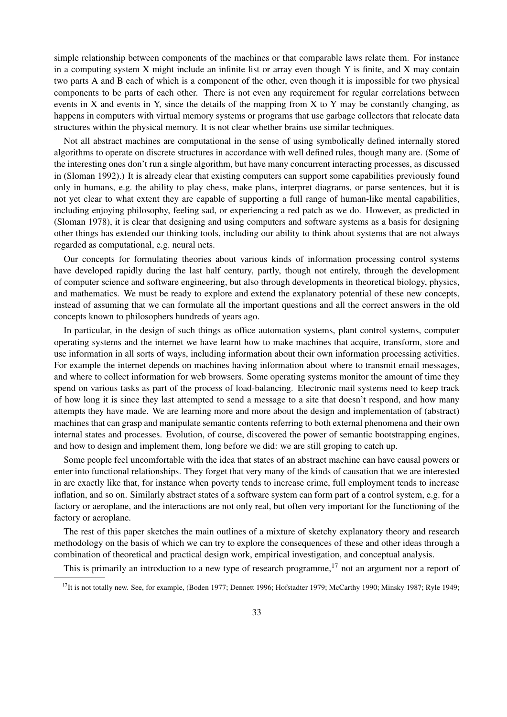simple relationship between components of the machines or that comparable laws relate them. For instance in a computing system X might include an infinite list or array even though Y is finite, and X may contain two parts A and B each of which is a component of the other, even though it is impossible for two physical components to be parts of each other. There is not even any requirement for regular correlations between events in X and events in Y, since the details of the mapping from X to Y may be constantly changing, as happens in computers with virtual memory systems or programs that use garbage collectors that relocate data structures within the physical memory. It is not clear whether brains use similar techniques.

Not all abstract machines are computational in the sense of using symbolically defined internally stored algorithms to operate on discrete structures in accordance with well defined rules, though many are. (Some of the interesting ones don't run a single algorithm, but have many concurrent interacting processes, as discussed in (Sloman 1992).) It is already clear that existing computers can support some capabilities previously found only in humans, e.g. the ability to play chess, make plans, interpret diagrams, or parse sentences, but it is not yet clear to what extent they are capable of supporting a full range of human-like mental capabilities, including enjoying philosophy, feeling sad, or experiencing a red patch as we do. However, as predicted in (Sloman 1978), it is clear that designing and using computers and software systems as a basis for designing other things has extended our thinking tools, including our ability to think about systems that are not always regarded as computational, e.g. neural nets.

Our concepts for formulating theories about various kinds of information processing control systems have developed rapidly during the last half century, partly, though not entirely, through the development of computer science and software engineering, but also through developments in theoretical biology, physics, and mathematics. We must be ready to explore and extend the explanatory potential of these new concepts, instead of assuming that we can formulate all the important questions and all the correct answers in the old concepts known to philosophers hundreds of years ago.

In particular, in the design of such things as office automation systems, plant control systems, computer operating systems and the internet we have learnt how to make machines that acquire, transform, store and use information in all sorts of ways, including information about their own information processing activities. For example the internet depends on machines having information about where to transmit email messages, and where to collect information for web browsers. Some operating systems monitor the amount of time they spend on various tasks as part of the process of load-balancing. Electronic mail systems need to keep track of how long it is since they last attempted to send a message to a site that doesn't respond, and how many attempts they have made. We are learning more and more about the design and implementation of (abstract) machines that can grasp and manipulate semantic contents referring to both external phenomena and their own internal states and processes. Evolution, of course, discovered the power of semantic bootstrapping engines, and how to design and implement them, long before we did: we are still groping to catch up.

Some people feel uncomfortable with the idea that states of an abstract machine can have causal powers or enter into functional relationships. They forget that very many of the kinds of causation that we are interested in are exactly like that, for instance when poverty tends to increase crime, full employment tends to increase inflation, and so on. Similarly abstract states of a software system can form part of a control system, e.g. for a factory or aeroplane, and the interactions are not only real, but often very important for the functioning of the factory or aeroplane.

The rest of this paper sketches the main outlines of a mixture of sketchy explanatory theory and research methodology on the basis of which we can try to explore the consequences of these and other ideas through a combination of theoretical and practical design work, empirical investigation, and conceptual analysis.

This is primarily an introduction to a new type of research programme,  $^{17}$  not an argument nor a report of

<sup>&</sup>lt;sup>17</sup>It is not totally new. See, for example, (Boden 1977; Dennett 1996; Hofstadter 1979; McCarthy 1990; Minsky 1987; Ryle 1949;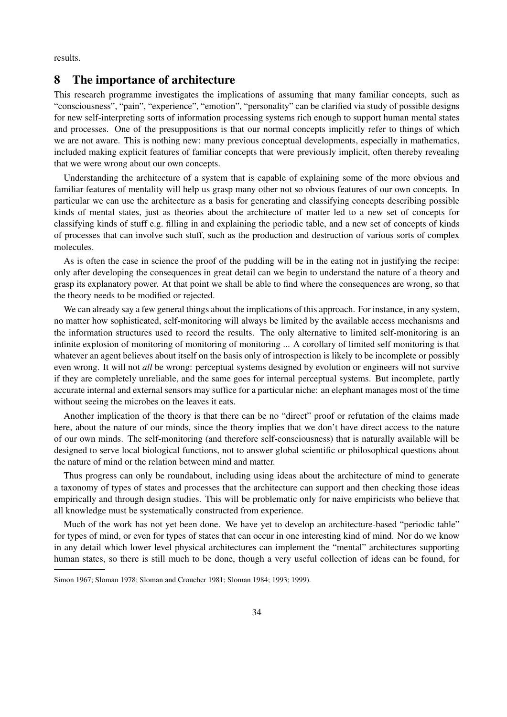results.

# 8 The importance of architecture

This research programme investigates the implications of assuming that many familiar concepts, such as "consciousness", "pain", "experience", "emotion", "personality" can be clarified via study of possible designs for new self-interpreting sorts of information processing systems rich enough to support human mental states and processes. One of the presuppositions is that our normal concepts implicitly refer to things of which we are not aware. This is nothing new: many previous conceptual developments, especially in mathematics, included making explicit features of familiar concepts that were previously implicit, often thereby revealing that we were wrong about our own concepts.

Understanding the architecture of a system that is capable of explaining some of the more obvious and familiar features of mentality will help us grasp many other not so obvious features of our own concepts. In particular we can use the architecture as a basis for generating and classifying concepts describing possible kinds of mental states, just as theories about the architecture of matter led to a new set of concepts for classifying kinds of stuff e.g. filling in and explaining the periodic table, and a new set of concepts of kinds of processes that can involve such stuff, such as the production and destruction of various sorts of complex molecules.

As is often the case in science the proof of the pudding will be in the eating not in justifying the recipe: only after developing the consequences in great detail can we begin to understand the nature of a theory and grasp its explanatory power. At that point we shall be able to find where the consequences are wrong, so that the theory needs to be modified or rejected.

We can already say a few general things about the implications of this approach. For instance, in any system, no matter how sophisticated, self-monitoring will always be limited by the available access mechanisms and the information structures used to record the results. The only alternative to limited self-monitoring is an infinite explosion of monitoring of monitoring of monitoring ... A corollary of limited self monitoring is that whatever an agent believes about itself on the basis only of introspection is likely to be incomplete or possibly even wrong. It will not *all* be wrong: perceptual systems designed by evolution or engineers will not survive if they are completely unreliable, and the same goes for internal perceptual systems. But incomplete, partly accurate internal and external sensors may suffice for a particular niche: an elephant manages most of the time without seeing the microbes on the leaves it eats.

Another implication of the theory is that there can be no "direct" proof or refutation of the claims made here, about the nature of our minds, since the theory implies that we don't have direct access to the nature of our own minds. The self-monitoring (and therefore self-consciousness) that is naturally available will be designed to serve local biological functions, not to answer global scientific or philosophical questions about the nature of mind or the relation between mind and matter.

Thus progress can only be roundabout, including using ideas about the architecture of mind to generate a taxonomy of types of states and processes that the architecture can support and then checking those ideas empirically and through design studies. This will be problematic only for naive empiricists who believe that all knowledge must be systematically constructed from experience.

Much of the work has not yet been done. We have yet to develop an architecture-based "periodic table" for types of mind, or even for types of states that can occur in one interesting kind of mind. Nor do we know in any detail which lower level physical architectures can implement the "mental" architectures supporting human states, so there is still much to be done, though a very useful collection of ideas can be found, for

Simon 1967; Sloman 1978; Sloman and Croucher 1981; Sloman 1984; 1993; 1999).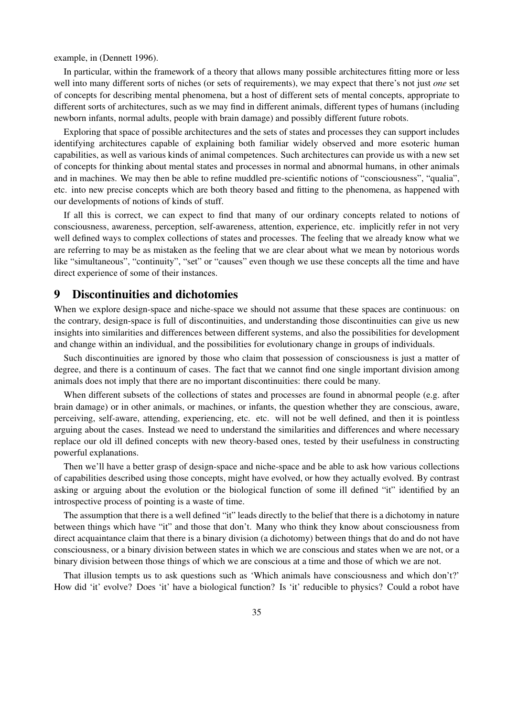example, in (Dennett 1996).

In particular, within the framework of a theory that allows many possible architectures fitting more or less well into many different sorts of niches (or sets of requirements), we may expect that there's not just *one* set of concepts for describing mental phenomena, but a host of different sets of mental concepts, appropriate to different sorts of architectures, such as we may find in different animals, different types of humans (including newborn infants, normal adults, people with brain damage) and possibly different future robots.

Exploring that space of possible architectures and the sets of states and processes they can support includes identifying architectures capable of explaining both familiar widely observed and more esoteric human capabilities, as well as various kinds of animal competences. Such architectures can provide us with a new set of concepts for thinking about mental states and processes in normal and abnormal humans, in other animals and in machines. We may then be able to refine muddled pre-scientific notions of "consciousness", "qualia", etc. into new precise concepts which are both theory based and fitting to the phenomena, as happened with our developments of notions of kinds of stuff.

If all this is correct, we can expect to find that many of our ordinary concepts related to notions of consciousness, awareness, perception, self-awareness, attention, experience, etc. implicitly refer in not very well defined ways to complex collections of states and processes. The feeling that we already know what we are referring to may be as mistaken as the feeling that we are clear about what we mean by notorious words like "simultaneous", "continuity", "set" or "causes" even though we use these concepts all the time and have direct experience of some of their instances.

# 9 Discontinuities and dichotomies

When we explore design-space and niche-space we should not assume that these spaces are continuous: on the contrary, design-space is full of discontinuities, and understanding those discontinuities can give us new insights into similarities and differences between different systems, and also the possibilities for development and change within an individual, and the possibilities for evolutionary change in groups of individuals.

Such discontinuities are ignored by those who claim that possession of consciousness is just a matter of degree, and there is a continuum of cases. The fact that we cannot find one single important division among animals does not imply that there are no important discontinuities: there could be many.

When different subsets of the collections of states and processes are found in abnormal people (e.g. after brain damage) or in other animals, or machines, or infants, the question whether they are conscious, aware, perceiving, self-aware, attending, experiencing, etc. etc. will not be well defined, and then it is pointless arguing about the cases. Instead we need to understand the similarities and differences and where necessary replace our old ill defined concepts with new theory-based ones, tested by their usefulness in constructing powerful explanations.

Then we'll have a better grasp of design-space and niche-space and be able to ask how various collections of capabilities described using those concepts, might have evolved, or how they actually evolved. By contrast asking or arguing about the evolution or the biological function of some ill defined "it" identified by an introspective process of pointing is a waste of time.

The assumption that there is a well defined "it" leads directly to the belief that there is a dichotomy in nature between things which have "it" and those that don't. Many who think they know about consciousness from direct acquaintance claim that there is a binary division (a dichotomy) between things that do and do not have consciousness, or a binary division between states in which we are conscious and states when we are not, or a binary division between those things of which we are conscious at a time and those of which we are not.

That illusion tempts us to ask questions such as 'Which animals have consciousness and which don't?' How did 'it' evolve? Does 'it' have a biological function? Is 'it' reducible to physics? Could a robot have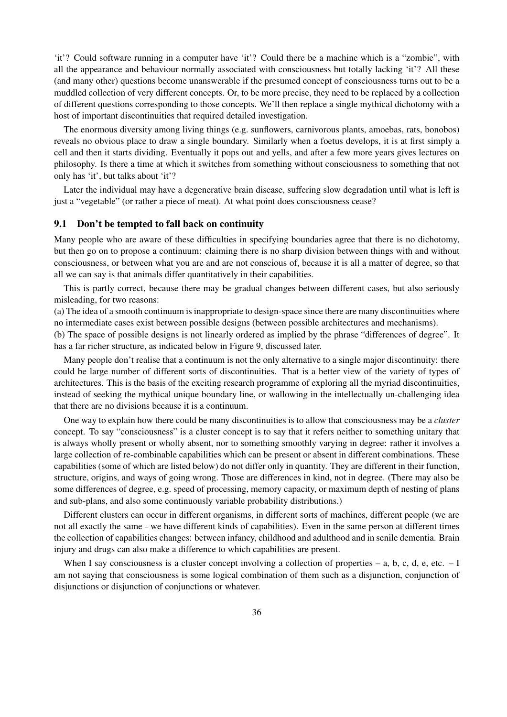'it'? Could software running in a computer have 'it'? Could there be a machine which is a "zombie", with all the appearance and behaviour normally associated with consciousness but totally lacking 'it'? All these (and many other) questions become unanswerable if the presumed concept of consciousness turns out to be a muddled collection of very different concepts. Or, to be more precise, they need to be replaced by a collection of different questions corresponding to those concepts. We'll then replace a single mythical dichotomy with a host of important discontinuities that required detailed investigation.

The enormous diversity among living things (e.g. sunflowers, carnivorous plants, amoebas, rats, bonobos) reveals no obvious place to draw a single boundary. Similarly when a foetus develops, it is at first simply a cell and then it starts dividing. Eventually it pops out and yells, and after a few more years gives lectures on philosophy. Is there a time at which it switches from something without consciousness to something that not only has 'it', but talks about 'it'?

Later the individual may have a degenerative brain disease, suffering slow degradation until what is left is just a "vegetable" (or rather a piece of meat). At what point does consciousness cease?

#### 9.1 Don't be tempted to fall back on continuity

Many people who are aware of these difficulties in specifying boundaries agree that there is no dichotomy, but then go on to propose a continuum: claiming there is no sharp division between things with and without consciousness, or between what you are and are not conscious of, because it is all a matter of degree, so that all we can say is that animals differ quantitatively in their capabilities.

This is partly correct, because there may be gradual changes between different cases, but also seriously misleading, for two reasons:

(a) The idea of a smooth continuum is inappropriate to design-space since there are many discontinuities where no intermediate cases exist between possible designs (between possible architectures and mechanisms).

(b) The space of possible designs is not linearly ordered as implied by the phrase "differences of degree". It has a far richer structure, as indicated below in Figure 9, discussed later.

Many people don't realise that a continuum is not the only alternative to a single major discontinuity: there could be large number of different sorts of discontinuities. That is a better view of the variety of types of architectures. This is the basis of the exciting research programme of exploring all the myriad discontinuities, instead of seeking the mythical unique boundary line, or wallowing in the intellectually un-challenging idea that there are no divisions because it is a continuum.

One way to explain how there could be many discontinuities is to allow that consciousness may be a *cluster* concept. To say "consciousness" is a cluster concept is to say that it refers neither to something unitary that is always wholly present or wholly absent, nor to something smoothly varying in degree: rather it involves a large collection of re-combinable capabilities which can be present or absent in different combinations. These capabilities (some of which are listed below) do not differ only in quantity. They are different in their function, structure, origins, and ways of going wrong. Those are differences in kind, not in degree. (There may also be some differences of degree, e.g. speed of processing, memory capacity, or maximum depth of nesting of plans and sub-plans, and also some continuously variable probability distributions.)

Different clusters can occur in different organisms, in different sorts of machines, different people (we are not all exactly the same - we have different kinds of capabilities). Even in the same person at different times the collection of capabilities changes: between infancy, childhood and adulthood and in senile dementia. Brain injury and drugs can also make a difference to which capabilities are present.

When I say consciousness is a cluster concept involving a collection of properties – a, b, c, d, e, etc.  $-1$ am not saying that consciousness is some logical combination of them such as a disjunction, conjunction of disjunctions or disjunction of conjunctions or whatever.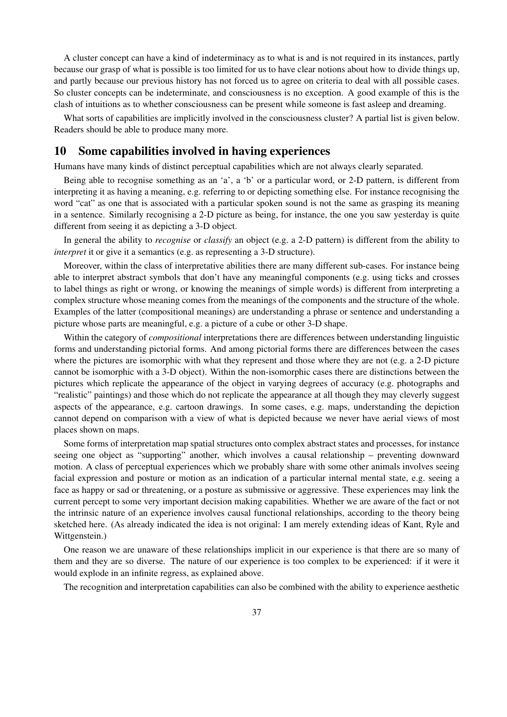A cluster concept can have a kind of indeterminacy as to what is and is not required in its instances, partly because our grasp of what is possible is too limited for us to have clear notions about how to divide things up, and partly because our previous history has not forced us to agree on criteria to deal with all possible cases. So cluster concepts can be indeterminate, and consciousness is no exception. A good example of this is the clash of intuitions as to whether consciousness can be present while someone is fast asleep and dreaming.

What sorts of capabilities are implicitly involved in the consciousness cluster? A partial list is given below. Readers should be able to produce many more.

### 10 Some capabilities involved in having experiences

Humans have many kinds of distinct perceptual capabilities which are not always clearly separated.

Being able to recognise something as an 'a', a 'b' or a particular word, or 2-D pattern, is different from interpreting it as having a meaning, e.g. referring to or depicting something else. For instance recognising the word "cat" as one that is associated with a particular spoken sound is not the same as grasping its meaning in a sentence. Similarly recognising a 2-D picture as being, for instance, the one you saw yesterday is quite different from seeing it as depicting a 3-D object.

In general the ability to *recognise* or *classify* an object (e.g. a 2-D pattern) is different from the ability to *interpret* it or give it a semantics (e.g. as representing a 3-D structure).

Moreover, within the class of interpretative abilities there are many different sub-cases. For instance being able to interpret abstract symbols that don't have any meaningful components (e.g. using ticks and crosses to label things as right or wrong, or knowing the meanings of simple words) is different from interpreting a complex structure whose meaning comes from the meanings of the components and the structure of the whole. Examples of the latter (compositional meanings) are understanding a phrase or sentence and understanding a picture whose parts are meaningful, e.g. a picture of a cube or other 3-D shape.

Within the category of *compositional* interpretations there are differences between understanding linguistic forms and understanding pictorial forms. And among pictorial forms there are differences between the cases where the pictures are isomorphic with what they represent and those where they are not (e.g. a 2-D picture cannot be isomorphic with a 3-D object). Within the non-isomorphic cases there are distinctions between the pictures which replicate the appearance of the object in varying degrees of accuracy (e.g. photographs and "realistic" paintings) and those which do not replicate the appearance at all though they may cleverly suggest aspects of the appearance, e.g. cartoon drawings. In some cases, e.g. maps, understanding the depiction cannot depend on comparison with a view of what is depicted because we never have aerial views of most places shown on maps.

Some forms of interpretation map spatial structures onto complex abstract states and processes, for instance seeing one object as "supporting" another, which involves a causal relationship – preventing downward motion. A class of perceptual experiences which we probably share with some other animals involves seeing facial expression and posture or motion as an indication of a particular internal mental state, e.g. seeing a face as happy or sad or threatening, or a posture as submissive or aggressive. These experiences may link the current percept to some very important decision making capabilities. Whether we are aware of the fact or not the intrinsic nature of an experience involves causal functional relationships, according to the theory being sketched here. (As already indicated the idea is not original: I am merely extending ideas of Kant, Ryle and Wittgenstein.)

One reason we are unaware of these relationships implicit in our experience is that there are so many of them and they are so diverse. The nature of our experience is too complex to be experienced: if it were it would explode in an infinite regress, as explained above.

The recognition and interpretation capabilities can also be combined with the ability to experience aesthetic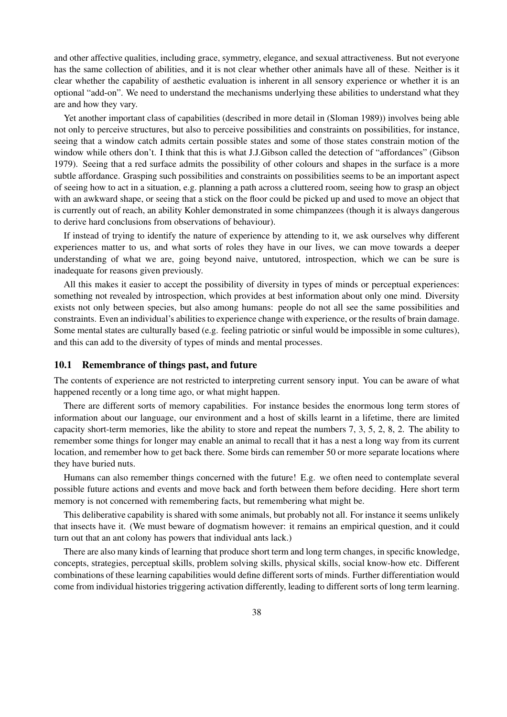and other affective qualities, including grace, symmetry, elegance, and sexual attractiveness. But not everyone has the same collection of abilities, and it is not clear whether other animals have all of these. Neither is it clear whether the capability of aesthetic evaluation is inherent in all sensory experience or whether it is an optional "add-on". We need to understand the mechanisms underlying these abilities to understand what they are and how they vary.

Yet another important class of capabilities (described in more detail in (Sloman 1989)) involves being able not only to perceive structures, but also to perceive possibilities and constraints on possibilities, for instance, seeing that a window catch admits certain possible states and some of those states constrain motion of the window while others don't. I think that this is what J.J.Gibson called the detection of "affordances" (Gibson 1979). Seeing that a red surface admits the possibility of other colours and shapes in the surface is a more subtle affordance. Grasping such possibilities and constraints on possibilities seems to be an important aspect of seeing how to act in a situation, e.g. planning a path across a cluttered room, seeing how to grasp an object with an awkward shape, or seeing that a stick on the floor could be picked up and used to move an object that is currently out of reach, an ability Kohler demonstrated in some chimpanzees (though it is always dangerous to derive hard conclusions from observations of behaviour).

If instead of trying to identify the nature of experience by attending to it, we ask ourselves why different experiences matter to us, and what sorts of roles they have in our lives, we can move towards a deeper understanding of what we are, going beyond naive, untutored, introspection, which we can be sure is inadequate for reasons given previously.

All this makes it easier to accept the possibility of diversity in types of minds or perceptual experiences: something not revealed by introspection, which provides at best information about only one mind. Diversity exists not only between species, but also among humans: people do not all see the same possibilities and constraints. Even an individual's abilities to experience change with experience, or the results of brain damage. Some mental states are culturally based (e.g. feeling patriotic or sinful would be impossible in some cultures), and this can add to the diversity of types of minds and mental processes.

#### 10.1 Remembrance of things past, and future

The contents of experience are not restricted to interpreting current sensory input. You can be aware of what happened recently or a long time ago, or what might happen.

There are different sorts of memory capabilities. For instance besides the enormous long term stores of information about our language, our environment and a host of skills learnt in a lifetime, there are limited capacity short-term memories, like the ability to store and repeat the numbers 7, 3, 5, 2, 8, 2. The ability to remember some things for longer may enable an animal to recall that it has a nest a long way from its current location, and remember how to get back there. Some birds can remember 50 or more separate locations where they have buried nuts.

Humans can also remember things concerned with the future! E.g. we often need to contemplate several possible future actions and events and move back and forth between them before deciding. Here short term memory is not concerned with remembering facts, but remembering what might be.

This deliberative capability is shared with some animals, but probably not all. For instance it seems unlikely that insects have it. (We must beware of dogmatism however: it remains an empirical question, and it could turn out that an ant colony has powers that individual ants lack.)

There are also many kinds of learning that produce short term and long term changes, in specific knowledge, concepts, strategies, perceptual skills, problem solving skills, physical skills, social know-how etc. Different combinations of these learning capabilities would define different sorts of minds. Further differentiation would come from individual histories triggering activation differently, leading to different sorts of long term learning.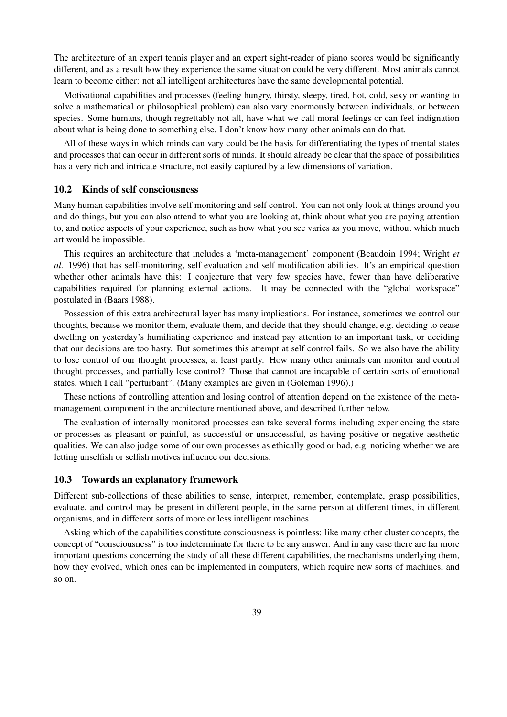The architecture of an expert tennis player and an expert sight-reader of piano scores would be significantly different, and as a result how they experience the same situation could be very different. Most animals cannot learn to become either: not all intelligent architectures have the same developmental potential.

Motivational capabilities and processes (feeling hungry, thirsty, sleepy, tired, hot, cold, sexy or wanting to solve a mathematical or philosophical problem) can also vary enormously between individuals, or between species. Some humans, though regrettably not all, have what we call moral feelings or can feel indignation about what is being done to something else. I don't know how many other animals can do that.

All of these ways in which minds can vary could be the basis for differentiating the types of mental states and processes that can occur in different sorts of minds. It should already be clear that the space of possibilities has a very rich and intricate structure, not easily captured by a few dimensions of variation.

#### 10.2 Kinds of self consciousness

Many human capabilities involve self monitoring and self control. You can not only look at things around you and do things, but you can also attend to what you are looking at, think about what you are paying attention to, and notice aspects of your experience, such as how what you see varies as you move, without which much art would be impossible.

This requires an architecture that includes a 'meta-management' component (Beaudoin 1994; Wright *et al.* 1996) that has self-monitoring, self evaluation and self modification abilities. It's an empirical question whether other animals have this: I conjecture that very few species have, fewer than have deliberative capabilities required for planning external actions. It may be connected with the "global workspace" postulated in (Baars 1988).

Possession of this extra architectural layer has many implications. For instance, sometimes we control our thoughts, because we monitor them, evaluate them, and decide that they should change, e.g. deciding to cease dwelling on yesterday's humiliating experience and instead pay attention to an important task, or deciding that our decisions are too hasty. But sometimes this attempt at self control fails. So we also have the ability to lose control of our thought processes, at least partly. How many other animals can monitor and control thought processes, and partially lose control? Those that cannot are incapable of certain sorts of emotional states, which I call "perturbant". (Many examples are given in (Goleman 1996).)

These notions of controlling attention and losing control of attention depend on the existence of the metamanagement component in the architecture mentioned above, and described further below.

The evaluation of internally monitored processes can take several forms including experiencing the state or processes as pleasant or painful, as successful or unsuccessful, as having positive or negative aesthetic qualities. We can also judge some of our own processes as ethically good or bad, e.g. noticing whether we are letting unselfish or selfish motives influence our decisions.

#### 10.3 Towards an explanatory framework

Different sub-collections of these abilities to sense, interpret, remember, contemplate, grasp possibilities, evaluate, and control may be present in different people, in the same person at different times, in different organisms, and in different sorts of more or less intelligent machines.

Asking which of the capabilities constitute consciousness is pointless: like many other cluster concepts, the concept of "consciousness" is too indeterminate for there to be any answer. And in any case there are far more important questions concerning the study of all these different capabilities, the mechanisms underlying them, how they evolved, which ones can be implemented in computers, which require new sorts of machines, and so on.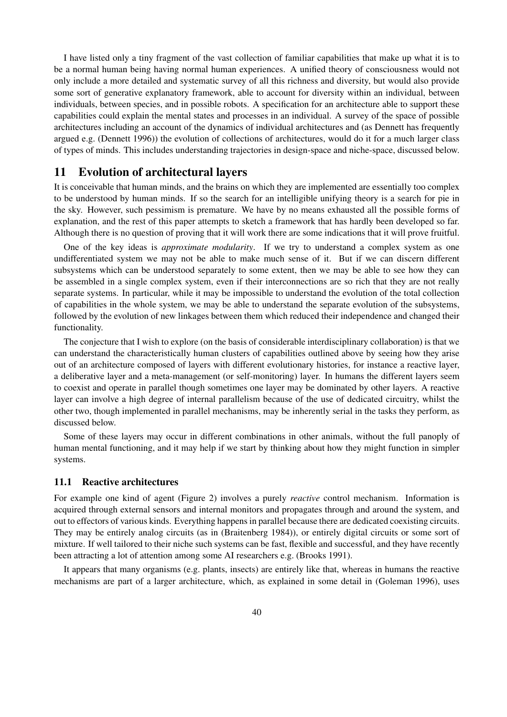I have listed only a tiny fragment of the vast collection of familiar capabilities that make up what it is to be a normal human being having normal human experiences. A unified theory of consciousness would not only include a more detailed and systematic survey of all this richness and diversity, but would also provide some sort of generative explanatory framework, able to account for diversity within an individual, between individuals, between species, and in possible robots. A specification for an architecture able to support these capabilities could explain the mental states and processes in an individual. A survey of the space of possible architectures including an account of the dynamics of individual architectures and (as Dennett has frequently argued e.g. (Dennett 1996)) the evolution of collections of architectures, would do it for a much larger class of types of minds. This includes understanding trajectories in design-space and niche-space, discussed below.

# 11 Evolution of architectural layers

It is conceivable that human minds, and the brains on which they are implemented are essentially too complex to be understood by human minds. If so the search for an intelligible unifying theory is a search for pie in the sky. However, such pessimism is premature. We have by no means exhausted all the possible forms of explanation, and the rest of this paper attempts to sketch a framework that has hardly been developed so far. Although there is no question of proving that it will work there are some indications that it will prove fruitful.

One of the key ideas is *approximate modularity*. If we try to understand a complex system as one undifferentiated system we may not be able to make much sense of it. But if we can discern different subsystems which can be understood separately to some extent, then we may be able to see how they can be assembled in a single complex system, even if their interconnections are so rich that they are not really separate systems. In particular, while it may be impossible to understand the evolution of the total collection of capabilities in the whole system, we may be able to understand the separate evolution of the subsystems, followed by the evolution of new linkages between them which reduced their independence and changed their functionality.

The conjecture that I wish to explore (on the basis of considerable interdisciplinary collaboration) is that we can understand the characteristically human clusters of capabilities outlined above by seeing how they arise out of an architecture composed of layers with different evolutionary histories, for instance a reactive layer, a deliberative layer and a meta-management (or self-monitoring) layer. In humans the different layers seem to coexist and operate in parallel though sometimes one layer may be dominated by other layers. A reactive layer can involve a high degree of internal parallelism because of the use of dedicated circuitry, whilst the other two, though implemented in parallel mechanisms, may be inherently serial in the tasks they perform, as discussed below.

Some of these layers may occur in different combinations in other animals, without the full panoply of human mental functioning, and it may help if we start by thinking about how they might function in simpler systems.

#### 11.1 Reactive architectures

For example one kind of agent (Figure 2) involves a purely *reactive* control mechanism. Information is acquired through external sensors and internal monitors and propagates through and around the system, and out to effectors of various kinds. Everything happens in parallel because there are dedicated coexisting circuits. They may be entirely analog circuits (as in (Braitenberg 1984)), or entirely digital circuits or some sort of mixture. If well tailored to their niche such systems can be fast, flexible and successful, and they have recently been attracting a lot of attention among some AI researchers e.g. (Brooks 1991).

It appears that many organisms (e.g. plants, insects) are entirely like that, whereas in humans the reactive mechanisms are part of a larger architecture, which, as explained in some detail in (Goleman 1996), uses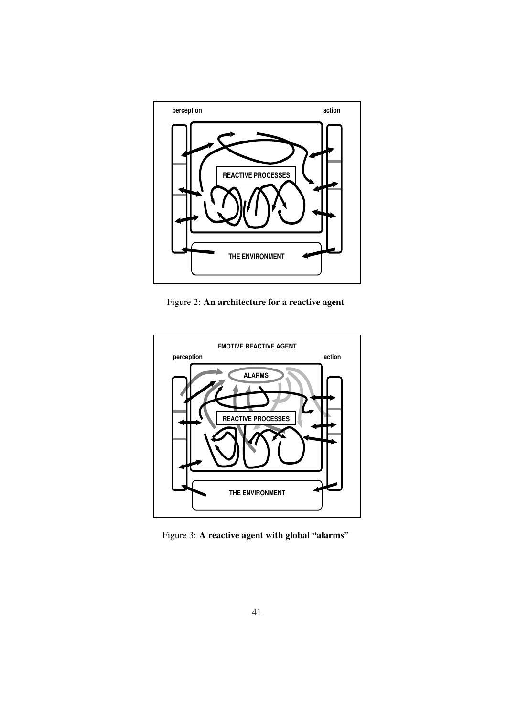

Figure 2: An architecture for a reactive agent



Figure 3: A reactive agent with global "alarms"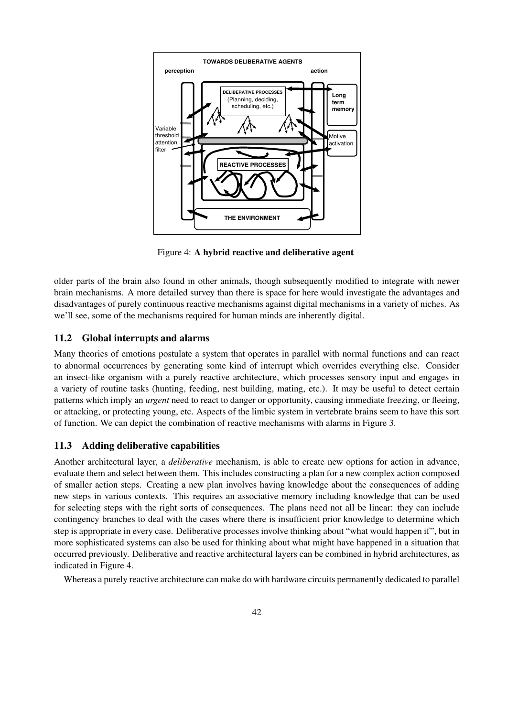

Figure 4: A hybrid reactive and deliberative agent

older parts of the brain also found in other animals, though subsequently modified to integrate with newer brain mechanisms. A more detailed survey than there is space for here would investigate the advantages and disadvantages of purely continuous reactive mechanisms against digital mechanisms in a variety of niches. As we'll see, some of the mechanisms required for human minds are inherently digital.

### 11.2 Global interrupts and alarms

Many theories of emotions postulate a system that operates in parallel with normal functions and can react to abnormal occurrences by generating some kind of interrupt which overrides everything else. Consider an insect-like organism with a purely reactive architecture, which processes sensory input and engages in a variety of routine tasks (hunting, feeding, nest building, mating, etc.). It may be useful to detect certain patterns which imply an *urgent* need to react to danger or opportunity, causing immediate freezing, or fleeing, or attacking, or protecting young, etc. Aspects of the limbic system in vertebrate brains seem to have this sort of function. We can depict the combination of reactive mechanisms with alarms in Figure 3.

### 11.3 Adding deliberative capabilities

Another architectural layer, a *deliberative* mechanism, is able to create new options for action in advance, evaluate them and select between them. This includes constructing a plan for a new complex action composed of smaller action steps. Creating a new plan involves having knowledge about the consequences of adding new steps in various contexts. This requires an associative memory including knowledge that can be used for selecting steps with the right sorts of consequences. The plans need not all be linear: they can include contingency branches to deal with the cases where there is insufficient prior knowledge to determine which step is appropriate in every case. Deliberative processes involve thinking about "what would happen if", but in more sophisticated systems can also be used for thinking about what might have happened in a situation that occurred previously. Deliberative and reactive architectural layers can be combined in hybrid architectures, as indicated in Figure 4.

Whereas a purely reactive architecture can make do with hardware circuits permanently dedicated to parallel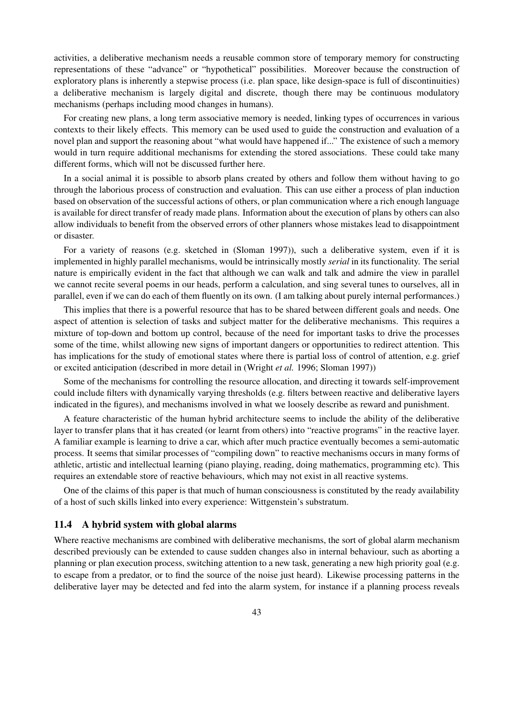activities, a deliberative mechanism needs a reusable common store of temporary memory for constructing representations of these "advance" or "hypothetical" possibilities. Moreover because the construction of exploratory plans is inherently a stepwise process (i.e. plan space, like design-space is full of discontinuities) a deliberative mechanism is largely digital and discrete, though there may be continuous modulatory mechanisms (perhaps including mood changes in humans).

For creating new plans, a long term associative memory is needed, linking types of occurrences in various contexts to their likely effects. This memory can be used used to guide the construction and evaluation of a novel plan and support the reasoning about "what would have happened if..." The existence of such a memory would in turn require additional mechanisms for extending the stored associations. These could take many different forms, which will not be discussed further here.

In a social animal it is possible to absorb plans created by others and follow them without having to go through the laborious process of construction and evaluation. This can use either a process of plan induction based on observation of the successful actions of others, or plan communication where a rich enough language is available for direct transfer of ready made plans. Information about the execution of plans by others can also allow individuals to benefit from the observed errors of other planners whose mistakes lead to disappointment or disaster.

For a variety of reasons (e.g. sketched in (Sloman 1997)), such a deliberative system, even if it is implemented in highly parallel mechanisms, would be intrinsically mostly *serial* in its functionality. The serial nature is empirically evident in the fact that although we can walk and talk and admire the view in parallel we cannot recite several poems in our heads, perform a calculation, and sing several tunes to ourselves, all in parallel, even if we can do each of them fluently on its own. (I am talking about purely internal performances.)

This implies that there is a powerful resource that has to be shared between different goals and needs. One aspect of attention is selection of tasks and subject matter for the deliberative mechanisms. This requires a mixture of top-down and bottom up control, because of the need for important tasks to drive the processes some of the time, whilst allowing new signs of important dangers or opportunities to redirect attention. This has implications for the study of emotional states where there is partial loss of control of attention, e.g. grief or excited anticipation (described in more detail in (Wright *et al.* 1996; Sloman 1997))

Some of the mechanisms for controlling the resource allocation, and directing it towards self-improvement could include filters with dynamically varying thresholds (e.g. filters between reactive and deliberative layers indicated in the figures), and mechanisms involved in what we loosely describe as reward and punishment.

A feature characteristic of the human hybrid architecture seems to include the ability of the deliberative layer to transfer plans that it has created (or learnt from others) into "reactive programs" in the reactive layer. A familiar example is learning to drive a car, which after much practice eventually becomes a semi-automatic process. It seems that similar processes of "compiling down" to reactive mechanisms occurs in many forms of athletic, artistic and intellectual learning (piano playing, reading, doing mathematics, programming etc). This requires an extendable store of reactive behaviours, which may not exist in all reactive systems.

One of the claims of this paper is that much of human consciousness is constituted by the ready availability of a host of such skills linked into every experience: Wittgenstein's substratum.

#### 11.4 A hybrid system with global alarms

Where reactive mechanisms are combined with deliberative mechanisms, the sort of global alarm mechanism described previously can be extended to cause sudden changes also in internal behaviour, such as aborting a planning or plan execution process, switching attention to a new task, generating a new high priority goal (e.g. to escape from a predator, or to find the source of the noise just heard). Likewise processing patterns in the deliberative layer may be detected and fed into the alarm system, for instance if a planning process reveals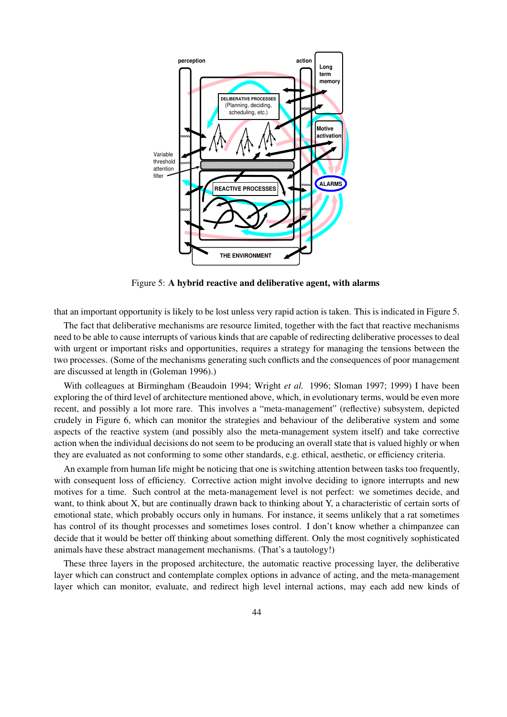

Figure 5: A hybrid reactive and deliberative agent, with alarms

that an important opportunity is likely to be lost unless very rapid action is taken. This is indicated in Figure 5.

The fact that deliberative mechanisms are resource limited, together with the fact that reactive mechanisms need to be able to cause interrupts of various kinds that are capable of redirecting deliberative processes to deal with urgent or important risks and opportunities, requires a strategy for managing the tensions between the two processes. (Some of the mechanisms generating such conflicts and the consequences of poor management are discussed at length in (Goleman 1996).)

With colleagues at Birmingham (Beaudoin 1994; Wright *et al.* 1996; Sloman 1997; 1999) I have been exploring the of third level of architecture mentioned above, which, in evolutionary terms, would be even more recent, and possibly a lot more rare. This involves a "meta-management" (reflective) subsystem, depicted crudely in Figure 6, which can monitor the strategies and behaviour of the deliberative system and some aspects of the reactive system (and possibly also the meta-management system itself) and take corrective action when the individual decisions do not seem to be producing an overall state that is valued highly or when they are evaluated as not conforming to some other standards, e.g. ethical, aesthetic, or efficiency criteria.

An example from human life might be noticing that one is switching attention between tasks too frequently, with consequent loss of efficiency. Corrective action might involve deciding to ignore interrupts and new motives for a time. Such control at the meta-management level is not perfect: we sometimes decide, and want, to think about X, but are continually drawn back to thinking about Y, a characteristic of certain sorts of emotional state, which probably occurs only in humans. For instance, it seems unlikely that a rat sometimes has control of its thought processes and sometimes loses control. I don't know whether a chimpanzee can decide that it would be better off thinking about something different. Only the most cognitively sophisticated animals have these abstract management mechanisms. (That's a tautology!)

These three layers in the proposed architecture, the automatic reactive processing layer, the deliberative layer which can construct and contemplate complex options in advance of acting, and the meta-management layer which can monitor, evaluate, and redirect high level internal actions, may each add new kinds of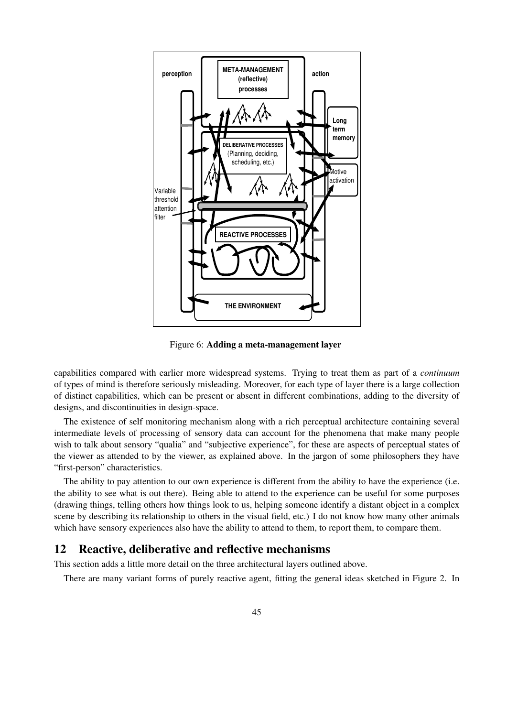

Figure 6: Adding a meta-management layer

capabilities compared with earlier more widespread systems. Trying to treat them as part of a *continuum* of types of mind is therefore seriously misleading. Moreover, for each type of layer there is a large collection of distinct capabilities, which can be present or absent in different combinations, adding to the diversity of designs, and discontinuities in design-space.

The existence of self monitoring mechanism along with a rich perceptual architecture containing several intermediate levels of processing of sensory data can account for the phenomena that make many people wish to talk about sensory "qualia" and "subjective experience", for these are aspects of perceptual states of the viewer as attended to by the viewer, as explained above. In the jargon of some philosophers they have "first-person" characteristics.

The ability to pay attention to our own experience is different from the ability to have the experience (i.e. the ability to see what is out there). Being able to attend to the experience can be useful for some purposes (drawing things, telling others how things look to us, helping someone identify a distant object in a complex scene by describing its relationship to others in the visual field, etc.) I do not know how many other animals which have sensory experiences also have the ability to attend to them, to report them, to compare them.

### 12 Reactive, deliberative and reflective mechanisms

This section adds a little more detail on the three architectural layers outlined above.

There are many variant forms of purely reactive agent, fitting the general ideas sketched in Figure 2. In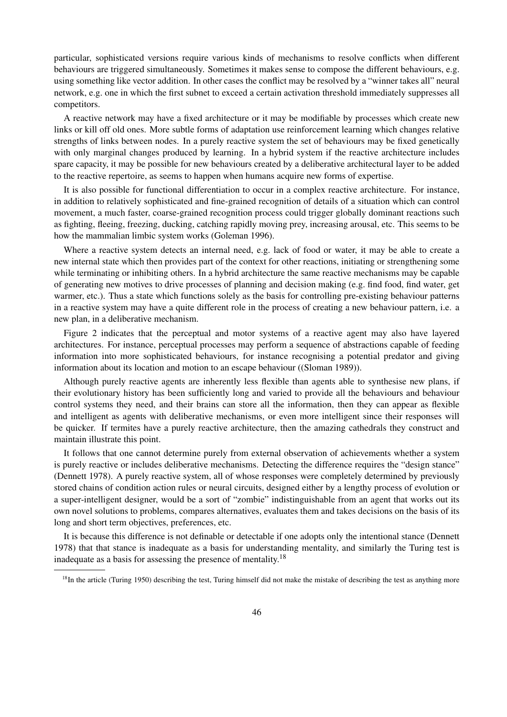particular, sophisticated versions require various kinds of mechanisms to resolve conflicts when different behaviours are triggered simultaneously. Sometimes it makes sense to compose the different behaviours, e.g. using something like vector addition. In other cases the conflict may be resolved by a "winner takes all" neural network, e.g. one in which the first subnet to exceed a certain activation threshold immediately suppresses all competitors.

A reactive network may have a fixed architecture or it may be modifiable by processes which create new links or kill off old ones. More subtle forms of adaptation use reinforcement learning which changes relative strengths of links between nodes. In a purely reactive system the set of behaviours may be fixed genetically with only marginal changes produced by learning. In a hybrid system if the reactive architecture includes spare capacity, it may be possible for new behaviours created by a deliberative architectural layer to be added to the reactive repertoire, as seems to happen when humans acquire new forms of expertise.

It is also possible for functional differentiation to occur in a complex reactive architecture. For instance, in addition to relatively sophisticated and fine-grained recognition of details of a situation which can control movement, a much faster, coarse-grained recognition process could trigger globally dominant reactions such as fighting, fleeing, freezing, ducking, catching rapidly moving prey, increasing arousal, etc. This seems to be how the mammalian limbic system works (Goleman 1996).

Where a reactive system detects an internal need, e.g. lack of food or water, it may be able to create a new internal state which then provides part of the context for other reactions, initiating or strengthening some while terminating or inhibiting others. In a hybrid architecture the same reactive mechanisms may be capable of generating new motives to drive processes of planning and decision making (e.g. find food, find water, get warmer, etc.). Thus a state which functions solely as the basis for controlling pre-existing behaviour patterns in a reactive system may have a quite different role in the process of creating a new behaviour pattern, i.e. a new plan, in a deliberative mechanism.

Figure 2 indicates that the perceptual and motor systems of a reactive agent may also have layered architectures. For instance, perceptual processes may perform a sequence of abstractions capable of feeding information into more sophisticated behaviours, for instance recognising a potential predator and giving information about its location and motion to an escape behaviour ((Sloman 1989)).

Although purely reactive agents are inherently less flexible than agents able to synthesise new plans, if their evolutionary history has been sufficiently long and varied to provide all the behaviours and behaviour control systems they need, and their brains can store all the information, then they can appear as flexible and intelligent as agents with deliberative mechanisms, or even more intelligent since their responses will be quicker. If termites have a purely reactive architecture, then the amazing cathedrals they construct and maintain illustrate this point.

It follows that one cannot determine purely from external observation of achievements whether a system is purely reactive or includes deliberative mechanisms. Detecting the difference requires the "design stance" (Dennett 1978). A purely reactive system, all of whose responses were completely determined by previously stored chains of condition action rules or neural circuits, designed either by a lengthy process of evolution or a super-intelligent designer, would be a sort of "zombie" indistinguishable from an agent that works out its own novel solutions to problems, compares alternatives, evaluates them and takes decisions on the basis of its long and short term objectives, preferences, etc.

It is because this difference is not definable or detectable if one adopts only the intentional stance (Dennett 1978) that that stance is inadequate as a basis for understanding mentality, and similarly the Turing test is inadequate as a basis for assessing the presence of mentality.<sup>18</sup>

<sup>&</sup>lt;sup>18</sup>In the article (Turing 1950) describing the test, Turing himself did not make the mistake of describing the test as anything more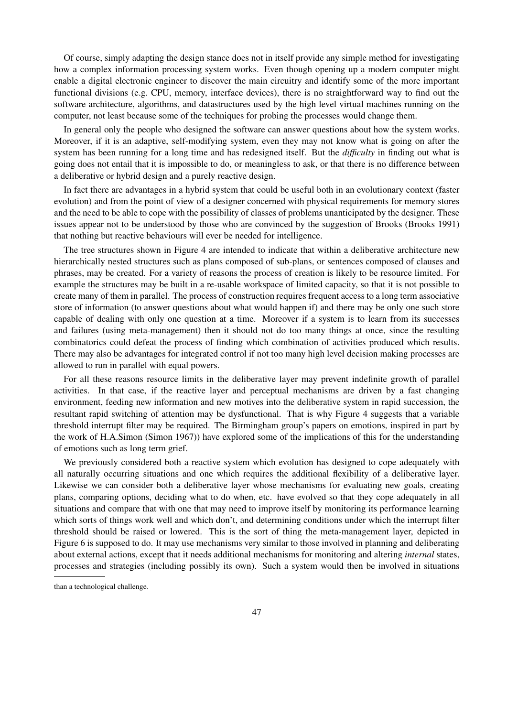Of course, simply adapting the design stance does not in itself provide any simple method for investigating how a complex information processing system works. Even though opening up a modern computer might enable a digital electronic engineer to discover the main circuitry and identify some of the more important functional divisions (e.g. CPU, memory, interface devices), there is no straightforward way to find out the software architecture, algorithms, and datastructures used by the high level virtual machines running on the computer, not least because some of the techniques for probing the processes would change them.

In general only the people who designed the software can answer questions about how the system works. Moreover, if it is an adaptive, self-modifying system, even they may not know what is going on after the system has been running for a long time and has redesigned itself. But the *difficulty* in finding out what is going does not entail that it is impossible to do, or meaningless to ask, or that there is no difference between a deliberative or hybrid design and a purely reactive design.

In fact there are advantages in a hybrid system that could be useful both in an evolutionary context (faster evolution) and from the point of view of a designer concerned with physical requirements for memory stores and the need to be able to cope with the possibility of classes of problems unanticipated by the designer. These issues appear not to be understood by those who are convinced by the suggestion of Brooks (Brooks 1991) that nothing but reactive behaviours will ever be needed for intelligence.

The tree structures shown in Figure 4 are intended to indicate that within a deliberative architecture new hierarchically nested structures such as plans composed of sub-plans, or sentences composed of clauses and phrases, may be created. For a variety of reasons the process of creation is likely to be resource limited. For example the structures may be built in a re-usable workspace of limited capacity, so that it is not possible to create many of them in parallel. The process of construction requires frequent access to a long term associative store of information (to answer questions about what would happen if) and there may be only one such store capable of dealing with only one question at a time. Moreover if a system is to learn from its successes and failures (using meta-management) then it should not do too many things at once, since the resulting combinatorics could defeat the process of finding which combination of activities produced which results. There may also be advantages for integrated control if not too many high level decision making processes are allowed to run in parallel with equal powers.

For all these reasons resource limits in the deliberative layer may prevent indefinite growth of parallel activities. In that case, if the reactive layer and perceptual mechanisms are driven by a fast changing environment, feeding new information and new motives into the deliberative system in rapid succession, the resultant rapid switching of attention may be dysfunctional. That is why Figure 4 suggests that a variable threshold interrupt filter may be required. The Birmingham group's papers on emotions, inspired in part by the work of H.A.Simon (Simon 1967)) have explored some of the implications of this for the understanding of emotions such as long term grief.

We previously considered both a reactive system which evolution has designed to cope adequately with all naturally occurring situations and one which requires the additional flexibility of a deliberative layer. Likewise we can consider both a deliberative layer whose mechanisms for evaluating new goals, creating plans, comparing options, deciding what to do when, etc. have evolved so that they cope adequately in all situations and compare that with one that may need to improve itself by monitoring its performance learning which sorts of things work well and which don't, and determining conditions under which the interrupt filter threshold should be raised or lowered. This is the sort of thing the meta-management layer, depicted in Figure 6 is supposed to do. It may use mechanisms very similar to those involved in planning and deliberating about external actions, except that it needs additional mechanisms for monitoring and altering *internal* states, processes and strategies (including possibly its own). Such a system would then be involved in situations

than a technological challenge.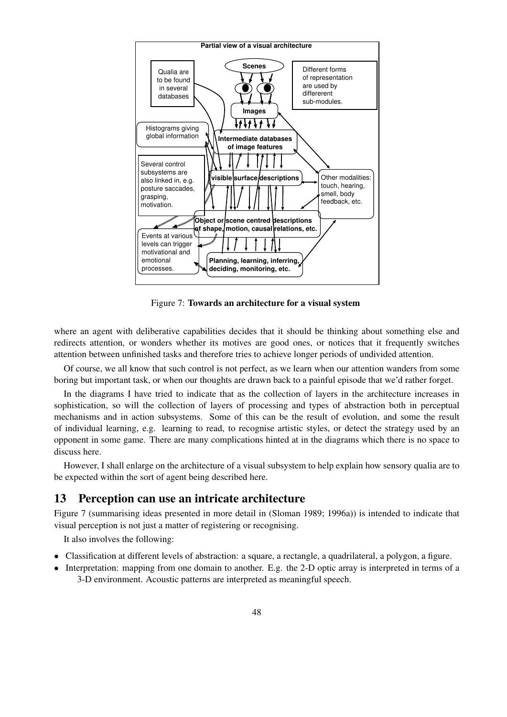

Figure 7: Towards an architecture for a visual system

where an agent with deliberative capabilities decides that it should be thinking about something else and redirects attention, or wonders whether its motives are good ones, or notices that it frequently switches attention between unfinished tasks and therefore tries to achieve longer periods of undivided attention.

Of course, we all know that such control is not perfect, as we learn when our attention wanders from some boring but important task, or when our thoughts are drawn back to a painful episode that we'd rather forget.

In the diagrams I have tried to indicate that as the collection of layers in the architecture increases in sophistication, so will the collection of layers of processing and types of abstraction both in perceptual mechanisms and in action subsystems. Some of this can be the result of evolution, and some the result of individual learning, e.g. learning to read, to recognise artistic styles, or detect the strategy used by an opponent in some game. There are many complications hinted at in the diagrams which there is no space to discuss here.

However, I shall enlarge on the architecture of a visual subsystem to help explain how sensory qualia are to be expected within the sort of agent being described here.

# 13 Perception can use an intricate architecture

Figure 7 (summarising ideas presented in more detail in (Sloman 1989; 1996a)) is intended to indicate that visual perception is not just a matter of registering or recognising.

It also involves the following:

- Classification at different levels of abstraction: a square, a rectangle, a quadrilateral, a polygon, a figure.
- Interpretation: mapping from one domain to another. E.g. the 2-D optic array is interpreted in terms of a 3-D environment. Acoustic patterns are interpreted as meaningful speech.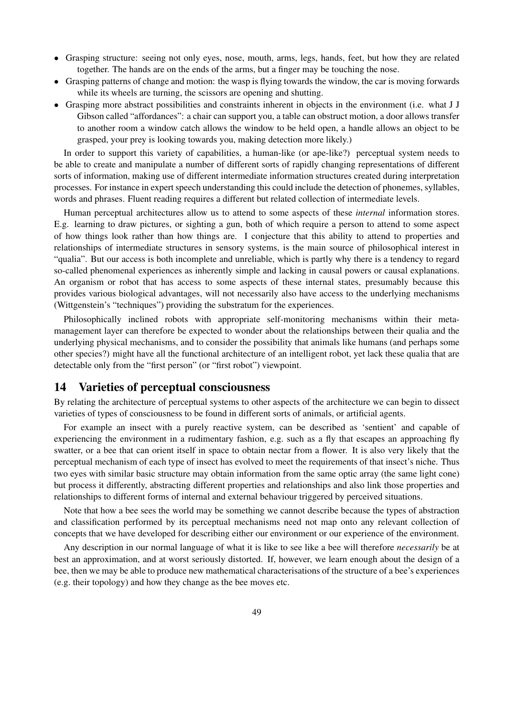- Grasping structure: seeing not only eyes, nose, mouth, arms, legs, hands, feet, but how they are related together. The hands are on the ends of the arms, but a finger may be touching the nose.
- Grasping patterns of change and motion: the wasp is flying towards the window, the car is moving forwards while its wheels are turning, the scissors are opening and shutting.
- Grasping more abstract possibilities and constraints inherent in objects in the environment (i.e. what J J Gibson called "affordances": a chair can support you, a table can obstruct motion, a door allows transfer to another room a window catch allows the window to be held open, a handle allows an object to be grasped, your prey is looking towards you, making detection more likely.)

In order to support this variety of capabilities, a human-like (or ape-like?) perceptual system needs to be able to create and manipulate a number of different sorts of rapidly changing representations of different sorts of information, making use of different intermediate information structures created during interpretation processes. For instance in expert speech understanding this could include the detection of phonemes, syllables, words and phrases. Fluent reading requires a different but related collection of intermediate levels.

Human perceptual architectures allow us to attend to some aspects of these *internal* information stores. E.g. learning to draw pictures, or sighting a gun, both of which require a person to attend to some aspect of how things look rather than how things are. I conjecture that this ability to attend to properties and relationships of intermediate structures in sensory systems, is the main source of philosophical interest in "qualia". But our access is both incomplete and unreliable, which is partly why there is a tendency to regard so-called phenomenal experiences as inherently simple and lacking in causal powers or causal explanations. An organism or robot that has access to some aspects of these internal states, presumably because this provides various biological advantages, will not necessarily also have access to the underlying mechanisms (Wittgenstein's "techniques") providing the substratum for the experiences.

Philosophically inclined robots with appropriate self-monitoring mechanisms within their metamanagement layer can therefore be expected to wonder about the relationships between their qualia and the underlying physical mechanisms, and to consider the possibility that animals like humans (and perhaps some other species?) might have all the functional architecture of an intelligent robot, yet lack these qualia that are detectable only from the "first person" (or "first robot") viewpoint.

### 14 Varieties of perceptual consciousness

By relating the architecture of perceptual systems to other aspects of the architecture we can begin to dissect varieties of types of consciousness to be found in different sorts of animals, or artificial agents.

For example an insect with a purely reactive system, can be described as 'sentient' and capable of experiencing the environment in a rudimentary fashion, e.g. such as a fly that escapes an approaching fly swatter, or a bee that can orient itself in space to obtain nectar from a flower. It is also very likely that the perceptual mechanism of each type of insect has evolved to meet the requirements of that insect's niche. Thus two eyes with similar basic structure may obtain information from the same optic array (the same light cone) but process it differently, abstracting different properties and relationships and also link those properties and relationships to different forms of internal and external behaviour triggered by perceived situations.

Note that how a bee sees the world may be something we cannot describe because the types of abstraction and classification performed by its perceptual mechanisms need not map onto any relevant collection of concepts that we have developed for describing either our environment or our experience of the environment.

Any description in our normal language of what it is like to see like a bee will therefore *necessarily* be at best an approximation, and at worst seriously distorted. If, however, we learn enough about the design of a bee, then we may be able to produce new mathematical characterisations of the structure of a bee's experiences (e.g. their topology) and how they change as the bee moves etc.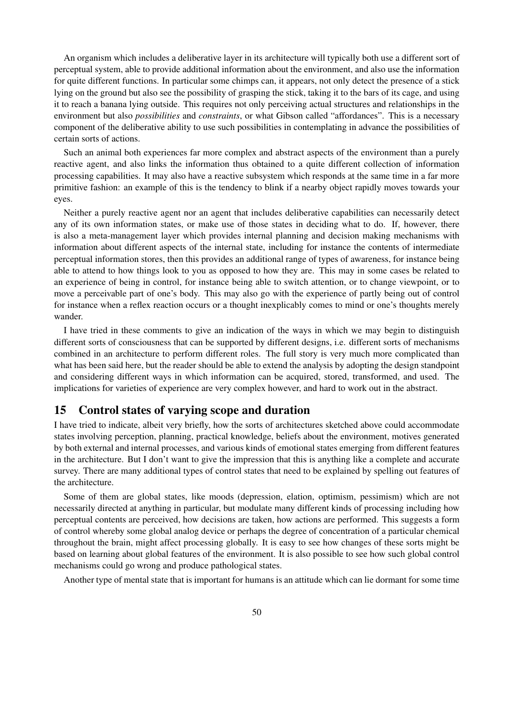An organism which includes a deliberative layer in its architecture will typically both use a different sort of perceptual system, able to provide additional information about the environment, and also use the information for quite different functions. In particular some chimps can, it appears, not only detect the presence of a stick lying on the ground but also see the possibility of grasping the stick, taking it to the bars of its cage, and using it to reach a banana lying outside. This requires not only perceiving actual structures and relationships in the environment but also *possibilities* and *constraints*, or what Gibson called "affordances". This is a necessary component of the deliberative ability to use such possibilities in contemplating in advance the possibilities of certain sorts of actions.

Such an animal both experiences far more complex and abstract aspects of the environment than a purely reactive agent, and also links the information thus obtained to a quite different collection of information processing capabilities. It may also have a reactive subsystem which responds at the same time in a far more primitive fashion: an example of this is the tendency to blink if a nearby object rapidly moves towards your eyes.

Neither a purely reactive agent nor an agent that includes deliberative capabilities can necessarily detect any of its own information states, or make use of those states in deciding what to do. If, however, there is also a meta-management layer which provides internal planning and decision making mechanisms with information about different aspects of the internal state, including for instance the contents of intermediate perceptual information stores, then this provides an additional range of types of awareness, for instance being able to attend to how things look to you as opposed to how they are. This may in some cases be related to an experience of being in control, for instance being able to switch attention, or to change viewpoint, or to move a perceivable part of one's body. This may also go with the experience of partly being out of control for instance when a reflex reaction occurs or a thought inexplicably comes to mind or one's thoughts merely wander.

I have tried in these comments to give an indication of the ways in which we may begin to distinguish different sorts of consciousness that can be supported by different designs, i.e. different sorts of mechanisms combined in an architecture to perform different roles. The full story is very much more complicated than what has been said here, but the reader should be able to extend the analysis by adopting the design standpoint and considering different ways in which information can be acquired, stored, transformed, and used. The implications for varieties of experience are very complex however, and hard to work out in the abstract.

# 15 Control states of varying scope and duration

I have tried to indicate, albeit very briefly, how the sorts of architectures sketched above could accommodate states involving perception, planning, practical knowledge, beliefs about the environment, motives generated by both external and internal processes, and various kinds of emotional states emerging from different features in the architecture. But I don't want to give the impression that this is anything like a complete and accurate survey. There are many additional types of control states that need to be explained by spelling out features of the architecture.

Some of them are global states, like moods (depression, elation, optimism, pessimism) which are not necessarily directed at anything in particular, but modulate many different kinds of processing including how perceptual contents are perceived, how decisions are taken, how actions are performed. This suggests a form of control whereby some global analog device or perhaps the degree of concentration of a particular chemical throughout the brain, might affect processing globally. It is easy to see how changes of these sorts might be based on learning about global features of the environment. It is also possible to see how such global control mechanisms could go wrong and produce pathological states.

Another type of mental state that is important for humans is an attitude which can lie dormant for some time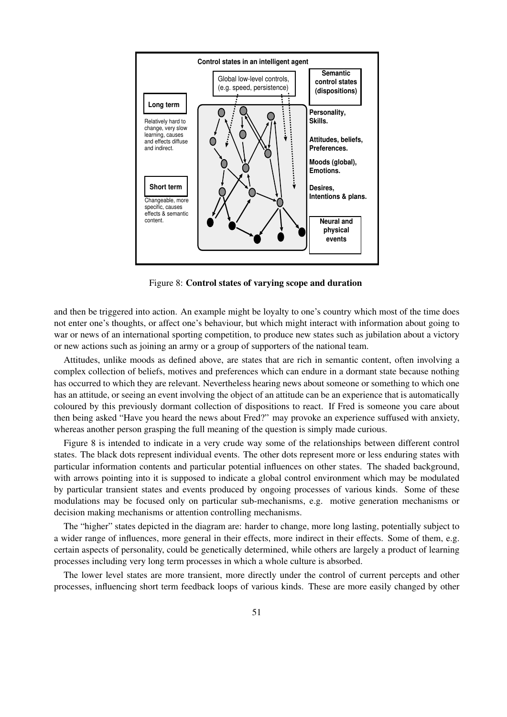

Figure 8: Control states of varying scope and duration

and then be triggered into action. An example might be loyalty to one's country which most of the time does not enter one's thoughts, or affect one's behaviour, but which might interact with information about going to war or news of an international sporting competition, to produce new states such as jubilation about a victory or new actions such as joining an army or a group of supporters of the national team.

Attitudes, unlike moods as defined above, are states that are rich in semantic content, often involving a complex collection of beliefs, motives and preferences which can endure in a dormant state because nothing has occurred to which they are relevant. Nevertheless hearing news about someone or something to which one has an attitude, or seeing an event involving the object of an attitude can be an experience that is automatically coloured by this previously dormant collection of dispositions to react. If Fred is someone you care about then being asked "Have you heard the news about Fred?" may provoke an experience suffused with anxiety, whereas another person grasping the full meaning of the question is simply made curious.

Figure 8 is intended to indicate in a very crude way some of the relationships between different control states. The black dots represent individual events. The other dots represent more or less enduring states with particular information contents and particular potential influences on other states. The shaded background, with arrows pointing into it is supposed to indicate a global control environment which may be modulated by particular transient states and events produced by ongoing processes of various kinds. Some of these modulations may be focused only on particular sub-mechanisms, e.g. motive generation mechanisms or decision making mechanisms or attention controlling mechanisms.

The "higher" states depicted in the diagram are: harder to change, more long lasting, potentially subject to a wider range of influences, more general in their effects, more indirect in their effects. Some of them, e.g. certain aspects of personality, could be genetically determined, while others are largely a product of learning processes including very long term processes in which a whole culture is absorbed.

The lower level states are more transient, more directly under the control of current percepts and other processes, influencing short term feedback loops of various kinds. These are more easily changed by other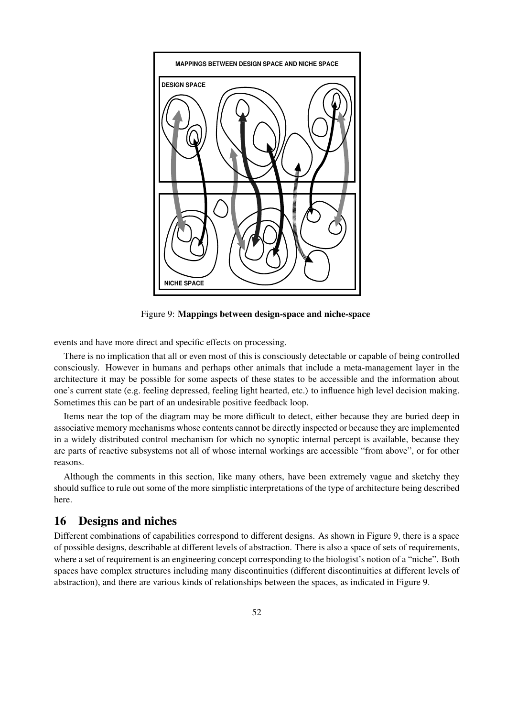

Figure 9: Mappings between design-space and niche-space

events and have more direct and specific effects on processing.

There is no implication that all or even most of this is consciously detectable or capable of being controlled consciously. However in humans and perhaps other animals that include a meta-management layer in the architecture it may be possible for some aspects of these states to be accessible and the information about one's current state (e.g. feeling depressed, feeling light hearted, etc.) to influence high level decision making. Sometimes this can be part of an undesirable positive feedback loop.

Items near the top of the diagram may be more difficult to detect, either because they are buried deep in associative memory mechanisms whose contents cannot be directly inspected or because they are implemented in a widely distributed control mechanism for which no synoptic internal percept is available, because they are parts of reactive subsystems not all of whose internal workings are accessible "from above", or for other reasons.

Although the comments in this section, like many others, have been extremely vague and sketchy they should suffice to rule out some of the more simplistic interpretations of the type of architecture being described here.

# 16 Designs and niches

Different combinations of capabilities correspond to different designs. As shown in Figure 9, there is a space of possible designs, describable at different levels of abstraction. There is also a space of sets of requirements, where a set of requirement is an engineering concept corresponding to the biologist's notion of a "niche". Both spaces have complex structures including many discontinuities (different discontinuities at different levels of abstraction), and there are various kinds of relationships between the spaces, as indicated in Figure 9.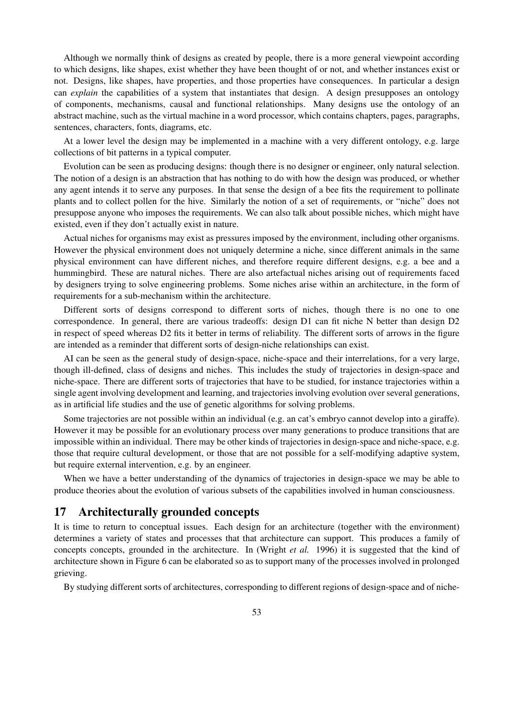Although we normally think of designs as created by people, there is a more general viewpoint according to which designs, like shapes, exist whether they have been thought of or not, and whether instances exist or not. Designs, like shapes, have properties, and those properties have consequences. In particular a design can *explain* the capabilities of a system that instantiates that design. A design presupposes an ontology of components, mechanisms, causal and functional relationships. Many designs use the ontology of an abstract machine, such as the virtual machine in a word processor, which contains chapters, pages, paragraphs, sentences, characters, fonts, diagrams, etc.

At a lower level the design may be implemented in a machine with a very different ontology, e.g. large collections of bit patterns in a typical computer.

Evolution can be seen as producing designs: though there is no designer or engineer, only natural selection. The notion of a design is an abstraction that has nothing to do with how the design was produced, or whether any agent intends it to serve any purposes. In that sense the design of a bee fits the requirement to pollinate plants and to collect pollen for the hive. Similarly the notion of a set of requirements, or "niche" does not presuppose anyone who imposes the requirements. We can also talk about possible niches, which might have existed, even if they don't actually exist in nature.

Actual niches for organisms may exist as pressures imposed by the environment, including other organisms. However the physical environment does not uniquely determine a niche, since different animals in the same physical environment can have different niches, and therefore require different designs, e.g. a bee and a hummingbird. These are natural niches. There are also artefactual niches arising out of requirements faced by designers trying to solve engineering problems. Some niches arise within an architecture, in the form of requirements for a sub-mechanism within the architecture.

Different sorts of designs correspond to different sorts of niches, though there is no one to one correspondence. In general, there are various tradeoffs: design D1 can fit niche N better than design D2 in respect of speed whereas D2 fits it better in terms of reliability. The different sorts of arrows in the figure are intended as a reminder that different sorts of design-niche relationships can exist.

AI can be seen as the general study of design-space, niche-space and their interrelations, for a very large, though ill-defined, class of designs and niches. This includes the study of trajectories in design-space and niche-space. There are different sorts of trajectories that have to be studied, for instance trajectories within a single agent involving development and learning, and trajectories involving evolution over several generations, as in artificial life studies and the use of genetic algorithms for solving problems.

Some trajectories are not possible within an individual (e.g. an cat's embryo cannot develop into a giraffe). However it may be possible for an evolutionary process over many generations to produce transitions that are impossible within an individual. There may be other kinds of trajectories in design-space and niche-space, e.g. those that require cultural development, or those that are not possible for a self-modifying adaptive system, but require external intervention, e.g. by an engineer.

When we have a better understanding of the dynamics of trajectories in design-space we may be able to produce theories about the evolution of various subsets of the capabilities involved in human consciousness.

# 17 Architecturally grounded concepts

It is time to return to conceptual issues. Each design for an architecture (together with the environment) determines a variety of states and processes that that architecture can support. This produces a family of concepts concepts, grounded in the architecture. In (Wright *et al.* 1996) it is suggested that the kind of architecture shown in Figure 6 can be elaborated so as to support many of the processes involved in prolonged grieving.

By studying different sorts of architectures, corresponding to different regions of design-space and of niche-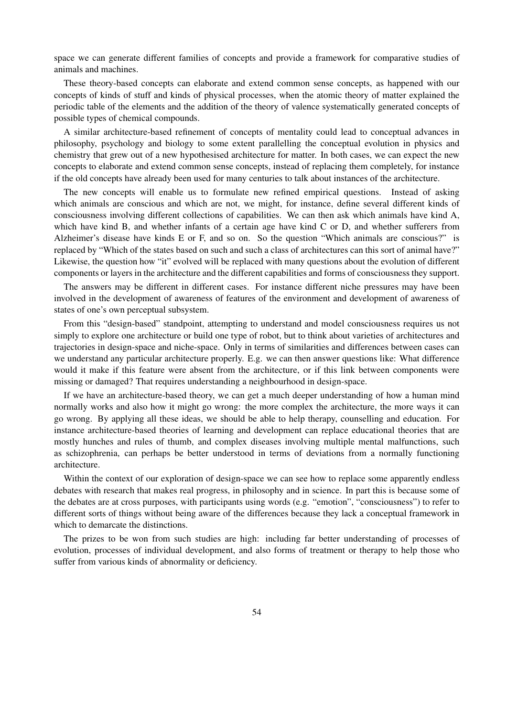space we can generate different families of concepts and provide a framework for comparative studies of animals and machines.

These theory-based concepts can elaborate and extend common sense concepts, as happened with our concepts of kinds of stuff and kinds of physical processes, when the atomic theory of matter explained the periodic table of the elements and the addition of the theory of valence systematically generated concepts of possible types of chemical compounds.

A similar architecture-based refinement of concepts of mentality could lead to conceptual advances in philosophy, psychology and biology to some extent parallelling the conceptual evolution in physics and chemistry that grew out of a new hypothesised architecture for matter. In both cases, we can expect the new concepts to elaborate and extend common sense concepts, instead of replacing them completely, for instance if the old concepts have already been used for many centuries to talk about instances of the architecture.

The new concepts will enable us to formulate new refined empirical questions. Instead of asking which animals are conscious and which are not, we might, for instance, define several different kinds of consciousness involving different collections of capabilities. We can then ask which animals have kind A, which have kind B, and whether infants of a certain age have kind C or D, and whether sufferers from Alzheimer's disease have kinds E or F, and so on. So the question "Which animals are conscious?" is replaced by "Which of the states based on such and such a class of architectures can this sort of animal have?" Likewise, the question how "it" evolved will be replaced with many questions about the evolution of different components or layers in the architecture and the different capabilities and forms of consciousness they support.

The answers may be different in different cases. For instance different niche pressures may have been involved in the development of awareness of features of the environment and development of awareness of states of one's own perceptual subsystem.

From this "design-based" standpoint, attempting to understand and model consciousness requires us not simply to explore one architecture or build one type of robot, but to think about varieties of architectures and trajectories in design-space and niche-space. Only in terms of similarities and differences between cases can we understand any particular architecture properly. E.g. we can then answer questions like: What difference would it make if this feature were absent from the architecture, or if this link between components were missing or damaged? That requires understanding a neighbourhood in design-space.

If we have an architecture-based theory, we can get a much deeper understanding of how a human mind normally works and also how it might go wrong: the more complex the architecture, the more ways it can go wrong. By applying all these ideas, we should be able to help therapy, counselling and education. For instance architecture-based theories of learning and development can replace educational theories that are mostly hunches and rules of thumb, and complex diseases involving multiple mental malfunctions, such as schizophrenia, can perhaps be better understood in terms of deviations from a normally functioning architecture.

Within the context of our exploration of design-space we can see how to replace some apparently endless debates with research that makes real progress, in philosophy and in science. In part this is because some of the debates are at cross purposes, with participants using words (e.g. "emotion", "consciousness") to refer to different sorts of things without being aware of the differences because they lack a conceptual framework in which to demarcate the distinctions.

The prizes to be won from such studies are high: including far better understanding of processes of evolution, processes of individual development, and also forms of treatment or therapy to help those who suffer from various kinds of abnormality or deficiency.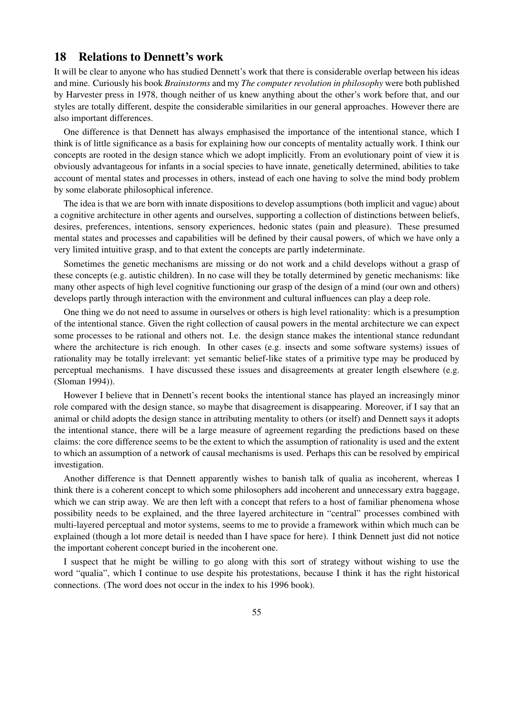### 18 Relations to Dennett's work

It will be clear to anyone who has studied Dennett's work that there is considerable overlap between his ideas and mine. Curiously his book *Brainstorms* and my *The computer revolution in philosophy* were both published by Harvester press in 1978, though neither of us knew anything about the other's work before that, and our styles are totally different, despite the considerable similarities in our general approaches. However there are also important differences.

One difference is that Dennett has always emphasised the importance of the intentional stance, which I think is of little significance as a basis for explaining how our concepts of mentality actually work. I think our concepts are rooted in the design stance which we adopt implicitly. From an evolutionary point of view it is obviously advantageous for infants in a social species to have innate, genetically determined, abilities to take account of mental states and processes in others, instead of each one having to solve the mind body problem by some elaborate philosophical inference.

The idea is that we are born with innate dispositions to develop assumptions (both implicit and vague) about a cognitive architecture in other agents and ourselves, supporting a collection of distinctions between beliefs, desires, preferences, intentions, sensory experiences, hedonic states (pain and pleasure). These presumed mental states and processes and capabilities will be defined by their causal powers, of which we have only a very limited intuitive grasp, and to that extent the concepts are partly indeterminate.

Sometimes the genetic mechanisms are missing or do not work and a child develops without a grasp of these concepts (e.g. autistic children). In no case will they be totally determined by genetic mechanisms: like many other aspects of high level cognitive functioning our grasp of the design of a mind (our own and others) develops partly through interaction with the environment and cultural influences can play a deep role.

One thing we do not need to assume in ourselves or others is high level rationality: which is a presumption of the intentional stance. Given the right collection of causal powers in the mental architecture we can expect some processes to be rational and others not. I.e. the design stance makes the intentional stance redundant where the architecture is rich enough. In other cases (e.g. insects and some software systems) issues of rationality may be totally irrelevant: yet semantic belief-like states of a primitive type may be produced by perceptual mechanisms. I have discussed these issues and disagreements at greater length elsewhere (e.g. (Sloman 1994)).

However I believe that in Dennett's recent books the intentional stance has played an increasingly minor role compared with the design stance, so maybe that disagreement is disappearing. Moreover, if I say that an animal or child adopts the design stance in attributing mentality to others (or itself) and Dennett says it adopts the intentional stance, there will be a large measure of agreement regarding the predictions based on these claims: the core difference seems to be the extent to which the assumption of rationality is used and the extent to which an assumption of a network of causal mechanisms is used. Perhaps this can be resolved by empirical investigation.

Another difference is that Dennett apparently wishes to banish talk of qualia as incoherent, whereas I think there is a coherent concept to which some philosophers add incoherent and unnecessary extra baggage, which we can strip away. We are then left with a concept that refers to a host of familiar phenomena whose possibility needs to be explained, and the three layered architecture in "central" processes combined with multi-layered perceptual and motor systems, seems to me to provide a framework within which much can be explained (though a lot more detail is needed than I have space for here). I think Dennett just did not notice the important coherent concept buried in the incoherent one.

I suspect that he might be willing to go along with this sort of strategy without wishing to use the word "qualia", which I continue to use despite his protestations, because I think it has the right historical connections. (The word does not occur in the index to his 1996 book).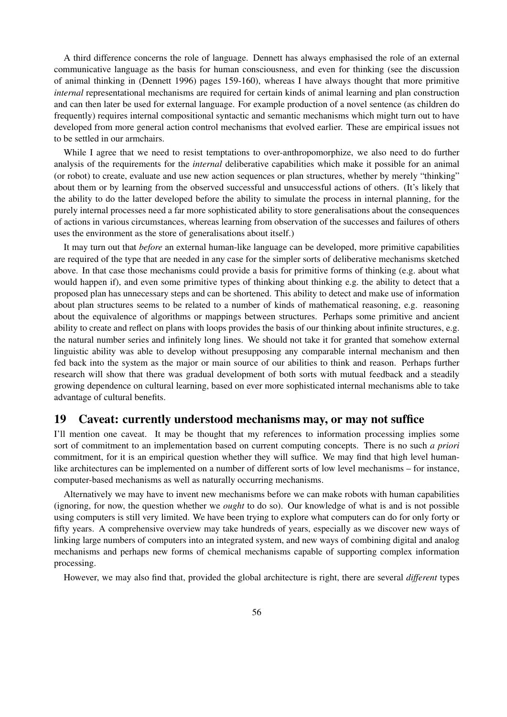A third difference concerns the role of language. Dennett has always emphasised the role of an external communicative language as the basis for human consciousness, and even for thinking (see the discussion of animal thinking in (Dennett 1996) pages 159-160), whereas I have always thought that more primitive *internal* representational mechanisms are required for certain kinds of animal learning and plan construction and can then later be used for external language. For example production of a novel sentence (as children do frequently) requires internal compositional syntactic and semantic mechanisms which might turn out to have developed from more general action control mechanisms that evolved earlier. These are empirical issues not to be settled in our armchairs.

While I agree that we need to resist temptations to over-anthropomorphize, we also need to do further analysis of the requirements for the *internal* deliberative capabilities which make it possible for an animal (or robot) to create, evaluate and use new action sequences or plan structures, whether by merely "thinking" about them or by learning from the observed successful and unsuccessful actions of others. (It's likely that the ability to do the latter developed before the ability to simulate the process in internal planning, for the purely internal processes need a far more sophisticated ability to store generalisations about the consequences of actions in various circumstances, whereas learning from observation of the successes and failures of others uses the environment as the store of generalisations about itself.)

It may turn out that *before* an external human-like language can be developed, more primitive capabilities are required of the type that are needed in any case for the simpler sorts of deliberative mechanisms sketched above. In that case those mechanisms could provide a basis for primitive forms of thinking (e.g. about what would happen if), and even some primitive types of thinking about thinking e.g. the ability to detect that a proposed plan has unnecessary steps and can be shortened. This ability to detect and make use of information about plan structures seems to be related to a number of kinds of mathematical reasoning, e.g. reasoning about the equivalence of algorithms or mappings between structures. Perhaps some primitive and ancient ability to create and reflect on plans with loops provides the basis of our thinking about infinite structures, e.g. the natural number series and infinitely long lines. We should not take it for granted that somehow external linguistic ability was able to develop without presupposing any comparable internal mechanism and then fed back into the system as the major or main source of our abilities to think and reason. Perhaps further research will show that there was gradual development of both sorts with mutual feedback and a steadily growing dependence on cultural learning, based on ever more sophisticated internal mechanisms able to take advantage of cultural benefits.

### 19 Caveat: currently understood mechanisms may, or may not suffice

I'll mention one caveat. It may be thought that my references to information processing implies some sort of commitment to an implementation based on current computing concepts. There is no such *a priori* commitment, for it is an empirical question whether they will suffice. We may find that high level humanlike architectures can be implemented on a number of different sorts of low level mechanisms – for instance, computer-based mechanisms as well as naturally occurring mechanisms.

Alternatively we may have to invent new mechanisms before we can make robots with human capabilities (ignoring, for now, the question whether we *ought* to do so). Our knowledge of what is and is not possible using computers is still very limited. We have been trying to explore what computers can do for only forty or fifty years. A comprehensive overview may take hundreds of years, especially as we discover new ways of linking large numbers of computers into an integrated system, and new ways of combining digital and analog mechanisms and perhaps new forms of chemical mechanisms capable of supporting complex information processing.

However, we may also find that, provided the global architecture is right, there are several *different* types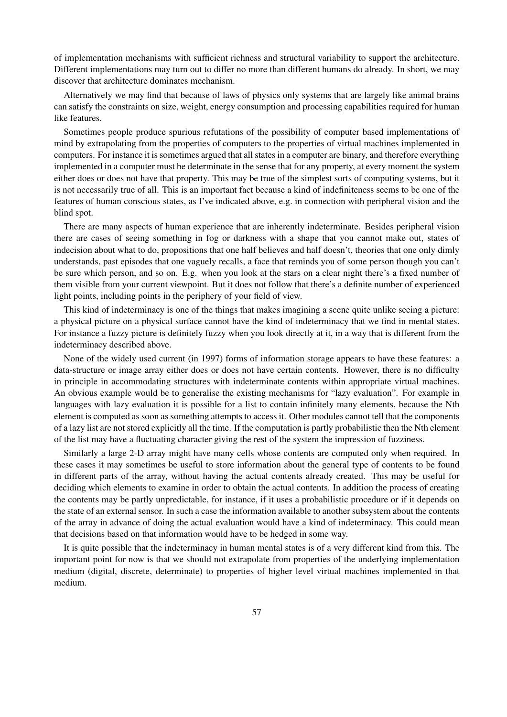of implementation mechanisms with sufficient richness and structural variability to support the architecture. Different implementations may turn out to differ no more than different humans do already. In short, we may discover that architecture dominates mechanism.

Alternatively we may find that because of laws of physics only systems that are largely like animal brains can satisfy the constraints on size, weight, energy consumption and processing capabilities required for human like features.

Sometimes people produce spurious refutations of the possibility of computer based implementations of mind by extrapolating from the properties of computers to the properties of virtual machines implemented in computers. For instance it is sometimes argued that all states in a computer are binary, and therefore everything implemented in a computer must be determinate in the sense that for any property, at every moment the system either does or does not have that property. This may be true of the simplest sorts of computing systems, but it is not necessarily true of all. This is an important fact because a kind of indefiniteness seems to be one of the features of human conscious states, as I've indicated above, e.g. in connection with peripheral vision and the blind spot.

There are many aspects of human experience that are inherently indeterminate. Besides peripheral vision there are cases of seeing something in fog or darkness with a shape that you cannot make out, states of indecision about what to do, propositions that one half believes and half doesn't, theories that one only dimly understands, past episodes that one vaguely recalls, a face that reminds you of some person though you can't be sure which person, and so on. E.g. when you look at the stars on a clear night there's a fixed number of them visible from your current viewpoint. But it does not follow that there's a definite number of experienced light points, including points in the periphery of your field of view.

This kind of indeterminacy is one of the things that makes imagining a scene quite unlike seeing a picture: a physical picture on a physical surface cannot have the kind of indeterminacy that we find in mental states. For instance a fuzzy picture is definitely fuzzy when you look directly at it, in a way that is different from the indeterminacy described above.

None of the widely used current (in 1997) forms of information storage appears to have these features: a data-structure or image array either does or does not have certain contents. However, there is no difficulty in principle in accommodating structures with indeterminate contents within appropriate virtual machines. An obvious example would be to generalise the existing mechanisms for "lazy evaluation". For example in languages with lazy evaluation it is possible for a list to contain infinitely many elements, because the Nth element is computed as soon as something attempts to access it. Other modules cannot tell that the components of a lazy list are not stored explicitly all the time. If the computation is partly probabilistic then the Nth element of the list may have a fluctuating character giving the rest of the system the impression of fuzziness.

Similarly a large 2-D array might have many cells whose contents are computed only when required. In these cases it may sometimes be useful to store information about the general type of contents to be found in different parts of the array, without having the actual contents already created. This may be useful for deciding which elements to examine in order to obtain the actual contents. In addition the process of creating the contents may be partly unpredictable, for instance, if it uses a probabilistic procedure or if it depends on the state of an external sensor. In such a case the information available to another subsystem about the contents of the array in advance of doing the actual evaluation would have a kind of indeterminacy. This could mean that decisions based on that information would have to be hedged in some way.

It is quite possible that the indeterminacy in human mental states is of a very different kind from this. The important point for now is that we should not extrapolate from properties of the underlying implementation medium (digital, discrete, determinate) to properties of higher level virtual machines implemented in that medium.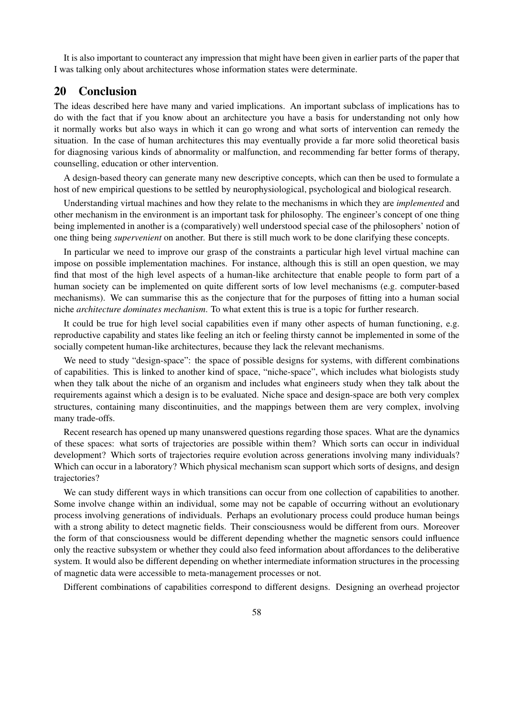It is also important to counteract any impression that might have been given in earlier parts of the paper that I was talking only about architectures whose information states were determinate.

# 20 Conclusion

The ideas described here have many and varied implications. An important subclass of implications has to do with the fact that if you know about an architecture you have a basis for understanding not only how it normally works but also ways in which it can go wrong and what sorts of intervention can remedy the situation. In the case of human architectures this may eventually provide a far more solid theoretical basis for diagnosing various kinds of abnormality or malfunction, and recommending far better forms of therapy, counselling, education or other intervention.

A design-based theory can generate many new descriptive concepts, which can then be used to formulate a host of new empirical questions to be settled by neurophysiological, psychological and biological research.

Understanding virtual machines and how they relate to the mechanisms in which they are *implemented* and other mechanism in the environment is an important task for philosophy. The engineer's concept of one thing being implemented in another is a (comparatively) well understood special case of the philosophers' notion of one thing being *supervenient* on another. But there is still much work to be done clarifying these concepts.

In particular we need to improve our grasp of the constraints a particular high level virtual machine can impose on possible implementation machines. For instance, although this is still an open question, we may find that most of the high level aspects of a human-like architecture that enable people to form part of a human society can be implemented on quite different sorts of low level mechanisms (e.g. computer-based mechanisms). We can summarise this as the conjecture that for the purposes of fitting into a human social niche *architecture dominates mechanism*. To what extent this is true is a topic for further research.

It could be true for high level social capabilities even if many other aspects of human functioning, e.g. reproductive capability and states like feeling an itch or feeling thirsty cannot be implemented in some of the socially competent human-like architectures, because they lack the relevant mechanisms.

We need to study "design-space": the space of possible designs for systems, with different combinations of capabilities. This is linked to another kind of space, "niche-space", which includes what biologists study when they talk about the niche of an organism and includes what engineers study when they talk about the requirements against which a design is to be evaluated. Niche space and design-space are both very complex structures, containing many discontinuities, and the mappings between them are very complex, involving many trade-offs.

Recent research has opened up many unanswered questions regarding those spaces. What are the dynamics of these spaces: what sorts of trajectories are possible within them? Which sorts can occur in individual development? Which sorts of trajectories require evolution across generations involving many individuals? Which can occur in a laboratory? Which physical mechanism scan support which sorts of designs, and design trajectories?

We can study different ways in which transitions can occur from one collection of capabilities to another. Some involve change within an individual, some may not be capable of occurring without an evolutionary process involving generations of individuals. Perhaps an evolutionary process could produce human beings with a strong ability to detect magnetic fields. Their consciousness would be different from ours. Moreover the form of that consciousness would be different depending whether the magnetic sensors could influence only the reactive subsystem or whether they could also feed information about affordances to the deliberative system. It would also be different depending on whether intermediate information structures in the processing of magnetic data were accessible to meta-management processes or not.

Different combinations of capabilities correspond to different designs. Designing an overhead projector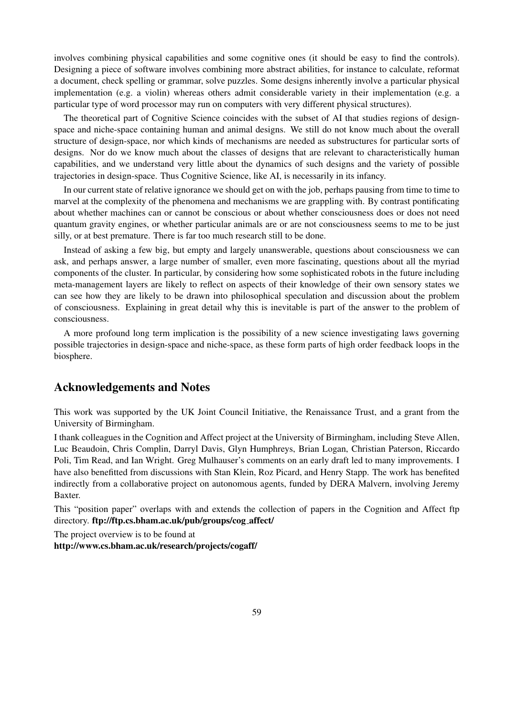involves combining physical capabilities and some cognitive ones (it should be easy to find the controls). Designing a piece of software involves combining more abstract abilities, for instance to calculate, reformat a document, check spelling or grammar, solve puzzles. Some designs inherently involve a particular physical implementation (e.g. a violin) whereas others admit considerable variety in their implementation (e.g. a particular type of word processor may run on computers with very different physical structures).

The theoretical part of Cognitive Science coincides with the subset of AI that studies regions of designspace and niche-space containing human and animal designs. We still do not know much about the overall structure of design-space, nor which kinds of mechanisms are needed as substructures for particular sorts of designs. Nor do we know much about the classes of designs that are relevant to characteristically human capabilities, and we understand very little about the dynamics of such designs and the variety of possible trajectories in design-space. Thus Cognitive Science, like AI, is necessarily in its infancy.

In our current state of relative ignorance we should get on with the job, perhaps pausing from time to time to marvel at the complexity of the phenomena and mechanisms we are grappling with. By contrast pontificating about whether machines can or cannot be conscious or about whether consciousness does or does not need quantum gravity engines, or whether particular animals are or are not consciousness seems to me to be just silly, or at best premature. There is far too much research still to be done.

Instead of asking a few big, but empty and largely unanswerable, questions about consciousness we can ask, and perhaps answer, a large number of smaller, even more fascinating, questions about all the myriad components of the cluster. In particular, by considering how some sophisticated robots in the future including meta-management layers are likely to reflect on aspects of their knowledge of their own sensory states we can see how they are likely to be drawn into philosophical speculation and discussion about the problem of consciousness. Explaining in great detail why this is inevitable is part of the answer to the problem of consciousness.

A more profound long term implication is the possibility of a new science investigating laws governing possible trajectories in design-space and niche-space, as these form parts of high order feedback loops in the biosphere.

# Acknowledgements and Notes

This work was supported by the UK Joint Council Initiative, the Renaissance Trust, and a grant from the University of Birmingham.

I thank colleagues in the Cognition and Affect project at the University of Birmingham, including Steve Allen, Luc Beaudoin, Chris Complin, Darryl Davis, Glyn Humphreys, Brian Logan, Christian Paterson, Riccardo Poli, Tim Read, and Ian Wright. Greg Mulhauser's comments on an early draft led to many improvements. I have also benefitted from discussions with Stan Klein, Roz Picard, and Henry Stapp. The work has benefited indirectly from a collaborative project on autonomous agents, funded by DERA Malvern, involving Jeremy Baxter.

This "position paper" overlaps with and extends the collection of papers in the Cognition and Affect ftp directory. ftp://ftp.cs.bham.ac.uk/pub/groups/cog affect/

The project overview is to be found at

http://www.cs.bham.ac.uk/research/projects/cogaff/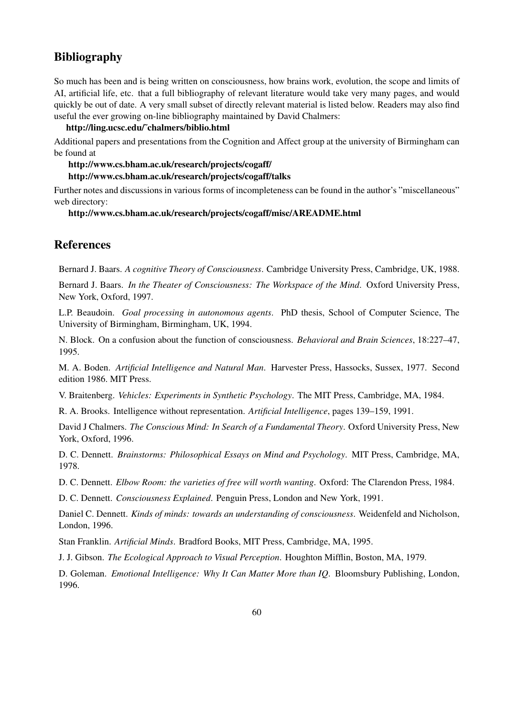# Bibliography

So much has been and is being written on consciousness, how brains work, evolution, the scope and limits of AI, artificial life, etc. that a full bibliography of relevant literature would take very many pages, and would quickly be out of date. A very small subset of directly relevant material is listed below. Readers may also find useful the ever growing on-line bibliography maintained by David Chalmers:

### http://ling.ucsc.edu/˜chalmers/biblio.html

Additional papers and presentations from the Cognition and Affect group at the university of Birmingham can be found at

#### http://www.cs.bham.ac.uk/research/projects/cogaff/ http://www.cs.bham.ac.uk/research/projects/cogaff/talks

Further notes and discussions in various forms of incompleteness can be found in the author's "miscellaneous" web directory:

### http://www.cs.bham.ac.uk/research/projects/cogaff/misc/AREADME.html

# **References**

Bernard J. Baars. *A cognitive Theory of Consciousness*. Cambridge University Press, Cambridge, UK, 1988.

Bernard J. Baars. *In the Theater of Consciousness: The Workspace of the Mind*. Oxford University Press, New York, Oxford, 1997.

L.P. Beaudoin. *Goal processing in autonomous agents*. PhD thesis, School of Computer Science, The University of Birmingham, Birmingham, UK, 1994.

N. Block. On a confusion about the function of consciousness. *Behavioral and Brain Sciences*, 18:227–47, 1995.

M. A. Boden. *Artificial Intelligence and Natural Man*. Harvester Press, Hassocks, Sussex, 1977. Second edition 1986. MIT Press.

V. Braitenberg. *Vehicles: Experiments in Synthetic Psychology*. The MIT Press, Cambridge, MA, 1984.

R. A. Brooks. Intelligence without representation. *Artificial Intelligence*, pages 139–159, 1991.

David J Chalmers. *The Conscious Mind: In Search of a Fundamental Theory*. Oxford University Press, New York, Oxford, 1996.

D. C. Dennett. *Brainstorms: Philosophical Essays on Mind and Psychology*. MIT Press, Cambridge, MA, 1978.

D. C. Dennett. *Elbow Room: the varieties of free will worth wanting*. Oxford: The Clarendon Press, 1984.

D. C. Dennett. *Consciousness Explained*. Penguin Press, London and New York, 1991.

Daniel C. Dennett. *Kinds of minds: towards an understanding of consciousness*. Weidenfeld and Nicholson, London, 1996.

Stan Franklin. *Artificial Minds*. Bradford Books, MIT Press, Cambridge, MA, 1995.

J. J. Gibson. *The Ecological Approach to Visual Perception*. Houghton Mifflin, Boston, MA, 1979.

D. Goleman. *Emotional Intelligence: Why It Can Matter More than IQ*. Bloomsbury Publishing, London, 1996.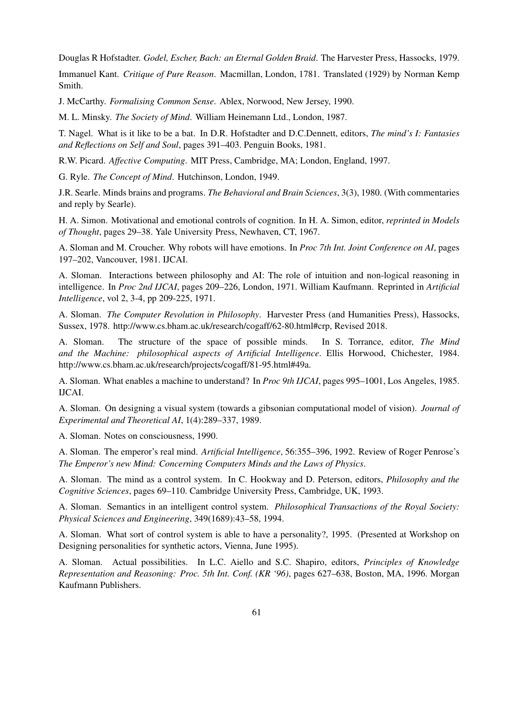Douglas R Hofstadter. *Godel, Escher, Bach: an Eternal Golden Braid*. The Harvester Press, Hassocks, 1979.

Immanuel Kant. *Critique of Pure Reason*. Macmillan, London, 1781. Translated (1929) by Norman Kemp Smith.

J. McCarthy. *Formalising Common Sense*. Ablex, Norwood, New Jersey, 1990.

M. L. Minsky. *The Society of Mind*. William Heinemann Ltd., London, 1987.

T. Nagel. What is it like to be a bat. In D.R. Hofstadter and D.C.Dennett, editors, *The mind's I: Fantasies and Reflections on Self and Soul*, pages 391–403. Penguin Books, 1981.

R.W. Picard. *Affective Computing*. MIT Press, Cambridge, MA; London, England, 1997.

G. Ryle. *The Concept of Mind*. Hutchinson, London, 1949.

J.R. Searle. Minds brains and programs. *The Behavioral and Brain Sciences*, 3(3), 1980. (With commentaries and reply by Searle).

H. A. Simon. Motivational and emotional controls of cognition. In H. A. Simon, editor, *reprinted in Models of Thought*, pages 29–38. Yale University Press, Newhaven, CT, 1967.

A. Sloman and M. Croucher. Why robots will have emotions. In *Proc 7th Int. Joint Conference on AI*, pages 197–202, Vancouver, 1981. IJCAI.

A. Sloman. Interactions between philosophy and AI: The role of intuition and non-logical reasoning in intelligence. In *Proc 2nd IJCAI*, pages 209–226, London, 1971. William Kaufmann. Reprinted in *Artificial Intelligence*, vol 2, 3-4, pp 209-225, 1971.

A. Sloman. *The Computer Revolution in Philosophy*. Harvester Press (and Humanities Press), Hassocks, Sussex, 1978. http://www.cs.bham.ac.uk/research/cogaff/62-80.html#crp, Revised 2018.

A. Sloman. The structure of the space of possible minds. In S. Torrance, editor, *The Mind and the Machine: philosophical aspects of Artificial Intelligence*. Ellis Horwood, Chichester, 1984. http://www.cs.bham.ac.uk/research/projects/cogaff/81-95.html#49a.

A. Sloman. What enables a machine to understand? In *Proc 9th IJCAI*, pages 995–1001, Los Angeles, 1985. IJCAI.

A. Sloman. On designing a visual system (towards a gibsonian computational model of vision). *Journal of Experimental and Theoretical AI*, 1(4):289–337, 1989.

A. Sloman. Notes on consciousness, 1990.

A. Sloman. The emperor's real mind. *Artificial Intelligence*, 56:355–396, 1992. Review of Roger Penrose's *The Emperor's new Mind: Concerning Computers Minds and the Laws of Physics*.

A. Sloman. The mind as a control system. In C. Hookway and D. Peterson, editors, *Philosophy and the Cognitive Sciences*, pages 69–110. Cambridge University Press, Cambridge, UK, 1993.

A. Sloman. Semantics in an intelligent control system. *Philosophical Transactions of the Royal Society: Physical Sciences and Engineering*, 349(1689):43–58, 1994.

A. Sloman. What sort of control system is able to have a personality?, 1995. (Presented at Workshop on Designing personalities for synthetic actors, Vienna, June 1995).

A. Sloman. Actual possibilities. In L.C. Aiello and S.C. Shapiro, editors, *Principles of Knowledge Representation and Reasoning: Proc. 5th Int. Conf. (KR '96)*, pages 627–638, Boston, MA, 1996. Morgan Kaufmann Publishers.